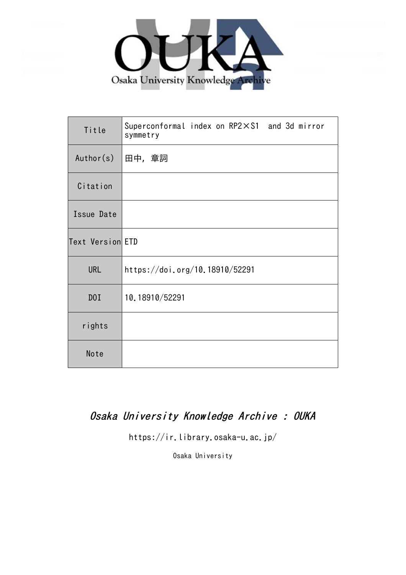

| Title            | Superconformal index on RP2×S1 and 3d mirror<br>symmetry |
|------------------|----------------------------------------------------------|
| Author(s)        | 田中,章詞                                                    |
| Citation         |                                                          |
| Issue Date       |                                                          |
| Text Version ETD |                                                          |
| <b>URL</b>       | https://doi.org/10.18910/52291                           |
| DOI              | 10.18910/52291                                           |
| rights           |                                                          |
| Note             |                                                          |

# Osaka University Knowledge Archive : OUKA

https://ir.library.osaka-u.ac.jp/

Osaka University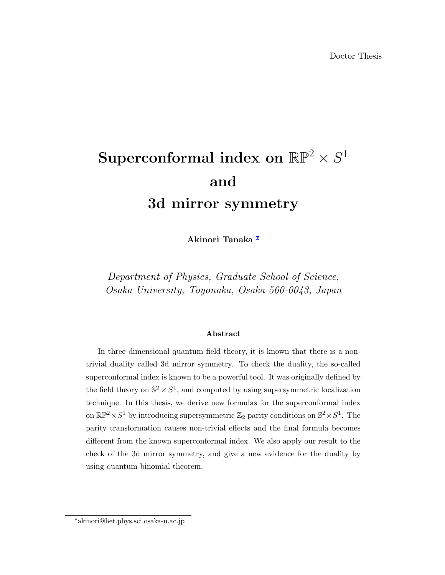# $\bf{Superconformal~index~on~RP^2} \times S^1$ **and 3d mirror symmetry**

**Akinori Tanaka** *∗*

*Department of Physics, Graduate School of Science, Osaka University, Toyonaka, Osaka 560-0043, Japan*

#### **Abstract**

In three dimensional quantum field theory, it is known that there is a nontrivial duality called 3d mirror symmetry. To check the duality, the so-called superconformal index is known to be a powerful tool. It was originally defined by the field theory on  $\mathbb{S}^2 \times S^1$ , and computed by using supersymmetric localization technique. In this thesis, we derive new formulas for the superconformal index on  $\mathbb{RP}^2 \times S^1$  by introducing supersymmetric  $\mathbb{Z}_2$  parity conditions on  $\mathbb{S}^2 \times S^1$ . The parity transformation causes non-trivial effects and the final formula becomes different from the known superconformal index. We also apply our result to the check of the 3d mirror symmetry, and give a new evidence for the duality by using quantum binomial theorem.

*<sup>∗</sup>*akinori@het.phys.sci.osaka-u.ac.jp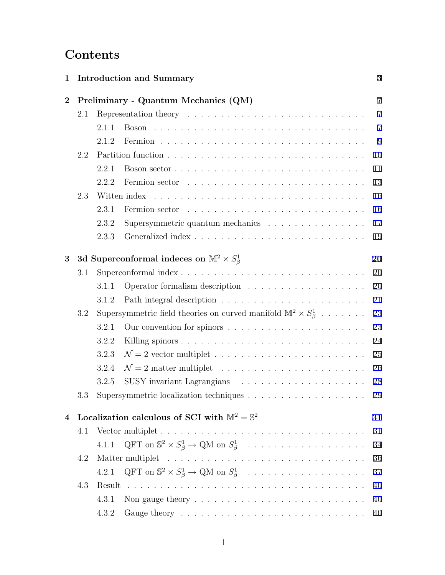# **Contents**

| 1        |         |       | <b>Introduction and Summary</b>                                                                                                                                                                                                | 3              |  |  |  |  |  |
|----------|---------|-------|--------------------------------------------------------------------------------------------------------------------------------------------------------------------------------------------------------------------------------|----------------|--|--|--|--|--|
| $\bf{2}$ |         |       | Preliminary - Quantum Mechanics (QM)                                                                                                                                                                                           | $\overline{7}$ |  |  |  |  |  |
|          | 2.1     |       |                                                                                                                                                                                                                                | $\overline{7}$ |  |  |  |  |  |
|          |         | 2.1.1 |                                                                                                                                                                                                                                | $\overline{7}$ |  |  |  |  |  |
|          |         | 2.1.2 |                                                                                                                                                                                                                                | 9              |  |  |  |  |  |
|          | 2.2     |       |                                                                                                                                                                                                                                | 10             |  |  |  |  |  |
|          |         | 2.2.1 | Boson sector $\ldots \ldots \ldots \ldots \ldots \ldots \ldots \ldots \ldots \ldots$                                                                                                                                           | 11             |  |  |  |  |  |
|          |         | 2.2.2 |                                                                                                                                                                                                                                | 13             |  |  |  |  |  |
|          | 2.3     |       |                                                                                                                                                                                                                                |                |  |  |  |  |  |
|          |         | 2.3.1 | Fermion sector (a) and a section of the section of the section of the section of the section of the section of the section of the section of the section of the section of the section of the section of the section of the se | 16             |  |  |  |  |  |
|          |         | 2.3.2 | Supersymmetric quantum mechanics                                                                                                                                                                                               | 17             |  |  |  |  |  |
|          |         | 2.3.3 |                                                                                                                                                                                                                                | 19             |  |  |  |  |  |
| 3        |         |       | 3d Superconformal indeces on $\mathbb{M}^2 \times S^1_{\beta}$                                                                                                                                                                 | 20             |  |  |  |  |  |
|          | 3.1     |       | Superconformal index                                                                                                                                                                                                           | 20             |  |  |  |  |  |
|          |         | 3.1.1 |                                                                                                                                                                                                                                | 20             |  |  |  |  |  |
|          |         | 3.1.2 |                                                                                                                                                                                                                                | 21             |  |  |  |  |  |
|          | 3.2     |       | Supersymmetric field theories on curved manifold $\mathbb{M}^2 \times S^1_{\beta}$                                                                                                                                             | 23             |  |  |  |  |  |
|          |         | 3.2.1 |                                                                                                                                                                                                                                | 23             |  |  |  |  |  |
|          |         | 3.2.2 |                                                                                                                                                                                                                                | 24             |  |  |  |  |  |
|          |         | 3.2.3 |                                                                                                                                                                                                                                | 25             |  |  |  |  |  |
|          |         | 3.2.4 |                                                                                                                                                                                                                                | 26             |  |  |  |  |  |
|          |         | 3.2.5 |                                                                                                                                                                                                                                | 28             |  |  |  |  |  |
|          | $3.3\,$ |       |                                                                                                                                                                                                                                | 29             |  |  |  |  |  |
| 4        |         |       | Localization calculous of SCI with $M^2 = \mathbb{S}^2$                                                                                                                                                                        | 31             |  |  |  |  |  |
|          | 4.1     |       |                                                                                                                                                                                                                                | 31             |  |  |  |  |  |
|          |         | 4.1.1 | $\mathrm{QFT}$ on $\mathbb{S}^2 \times S^1_{\beta} \to \mathrm{QM}$ on $S^1_{\beta}$                                                                                                                                           | 34             |  |  |  |  |  |
|          | 4.2     |       |                                                                                                                                                                                                                                | 36             |  |  |  |  |  |
|          |         | 4.2.1 | $\mathrm{QFT}$ on $\mathbb{S}^2 \times S^1_{\beta} \to \mathrm{QM}$ on $S^1_{\beta}$                                                                                                                                           | 37             |  |  |  |  |  |
|          | 4.3     |       |                                                                                                                                                                                                                                | 40             |  |  |  |  |  |
|          |         | 4.3.1 |                                                                                                                                                                                                                                | 40             |  |  |  |  |  |
|          |         | 4.3.2 |                                                                                                                                                                                                                                | 40             |  |  |  |  |  |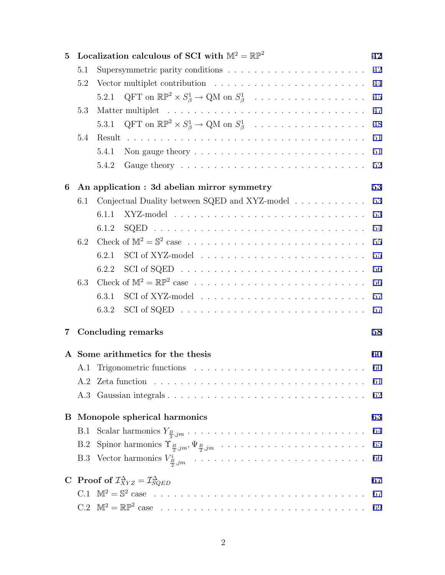| $\mathbf{5}$            |                                   | Localization calculous of SCI with $\mathbb{M}^2=\mathbb{RP}^2$                  | 42  |  |  |  |  |  |  |  |  |
|-------------------------|-----------------------------------|----------------------------------------------------------------------------------|-----|--|--|--|--|--|--|--|--|
|                         | 5.1                               |                                                                                  | 42  |  |  |  |  |  |  |  |  |
|                         | 5.2                               |                                                                                  | 44  |  |  |  |  |  |  |  |  |
|                         |                                   | 5.2.1 QFT on $\mathbb{RP}^2 \times S^1_{\beta} \to \mathbb{Q}M$ on $S^1_{\beta}$ | 45  |  |  |  |  |  |  |  |  |
|                         | 5.3                               |                                                                                  | 47  |  |  |  |  |  |  |  |  |
|                         |                                   | 5.3.1 QFT on $\mathbb{RP}^2 \times S^1_{\beta} \to \mathbb{Q}M$ on $S^1_{\beta}$ | 48  |  |  |  |  |  |  |  |  |
|                         | 5.4                               |                                                                                  | 51  |  |  |  |  |  |  |  |  |
|                         |                                   | 5.4.1                                                                            | 51  |  |  |  |  |  |  |  |  |
|                         |                                   | 5.4.2                                                                            | 52  |  |  |  |  |  |  |  |  |
| 6                       |                                   | An application : 3d abelian mirror symmetry                                      |     |  |  |  |  |  |  |  |  |
|                         | 6.1                               | Conjectual Duality between SQED and XYZ-model                                    | 53  |  |  |  |  |  |  |  |  |
|                         |                                   | 6.1.1                                                                            | 53  |  |  |  |  |  |  |  |  |
|                         |                                   | 6.1.2                                                                            | 54  |  |  |  |  |  |  |  |  |
|                         | 6.2                               |                                                                                  | 55  |  |  |  |  |  |  |  |  |
|                         |                                   | 6.2.1                                                                            | 55  |  |  |  |  |  |  |  |  |
|                         |                                   | 6.2.2                                                                            | 56  |  |  |  |  |  |  |  |  |
|                         | 6.3                               |                                                                                  | 56  |  |  |  |  |  |  |  |  |
|                         |                                   | 6.3.1                                                                            | 57  |  |  |  |  |  |  |  |  |
|                         |                                   | 6.3.2                                                                            | 57  |  |  |  |  |  |  |  |  |
| $\overline{\mathbf{7}}$ |                                   | <b>Concluding remarks</b>                                                        | 58  |  |  |  |  |  |  |  |  |
|                         | A Some arithmetics for the thesis |                                                                                  |     |  |  |  |  |  |  |  |  |
|                         |                                   |                                                                                  |     |  |  |  |  |  |  |  |  |
|                         |                                   |                                                                                  | -61 |  |  |  |  |  |  |  |  |
|                         |                                   |                                                                                  | 62  |  |  |  |  |  |  |  |  |
|                         |                                   | <b>B</b> Monopole spherical harmonics<br>63                                      |     |  |  |  |  |  |  |  |  |
|                         | B.1                               |                                                                                  | 64  |  |  |  |  |  |  |  |  |
|                         |                                   |                                                                                  | 65  |  |  |  |  |  |  |  |  |
|                         |                                   |                                                                                  | 66  |  |  |  |  |  |  |  |  |
|                         |                                   | C Proof of $\mathcal{I}_{XYZ}^{\Delta} = \mathcal{I}_{SQED}^{\Delta}$            | 67  |  |  |  |  |  |  |  |  |
|                         |                                   |                                                                                  | 67  |  |  |  |  |  |  |  |  |
|                         |                                   |                                                                                  |     |  |  |  |  |  |  |  |  |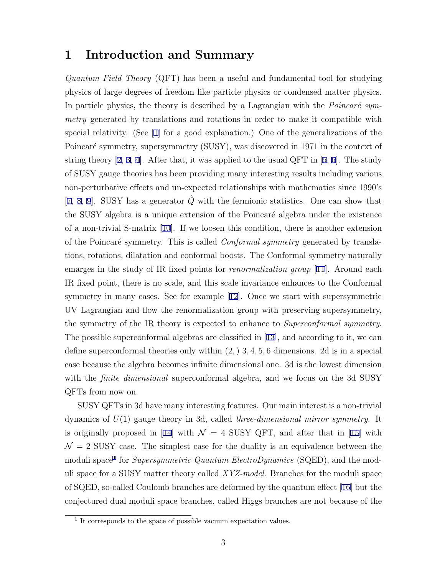# **1 Introduction and Summary**

*Quantum Field Theory* (QFT) has been a useful and fundamental tool for studying physics of large degrees of freedom like particle physics or condensed matter physics. In particle physics, the theory is described by a Lagrangian with the *Poincaré symmetry* generated by translations and rotations in order to make it compatible with special relativity. (See [1] for a good explanation.) One of the generalizations of the Poincaré symmetry, supersymmetry (SUSY), was discovered in 1971 in the context of string theory  $[2, 3, 4]$ . After that, it was applied to the usual QFT in  $[5, 6]$ . The study of SUSY gauge theories has been providing many interesting results including various non-perturbative effects and un-expected relationships with mathematics since 1990's [7, 8, 9]. SUSY has a generator  $\hat{Q}$  with the fermionic statistics. One can show that the SUSY algebra is a unique extension of the Poincaré algebra under the existence of a non-trivial S-matrix [10]. If we loosen this condition, there is another extension of the Poincar´e symmetry. This is called *Conformal symmetry* generated by translations, rotations, dilatation and conformal boosts. The Conformal symmetry naturally emarges in the study of IR fixed points for *renormalization group* [11]. Around each IR fixed point, there is no scale, and this scale invariance enhances to the Conformal symmetry in many cases. See for example [12]. Once we start with supersymmetric UV Lagrangian and flow the renormalization group with preserving supersymmetry, the symmetry of the IR theory is expected to enhance to *Superconformal symmetry*. The possible superconformal algebras are classified in [13], and according to it, we can define superconformal theories only within (2*,*) 3*,* 4*,* 5*,* 6 dimensions. 2d is in a special case because the algebra becomes infinite dimensional one. 3d is the lowest dimension with the *finite dimensional* superconformal algebra, and we focus on the 3d SUSY QFTs from now on.

SUSY QFTs in 3d have many interesting features. Our main interest is a non-trivial dynamics of *U*(1) gauge theory in 3d, called *three-dimensional mirror symmetry*. It is originally proposed in [14] with  $\mathcal{N} = 4$  SUSY QFT, and after that in [15] with  $\mathcal{N}=2$  SUSY case. The simplest case for the duality is an equivalence between the moduli space<sup>1</sup> for *Supersymmetric Quantum ElectroDynamics* (SQED), and the moduli space for a SUSY matter theory called *XYZ-model*. Branches for the moduli space of SQED, so-called Coulomb branches are deformed by the quantum effect [16] but the conjectured dual moduli space branches, called Higgs branches are not because of the

<sup>&</sup>lt;sup>1</sup> It corresponds to the space of possible vacuum expectation values.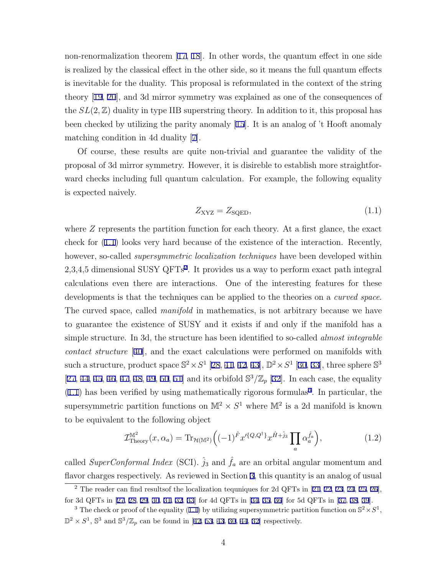non-renormalization theorem [17, 18]. In other words, the quantum effect in one side is realized by the classical effect in the other side, so it means the full quantum effects is inevitable for the duality. This proposal is reformulated in the context of the string theory [19, 20], and 3d mirror symmetry was explained as one of the consequences of the  $SL(2,\mathbb{Z})$  duality in type IIB superstring theory. In addition to it, this proposal has been checked by utilizing the parity anomaly [15]. It is an analog of 't Hooft anomaly matching condition in 4d duality [7].

Of course, these results are quite non-trivial and guarantee the validity of the proposal of 3d mirror symmetry. However, it is disireble to establish more straightforward checks including full quantum calculation. For example, the following equality is expected naively.

$$
Z_{\rm XYZ} = Z_{\rm SQED},\tag{1.1}
$$

where *Z* represents the partition function for each theory. At a first glance, the exact check for (1.1) looks very hard because of the existence of the interaction. Recently, however, so-called *supersymmetric localization techniques* have been developed within 2,3,4,5 dimensional SUSY QFTs2 . It provides us a way to perform exact path integral calculations even there are interactions. One of the interesting features for these developments is that the techniques can be applied to the theories on a *curved space*. The curved space, called *manifold* in mathematics, is not arbitrary because we have to guarantee the existence of SUSY and it exists if and only if the manifold has a simple structure. In 3d, the structure has been identified to so-called *almost integrable contact structure* [40], and the exact calculations were performed on manifolds with such a structure, product space  $\mathbb{S}^2 \times S^1$  [28, 41, 42, 43],  $\mathbb{D}^2 \times S^1$  [30, 33], three sphere  $\mathbb{S}^3$ [27, 44, 45, 46, 47, 48, 49, 50, 51] and its orbifold  $\mathbb{S}^3/\mathbb{Z}_p$  [32]. In each case, the equality  $(1.1)$  has been verified by using mathematically rigorous formulas<sup>3</sup>. In particular, the supersymmetric partition functions on  $\mathbb{M}^2 \times S^1$  where  $\mathbb{M}^2$  is a 2d manifold is known to be equivalent to the following object

$$
\mathcal{I}_{\text{Theory}}^{\mathbb{M}^2}(x,\alpha_a) = \text{Tr}_{\mathcal{H}(\mathbb{M}^2)} \Big( (-1)^{\hat{F}} x'^{\{Q,Q^\dagger\}} x^{\hat{H} + \hat{j}_3} \prod_a \alpha_a^{\hat{f}_a} \Big),\tag{1.2}
$$

called *SuperConformal Index* (SCI).  $\hat{j}_3$  and  $\hat{f}_a$  are an orbital angular momentum and flavor charges respectively. As reviewed in Section 3, this quantity is an analog of usual

 $2$  The reader can find resultsof the localization tequniques for 2d QFTs in [21, 22, 23, 24, 25, 26], for 3d QFTs in [27, 28, 29, 30, 31, 32, 33] for 4d QFTs in [34, 35, 36] for 5d QFTs in [37, 38, 39].

<sup>&</sup>lt;sup>3</sup> The check or proof of the equality (1.1) by utilizing supersymmetric partition function on  $\mathbb{S}^2 \times S^1$ ,  $\mathbb{D}^2 \times S^1$ ,  $\mathbb{S}^3$  and  $\mathbb{S}^3/\mathbb{Z}_p$  can be found in [42, 53, 43, 30, 44, 32] respectively.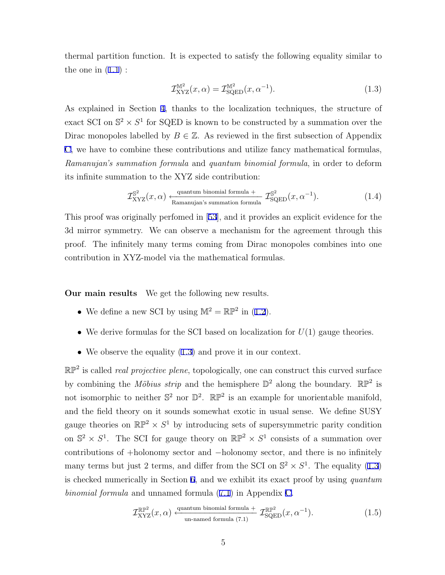thermal partition function. It is expected to satisfy the following equality similar to the one in  $(1.1)$ :

$$
\mathcal{I}_{\text{XYZ}}^{\mathbb{M}^2}(x,\alpha) = \mathcal{I}_{\text{SQED}}^{\mathbb{M}^2}(x,\alpha^{-1}).\tag{1.3}
$$

As explained in Section 4, thanks to the localization techniques, the structure of exact SCI on  $\mathbb{S}^2 \times S^1$  for SQED is known to be constructed by a summation over the Dirac monopoles labelled by  $B \in \mathbb{Z}$ . As reviewed in the first subsection of Appendix C, we have to combine these contributions and utilize fancy mathematical formulas, *Ramanujan's summation formula* and *quantum binomial formula*, in order to deform its infinite summation to the XYZ side contribution:

$$
\mathcal{I}_{\text{XYZ}}^{\mathbb{S}^2}(x,\alpha) \xleftarrow{\text{quantum binomial formula}} \mathcal{I}_{\text{SQED}}^{\mathbb{S}^2}(x,\alpha^{-1}).\tag{1.4}
$$

This proof was originally perfomed in [53], and it provides an explicit evidence for the 3d mirror symmetry. We can observe a mechanism for the agreement through this proof. The infinitely many terms coming from Dirac monopoles combines into one contribution in XYZ-model via the mathematical formulas.

**Our main results** We get the following new results.

- We define a new SCI by using  $\mathbb{M}^2 = \mathbb{RP}^2$  in (1.2).
- We derive formulas for the SCI based on localization for  $U(1)$  gauge theories.
- We observe the equality  $(1.3)$  and prove it in our context.

RP<sup>2</sup> is called *real projective plene*, topologically, one can construct this curved surface by combining the *Möbius strip* and the hemisphere  $\mathbb{D}^2$  along the boundary.  $\mathbb{RP}^2$  is not isomorphic to neither  $\mathbb{S}^2$  nor  $\mathbb{D}^2$ .  $\mathbb{RP}^2$  is an example for unorientable manifold, and the field theory on it sounds somewhat exotic in usual sense. We define SUSY gauge theories on  $\mathbb{RP}^2 \times S^1$  by introducing sets of supersymmetric parity condition on  $\mathbb{S}^2 \times S^1$ . The SCI for gauge theory on  $\mathbb{RP}^2 \times S^1$  consists of a summation over contributions of +holonomy sector and *−*holonomy sector, and there is no infinitely many terms but just 2 terms, and differ from the SCI on  $\mathbb{S}^2 \times S^1$ . The equality (1.3) is checked numerically in Section 6, and we exhibit its exact proof by using *quantum binomial formula* and unnamed formula (7.1) in Appendix C.

$$
\mathcal{I}_{\text{XYZ}}^{\mathbb{RP}^2}(x,\alpha) \xleftarrow{\text{quantum binomial formula}} \mathcal{I}_{\text{SQED}}^{\mathbb{RP}^2}(x,\alpha^{-1}).\tag{1.5}
$$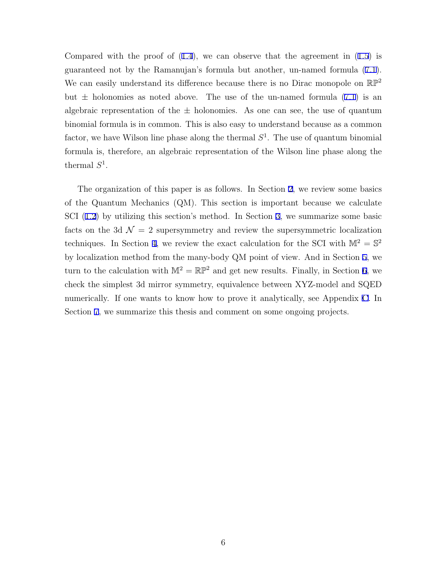Compared with the proof of  $(1.4)$ , we can observe that the agreement in  $(1.5)$  is guaranteed not by the Ramanujan's formula but another, un-named formula (7.1). We can easily understand its difference because there is no Dirac monopole on  $\mathbb{RP}^2$ but  $\pm$  holonomies as noted above. The use of the un-named formula  $(7.1)$  is an algebraic representation of the  $\pm$  holonomies. As one can see, the use of quantum binomial formula is in common. This is also easy to understand because as a common factor, we have Wilson line phase along the thermal  $S<sup>1</sup>$ . The use of quantum binomial formula is, therefore, an algebraic representation of the Wilson line phase along the thermal  $S^1$ .

The organization of this paper is as follows. In Section 2, we review some basics of the Quantum Mechanics (QM). This section is important because we calculate SCI (1.2) by utilizing this section's method. In Section 3, we summarize some basic facts on the 3d  $\mathcal{N} = 2$  supersymmetry and review the supersymmetric localization techniques. In Section 4, we review the exact calculation for the SCI with  $\mathbb{M}^2 = \mathbb{S}^2$ by localization method from the many-body QM point of view. And in Section 5, we turn to the calculation with  $\mathbb{M}^2 = \mathbb{RP}^2$  and get new results. Finally, in Section 6, we check the simplest 3d mirror symmetry, equivalence between XYZ-model and SQED numerically. If one wants to know how to prove it analytically, see Appendix C. In Section 7, we summarize this thesis and comment on some ongoing projects.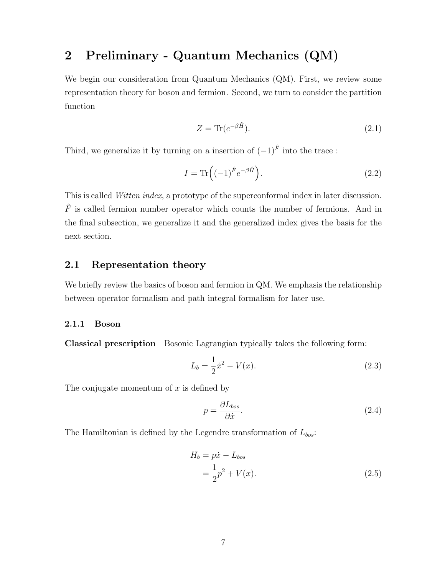# **2 Preliminary - Quantum Mechanics (QM)**

We begin our consideration from Quantum Mechanics (QM). First, we review some representation theory for boson and fermion. Second, we turn to consider the partition function

$$
Z = \text{Tr}(e^{-\beta \hat{H}}). \tag{2.1}
$$

Third, we generalize it by turning on a insertion of  $(-1)^{\hat{F}}$  into the trace :

$$
I = \text{Tr}\left((-1)^{\hat{F}}e^{-\beta\hat{H}}\right).
$$
\n(2.2)

This is called *Witten index*, a prototype of the superconformal index in later discussion.  $\hat{F}$  is called fermion number operator which counts the number of fermions. And in the final subsection, we generalize it and the generalized index gives the basis for the next section.

### **2.1 Representation theory**

We briefly review the basics of boson and fermion in QM. We emphasis the relationship between operator formalism and path integral formalism for later use.

#### **2.1.1 Boson**

**Classical prescription** Bosonic Lagrangian typically takes the following form:

$$
L_b = \frac{1}{2}\dot{x}^2 - V(x). \tag{2.3}
$$

The conjugate momentum of *x* is defined by

$$
p = \frac{\partial L_{bos}}{\partial \dot{x}}.\tag{2.4}
$$

The Hamiltonian is defined by the Legendre transformation of *Lbos*:

$$
H_b = p\dot{x} - L_{bos}
$$
  
=  $\frac{1}{2}p^2 + V(x)$ . (2.5)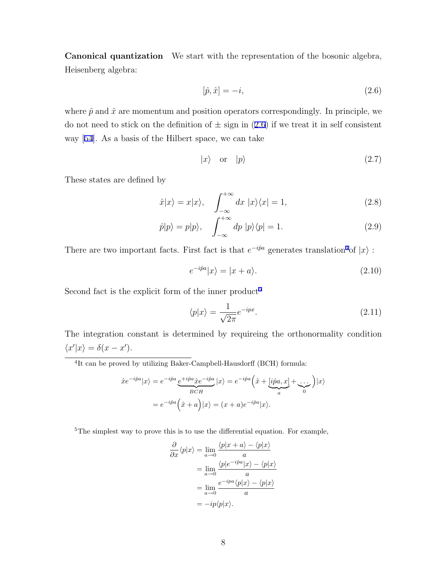**Canonical quantization** We start with the representation of the bosonic algebra, Heisenberg algebra:

$$
[\hat{p}, \hat{x}] = -i,\tag{2.6}
$$

where  $\hat{p}$  and  $\hat{x}$  are momentum and position operators correspondingly. In principle, we do not need to stick on the definition of  $\pm$  sign in (2.6) if we treat it in self consistent way [54]. As a basis of the Hilbert space, we can take

$$
|x\rangle \quad \text{or} \quad |p\rangle \tag{2.7}
$$

These states are defined by

$$
\hat{x}|x\rangle = x|x\rangle, \quad \int_{-\infty}^{+\infty} dx \, |x\rangle\langle x| = 1,\tag{2.8}
$$

$$
\hat{p}|p\rangle = p|p\rangle, \quad \int_{-\infty}^{+\infty} dp \, |p\rangle\langle p| = 1. \tag{2.9}
$$

There are two important facts. First fact is that  $e^{-i\hat{p}a}$  generates translation<sup>4</sup>of  $|x\rangle$ :

$$
e^{-i\hat{p}a}|x\rangle = |x+a\rangle.
$$
\n(2.10)

Second fact is the explicit form of the inner product<sup>5</sup>

$$
\langle p|x\rangle = \frac{1}{\sqrt{2\pi}}e^{-ipx}.\tag{2.11}
$$

The integration constant is determined by requireing the orthonormality condition  $\langle x'|x \rangle = \delta(x - x').$ 

<sup>4</sup>It can be proved by utilizing Baker-Campbell-Hausdorff (BCH) formula:

$$
\hat{x}e^{-i\hat{p}a}|x\rangle = e^{-i\hat{p}a}\underbrace{e^{+i\hat{p}a}\hat{x}e^{-i\hat{p}a}}_{BCH}|x\rangle = e^{-i\hat{p}a}\left(\hat{x} + \underbrace{[i\hat{p}a, x]}_{a} + \underbrace{\dots}_{0}\right)|x\rangle
$$
\n
$$
= e^{-i\hat{p}a}\left(\hat{x} + a\right)|x\rangle = (x + a)e^{-i\hat{p}a}|x\rangle.
$$

<sup>5</sup>The simplest way to prove this is to use the differential equation. For example,

$$
\frac{\partial}{\partial x} \langle p|x \rangle = \lim_{a \to 0} \frac{\langle p|x+a \rangle - \langle p|x \rangle}{a}
$$

$$
= \lim_{a \to 0} \frac{\langle p|e^{-ipa}|x \rangle - \langle p|x \rangle}{a}
$$

$$
= \lim_{a \to 0} \frac{e^{-ipa}\langle p|x \rangle - \langle p|x \rangle}{a}
$$

$$
= -ip\langle p|x \rangle.
$$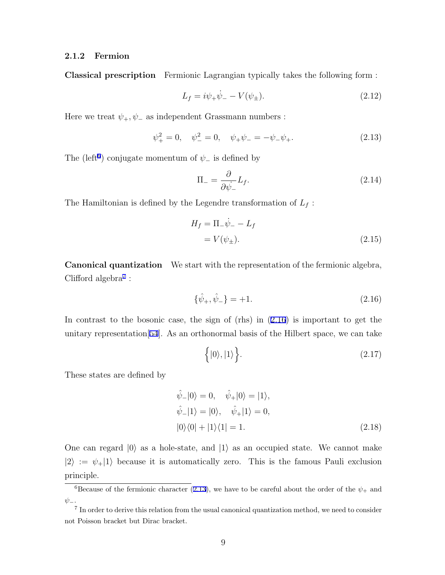#### **2.1.2 Fermion**

**Classical prescription** Fermionic Lagrangian typically takes the following form :

$$
L_f = i\psi_+ \dot{\psi}_- - V(\psi_\pm). \tag{2.12}
$$

Here we treat  $\psi_+, \psi_-$  as independent Grassmann numbers :

$$
\psi_{+}^{2} = 0, \quad \psi_{-}^{2} = 0, \quad \psi_{+}\psi_{-} = -\psi_{-}\psi_{+}.
$$
 (2.13)

The (left<sup>6</sup>) conjugate momentum of  $\psi$ <sub>−</sub> is defined by

$$
\Pi_{-} = \frac{\partial}{\partial \dot{\psi}_{-}} L_{f}.
$$
\n(2.14)

The Hamiltonian is defined by the Legendre transformation of  $L_f$ :

$$
H_f = \Pi_- \dot{\psi}_- - L_f
$$
  
=  $V(\psi_\pm).$  (2.15)

**Canonical quantization** We start with the representation of the fermionic algebra, Clifford algebra<sup>7</sup>:

$$
\{\hat{\psi}_{+}, \hat{\psi}_{-}\} = +1. \tag{2.16}
$$

In contrast to the bosonic case, the sign of (rhs) in (2.16) is important to get the unitary representation[54]. As an orthonormal basis of the Hilbert space, we can take

$$
\left\{ |0\rangle, |1\rangle \right\}.
$$
\n(2.17)

These states are defined by

$$
\hat{\psi}_{-}|0\rangle = 0, \quad \hat{\psi}_{+}|0\rangle = |1\rangle, \n\hat{\psi}_{-}|1\rangle = |0\rangle, \quad \hat{\psi}_{+}|1\rangle = 0, \n|0\rangle\langle 0| + |1\rangle\langle 1| = 1.
$$
\n(2.18)

One can regard  $|0\rangle$  as a hole-state, and  $|1\rangle$  as an occupied state. We cannot make  $|2\rangle := \psi_{+}|1\rangle$  because it is automatically zero. This is the famous Pauli exclusion principle.

 $\overline{6}$ Because of the fermionic character (2.13), we have to be careful about the order of the  $\psi_+$  and *ψ−*.

<sup>&</sup>lt;sup>7</sup> In order to derive this relation from the usual canonical quantization method, we need to consider not Poisson bracket but Dirac bracket.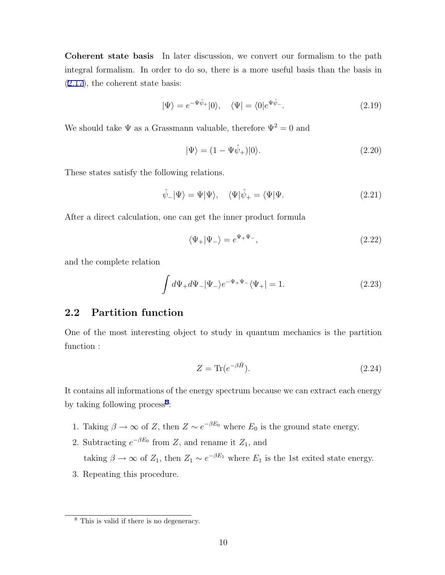**Coherent state basis** In later discussion, we convert our formalism to the path integral formalism. In order to do so, there is a more useful basis than the basis in (2.17), the coherent state basis:

$$
|\Psi\rangle = e^{-\Psi\hat{\psi}_{+}}|0\rangle, \quad \langle \Psi| = \langle 0|e^{\Psi\hat{\psi}_{-}}.
$$
\n(2.19)

We should take  $\Psi$  as a Grassmann valuable, therefore  $\Psi^2=0$  and

$$
|\Psi\rangle = (1 - \Psi \hat{\psi}_+)|0\rangle. \tag{2.20}
$$

These states satisfy the following relations.

$$
\hat{\psi}_{-}|\Psi\rangle = \Psi|\Psi\rangle, \quad \langle\Psi|\hat{\psi}_{+} = \langle\Psi|\Psi. \tag{2.21}
$$

After a direct calculation, one can get the inner product formula

$$
\langle \Psi_+ | \Psi_- \rangle = e^{\Psi_+ \Psi_-},\tag{2.22}
$$

and the complete relation

$$
\int d\Psi_+ d\Psi_- |\Psi_-\rangle e^{-\Psi_+\Psi_-} \langle \Psi_+ | = 1. \tag{2.23}
$$

# **2.2 Partition function**

One of the most interesting object to study in quantum mechanics is the partition function :

$$
Z = \text{Tr}(e^{-\beta \hat{H}}). \tag{2.24}
$$

It contains all informations of the energy spectrum because we can extract each energy by taking following process<sup>8</sup>:

- 1. Taking  $\beta \to \infty$  of *Z*, then  $Z \sim e^{-\beta E_0}$  where  $E_0$  is the ground state energy.
- 2. Subtracting  $e^{-\beta E_0}$  from *Z*, and rename it *Z*<sub>1</sub>, and taking  $\beta \to \infty$  of  $Z_1$ , then  $Z_1 \sim e^{-\beta E_1}$  where  $E_1$  is the 1st exited state energy.
- 3. Repeating this procedure*.*

<sup>8</sup> This is valid if there is no degeneracy.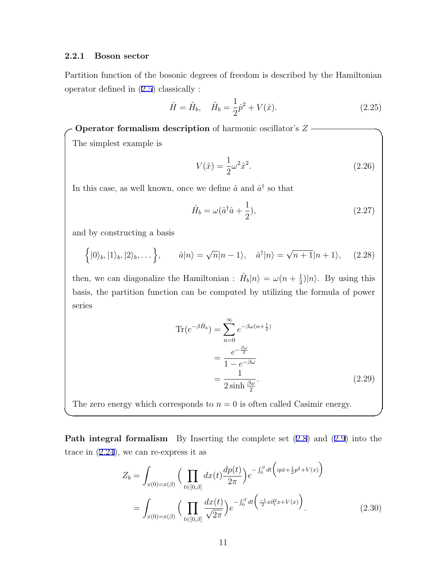#### **2.2.1 Boson sector**

Partition function of the bosonic degrees of freedom is described by the Hamiltonian operator defined in (2.5) classically :

$$
\hat{H} = \hat{H}_b, \quad \hat{H}_b = \frac{1}{2}\hat{p}^2 + V(\hat{x}).
$$
\n(2.25)

**Operator formalism description** of harmonic oscillator's  $Z$  – The simplest example is

$$
V(\hat{x}) = \frac{1}{2}\omega^2 \hat{x}^2.
$$
 (2.26)

In this case, as well known, once we define  $\hat{a}$  and  $\hat{a}^{\dagger}$  so that

$$
\hat{H}_b = \omega(\hat{a}^\dagger \hat{a} + \frac{1}{2}),\tag{2.27}
$$

and by constructing a basis

$$
\left\{|0\rangle_b, |1\rangle_b, |2\rangle_b, \dots\right\}, \qquad \hat{a}|n\rangle = \sqrt{n}|n-1\rangle, \quad \hat{a}^\dagger|n\rangle = \sqrt{n+1}|n+1\rangle, \quad (2.28)
$$

then, we can diagonalize the Hamiltonian :  $\hat{H}_b|n\rangle = \omega(n + \frac{1}{2})$  $\frac{1}{2}$ / $\ket{n}$ . By using this basis, the partition function can be computed by utilizing the formula of power series

$$
\operatorname{Tr}(e^{-\beta \hat{H}_b}) = \sum_{n=0}^{\infty} e^{-\beta \omega (n + \frac{1}{2})}
$$

$$
= \frac{e^{-\frac{\beta \omega}{2}}}{1 - e^{-\beta \omega}}
$$

$$
= \frac{1}{2 \sinh \frac{\beta \omega}{2}}.
$$
(2.29)

The zero energy which corresponds to  $n = 0$  is often called Casimir energy.

**Path integral formalism** By Inserting the complete set  $(2.8)$  and  $(2.9)$  into the trace in (2.24), we can re-express it as

**✒ ✑**

$$
Z_b = \int_{x(0) = x(\beta)} \left( \prod_{t \in [0,\beta]} dx(t) \frac{dp(t)}{2\pi} \right) e^{-\int_0^{\beta} dt \left( ip\dot{x} + \frac{1}{2}p^2 + V(x) \right)}
$$
  
= 
$$
\int_{x(0) = x(\beta)} \left( \prod_{t \in [0,\beta]} \frac{dx(t)}{\sqrt{2\pi}} \right) e^{-\int_0^{\beta} dt \left( \frac{-1}{2}x \partial_t^2 x + V(x) \right)}.
$$
 (2.30)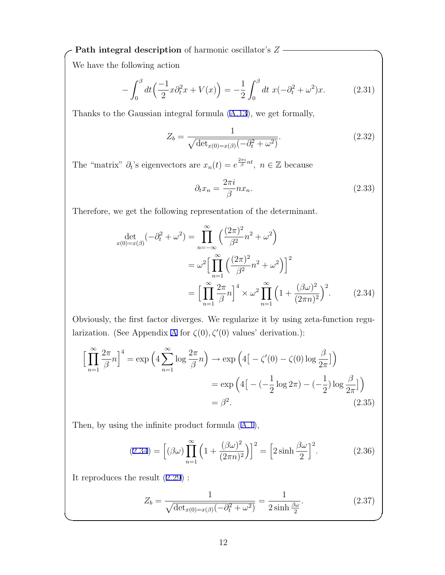*Path integral description* of harmonic oscillator's  $Z$  —

We have the following action

$$
-\int_0^\beta dt \left(\frac{-1}{2}x\partial_t^2 x + V(x)\right) = -\frac{1}{2}\int_0^\beta dt \ x(-\partial_t^2 + \omega^2)x. \tag{2.31}
$$

Thanks to the Gaussian integral formula (A.13), we get formally,

$$
Z_b = \frac{1}{\sqrt{\det_{x(0) = x(\beta)}(-\partial_t^2 + \omega^2)}}.
$$
\n(2.32)

The "matrix"  $\partial_t$ 's eigenvectors are  $x_n(t) = e^{\frac{2\pi i}{\beta}nt}$ ,  $n \in \mathbb{Z}$  because

$$
\partial_t x_n = \frac{2\pi i}{\beta} n x_n. \tag{2.33}
$$

Therefore, we get the following representation of the determinant.

$$
\det_{x(0)=x(\beta)}(-\partial_t^2 + \omega^2) = \prod_{n=-\infty}^{\infty} \left(\frac{(2\pi)^2}{\beta^2}n^2 + \omega^2\right)
$$
  

$$
= \omega^2 \Big[\prod_{n=1}^{\infty} \left(\frac{(2\pi)^2}{\beta^2}n^2 + \omega^2\right)\Big]^2
$$
  

$$
= \Big[\prod_{n=1}^{\infty} \frac{2\pi}{\beta}n\Big]^4 \times \omega^2 \prod_{n=1}^{\infty} \left(1 + \frac{(\beta\omega)^2}{(2\pi n)^2}\right)^2.
$$
 (2.34)

Obviously, the first factor diverges. We regularize it by using zeta-function regularization. (See Appendix A for  $\zeta(0), \zeta'(0)$  values' derivation.):

$$
\left[\prod_{n=1}^{\infty} \frac{2\pi}{\beta} n\right]^4 = \exp\left(4\sum_{n=1}^{\infty} \log \frac{2\pi}{\beta} n\right) \to \exp\left(4\left[-\zeta'(0) - \zeta(0)\log \frac{\beta}{2\pi}\right]\right)
$$

$$
= \exp\left(4\left[-\left(-\frac{1}{2}\log 2\pi\right) - \left(-\frac{1}{2}\right)\log \frac{\beta}{2\pi}\right]\right)
$$

$$
= \beta^2. \tag{2.35}
$$

Then, by using the infinite product formula (A.1),

$$
(2.34) = \left[ (\beta \omega) \prod_{n=1}^{\infty} \left( 1 + \frac{(\beta \omega)^2}{(2\pi n)^2} \right) \right]^2 = \left[ 2 \sinh \frac{\beta \omega}{2} \right]^2. \tag{2.36}
$$

It reproduces the result (2.29) :

$$
Z_b = \frac{1}{\sqrt{\det_{x(0)=x(\beta)}(-\partial_t^2 + \omega^2)}} = \frac{1}{2\sinh\frac{\beta\omega}{2}}.\tag{2.37}
$$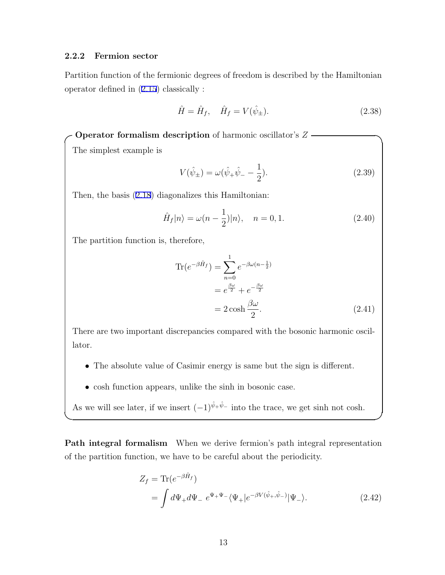#### **2.2.2 Fermion sector**

Partition function of the fermionic degrees of freedom is described by the Hamiltonian operator defined in (2.15) classically :

$$
\hat{H} = \hat{H}_f, \quad \hat{H}_f = V(\hat{\psi}_\pm).
$$
\n(2.38)

**Operator formalism description** of harmonic oscillator's  $Z$   $\cdot$ 

The simplest example is

$$
V(\hat{\psi}_{\pm}) = \omega(\hat{\psi}_{+}\hat{\psi}_{-} - \frac{1}{2}).
$$
\n(2.39)

Then, the basis (2.18) diagonalizes this Hamiltonian:

$$
\hat{H}_f|n\rangle = \omega(n - \frac{1}{2})|n\rangle, \quad n = 0, 1.
$$
\n(2.40)

The partition function is, therefore,

$$
\text{Tr}(e^{-\beta \hat{H}_f}) = \sum_{n=0}^{1} e^{-\beta \omega (n - \frac{1}{2})}
$$

$$
= e^{\frac{\beta \omega}{2}} + e^{-\frac{\beta \omega}{2}}
$$

$$
= 2 \cosh \frac{\beta \omega}{2}.
$$
(2.41)

There are two important discrepancies compared with the bosonic harmonic oscillator.

- The absolute value of Casimir energy is same but the sign is different.
- *•* cosh function appears, unlike the sinh in bosonic case.

As we will see later, if we insert  $(-1)^{\hat{\psi}_+ \hat{\psi}_-}$  into the trace, we get sinh not cosh.

**Path integral formalism** When we derive fermion's path integral representation of the partition function, we have to be careful about the periodicity.

**✒ ✑**

$$
Z_f = \text{Tr}(e^{-\beta \hat{H}_f})
$$
  
= 
$$
\int d\Psi_+ d\Psi_- e^{\Psi_+ \Psi_-} \langle \Psi_+ | e^{-\beta V(\hat{\psi}_+,\hat{\psi}_-)} | \Psi_- \rangle.
$$
 (2.42)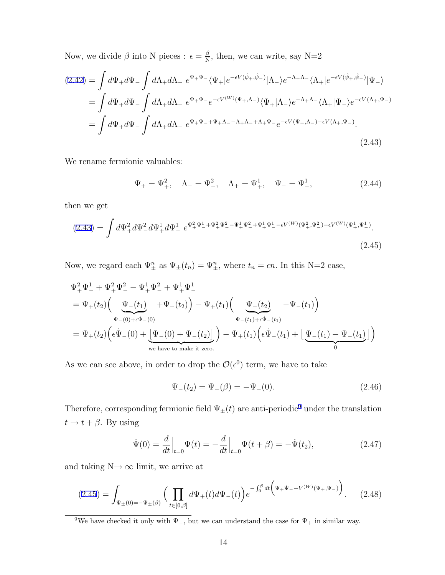Now, we divide  $\beta$  into N pieces :  $\epsilon = \frac{\beta}{N}$  $\frac{\beta}{N}$ , then, we can write, say N=2

$$
(2.42) = \int d\Psi_{+} d\Psi_{-} \int d\Lambda_{+} d\Lambda_{-} e^{\Psi_{+}\Psi_{-}} \langle \Psi_{+} | e^{-\epsilon V(\hat{\psi}_{+}, \hat{\psi}_{-})} | \Lambda_{-} \rangle e^{-\Lambda_{+}\Lambda_{-}} \langle \Lambda_{+} | e^{-\epsilon V(\hat{\psi}_{+}, \hat{\psi}_{-})} | \Psi_{-} \rangle
$$
  
\n
$$
= \int d\Psi_{+} d\Psi_{-} \int d\Lambda_{+} d\Lambda_{-} e^{\Psi_{+}\Psi_{-}} e^{-\epsilon V(W)} (\Psi_{+}, \Lambda_{-}) \langle \Psi_{+} | \Lambda_{-} \rangle e^{-\Lambda_{+}\Lambda_{-}} \langle \Lambda_{+} | \Psi_{-} \rangle e^{-\epsilon V(\Lambda_{+}, \Psi_{-})}
$$
  
\n
$$
= \int d\Psi_{+} d\Psi_{-} \int d\Lambda_{+} d\Lambda_{-} e^{\Psi_{+}\Psi_{-} + \Psi_{+}\Lambda_{-} - \Lambda_{+}\Lambda_{-} + \Lambda_{+}\Psi_{-}} e^{-\epsilon V(\Psi_{+}, \Lambda_{-}) - \epsilon V(\Lambda_{+}, \Psi_{-})}.
$$
\n(2.43)

We rename fermionic valuables:

$$
\Psi_{+} = \Psi_{+}^{2}, \quad \Lambda_{-} = \Psi_{-}^{2}, \quad \Lambda_{+} = \Psi_{+}^{1}, \quad \Psi_{-} = \Psi_{-}^{1},
$$
\n(2.44)

then we get

$$
(2.43) = \int d\Psi_{+}^{2} d\Psi_{-}^{2} d\Psi_{+}^{1} d\Psi_{-}^{1} e^{\Psi_{+}^{2} \Psi_{-}^{1} + \Psi_{+}^{2} \Psi_{-}^{2} - \Psi_{+}^{1} \Psi_{-}^{2} + \Psi_{+}^{1} \Psi_{-}^{1} - \epsilon V^{(W)} (\Psi_{+}^{2}, \Psi_{-}^{2}) - \epsilon V^{(W)} (\Psi_{+}^{1}, \Psi_{-}^{1})}.
$$
\n
$$
(2.45)
$$

Now, we regard each  $\Psi_{\pm}^n$  as  $\Psi_{\pm}(t_n) = \Psi_{\pm}^n$ , where  $t_n = \epsilon n$ . In this N=2 case,

$$
\Psi_{+}^{2} \Psi_{-}^{1} + \Psi_{+}^{2} \Psi_{-}^{2} - \Psi_{+}^{1} \Psi_{-}^{2} + \Psi_{+}^{1} \Psi_{-}^{1}
$$
\n
$$
= \Psi_{+}(t_{2}) \Big( \underbrace{\Psi_{-}(t_{1})}_{\Psi_{-}(0) + \epsilon \dot{\Psi}_{-}(0)} + \Psi_{-}(t_{2}) \Big) - \Psi_{+}(t_{1}) \Big( \underbrace{\Psi_{-}(t_{2})}_{\Psi_{-}(t_{1}) + \epsilon \dot{\Psi}_{-}(t_{1})} - \Psi_{-}(t_{1}) \Big)
$$
\n
$$
= \Psi_{+}(t_{2}) \Big( \epsilon \dot{\Psi}_{-}(0) + \underbrace{\Psi_{-}(0) + \Psi_{-}(t_{2})}_{\text{we have to make it zero.}} \Big) - \Psi_{+}(t_{1}) \Big( \epsilon \dot{\Psi}_{-}(t_{1}) + \underbrace{\Psi_{-}(t_{1}) - \Psi_{-}(t_{1})}_{0} \Big)
$$

As we can see above, in order to drop the  $\mathcal{O}(\epsilon^0)$  term, we have to take

$$
\Psi_{-}(t_2) = \Psi_{-}(\beta) = -\Psi_{-}(0). \tag{2.46}
$$

Therefore, corresponding fermionic field  $\Psi_{\pm}(t)$  are anti-periodic<sup>9</sup> under the translation  $t \rightarrow t + \beta$ . By using

$$
\dot{\Psi}(0) = \frac{d}{dt}\Big|_{t=0} \Psi(t) = -\frac{d}{dt}\Big|_{t=0} \Psi(t+\beta) = -\dot{\Psi}(t_2),\tag{2.47}
$$

and taking  $\textbf{N}\mathbin{\rightarrow}\infty$  limit, we arrive at

$$
(2.45) = \int_{\Psi_{\pm}(0) = -\Psi_{\pm}(\beta)} \left( \prod_{t \in [0,\beta]} d\Psi_{+}(t) d\Psi_{-}(t) \right) e^{-\int_0^{\beta} dt \left( \Psi_{+} \dot{\Psi}_{-} + V^{(W)}(\Psi_{+}, \Psi_{-}) \right)}.
$$
 (2.48)

<sup>&</sup>lt;sup>9</sup>We have checked it only with  $\Psi_$ , but we can understand the case for  $\Psi_+$  in similar way.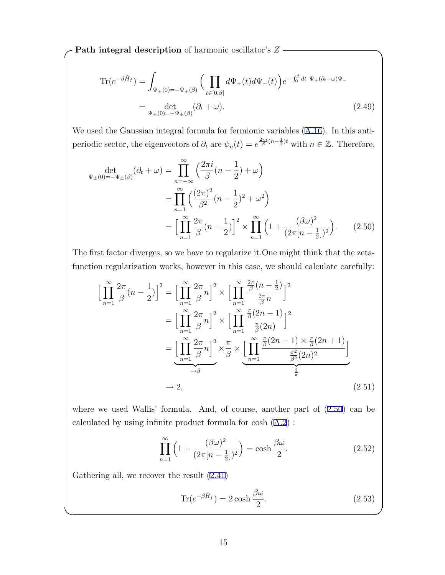$Z -$  **Path integral description** of harmonic oscillator's  $Z -$ 

$$
\operatorname{Tr}(e^{-\beta \hat{H}_f}) = \int_{\Psi_{\pm}(0) = -\Psi_{\pm}(\beta)} \left( \prod_{t \in [0,\beta]} d\Psi_+(t) d\Psi_-(t) \right) e^{-\int_0^{\beta} dt \ \Psi_+(\partial_t + \omega)\Psi_-}
$$
  
= 
$$
\det_{\Psi_{\pm}(0) = -\Psi_{\pm}(\beta)} (\partial_t + \omega).
$$
 (2.49)

We used the Gaussian integral formula for fermionic variables (A.16). In this antiperiodic sector, the eigenvectors of  $\partial_t$  are  $\psi_n(t) = e^{\frac{2\pi i}{\beta}(n-\frac{1}{2})t}$  with  $n \in \mathbb{Z}$ . Therefore,

$$
\begin{split} \det_{\Psi_{\pm}(0)=-\Psi_{\pm}(\beta)}(\partial_{t}+\omega) &= \prod_{n=-\infty}^{\infty} \left(\frac{2\pi i}{\beta}(n-\frac{1}{2})+\omega\right) \\ &= \prod_{n=1}^{\infty} \left(\frac{(2\pi)^{2}}{\beta^{2}}(n-\frac{1}{2})^{2}+\omega^{2}\right) \\ &= \left[\prod_{n=1}^{\infty} \frac{2\pi}{\beta}(n-\frac{1}{2})\right]^{2} \times \prod_{n=1}^{\infty} \left(1+\frac{(\beta\omega)^{2}}{(2\pi[n-\frac{1}{2}])^{2}}\right). \end{split} \tag{2.50}
$$

The first factor diverges, so we have to regularize it.One might think that the zetafunction regularization works, however in this case, we should calculate carefully:

$$
\left[\prod_{n=1}^{\infty} \frac{2\pi}{\beta} (n - \frac{1}{2})\right]^2 = \left[\prod_{n=1}^{\infty} \frac{2\pi}{\beta} n\right]^2 \times \left[\prod_{n=1}^{\infty} \frac{\frac{2\pi}{\beta} (n - \frac{1}{2})}{\frac{2\pi}{\beta} n}\right]^2
$$

$$
= \left[\prod_{n=1}^{\infty} \frac{2\pi}{\beta} n\right]^2 \times \left[\prod_{n=1}^{\infty} \frac{\frac{\pi}{\beta} (2n - 1)}{\frac{\pi}{\beta} (2n)}\right]^2
$$

$$
= \underbrace{\left[\prod_{n=1}^{\infty} \frac{2\pi}{\beta} n\right]^2}_{\rightarrow \beta} \times \underbrace{\pi}_{\beta} \times \underbrace{\left[\prod_{n=1}^{\infty} \frac{\frac{\pi}{\beta} (2n - 1) \times \frac{\pi}{\beta} (2n + 1)}{\frac{\pi^2}{\beta^2} (2n)^2}\right]}_{\rightarrow 2},
$$
(2.51)

where we used Wallis' formula. And, of course, another part of (2.50) can be calculated by using infinite product formula for cosh (A.2) :

$$
\prod_{n=1}^{\infty} \left( 1 + \frac{(\beta \omega)^2}{(2\pi \left[ n - \frac{1}{2} \right])^2} \right) = \cosh \frac{\beta \omega}{2}.
$$
\n(2.52)

Gathering all, we recover the result (2.41)

$$
\text{Tr}(e^{-\beta \hat{H}_f}) = 2 \cosh \frac{\beta \omega}{2}.
$$
 (2.53)

**✒ ✑**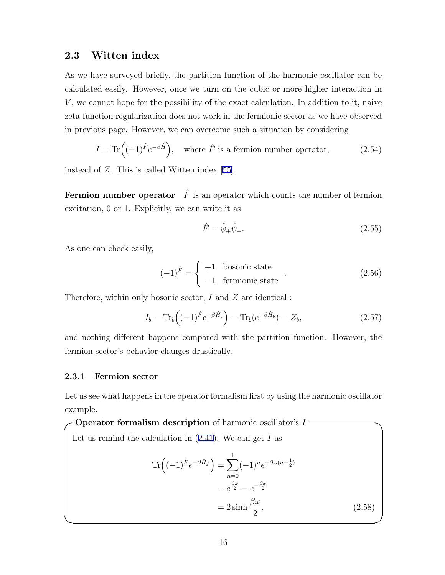#### **2.3 Witten index**

As we have surveyed briefly, the partition function of the harmonic oscillator can be calculated easily. However, once we turn on the cubic or more higher interaction in *V* , we cannot hope for the possibility of the exact calculation. In addition to it, naive zeta-function regularization does not work in the fermionic sector as we have observed in previous page. However, we can overcome such a situation by considering

$$
I = \text{Tr}\left((-1)^{\hat{F}}e^{-\beta \hat{H}}\right), \text{ where } \hat{F} \text{ is a fermion number operator,} \tag{2.54}
$$

instead of *Z*. This is called Witten index [55].

**Fermion number operator**  $\hat{F}$  is an operator which counts the number of fermion excitation, 0 or 1. Explicitly, we can write it as

$$
\hat{F} = \hat{\psi}_+ \hat{\psi}_-.\tag{2.55}
$$

As one can check easily,

$$
(-1)^{\hat{F}} = \begin{cases} +1 & \text{bosonic state} \\ -1 & \text{fermionic state} \end{cases}
$$
 (2.56)

Therefore, within only bosonic sector, *I* and *Z* are identical :

$$
I_b = \text{Tr}_b \left( (-1)^{\hat{F}} e^{-\beta \hat{H}_b} \right) = \text{Tr}_b (e^{-\beta \hat{H}_b}) = Z_b,
$$
\n(2.57)

and nothing different happens compared with the partition function. However, the fermion sector's behavior changes drastically.

#### **2.3.1 Fermion sector**

Let us see what happens in the operator formalism first by using the harmonic oscillator example.

 $\bullet$  **Operator formalism description** of harmonic oscillator's *I*  $\bullet$ Let us remind the calculation in (2.41). We can get *I* as  $\text{Tr}\left((-1)^{\hat{F}}e^{-\beta \hat{H}_f}\right) = \sum_{\lambda}$ 1 *n*=0  $(-1)^n e^{-\beta \omega (n-\frac{1}{2})}$  $= e^{\frac{\beta \omega}{2}} - e^{-\frac{\beta \omega}{2}}$  $= 2 \sinh \frac{\beta \omega}{\rho}$ 2  $(2.58)$ 

**✒ ✑**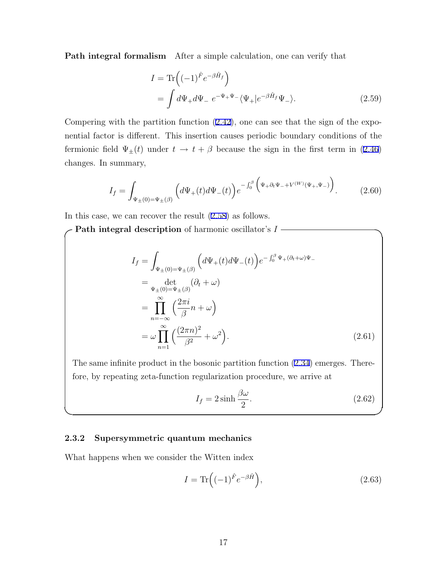**Path integral formalism** After a simple calculation, one can verify that

$$
I = \text{Tr}\left((-1)^{\hat{F}}e^{-\beta \hat{H}_f}\right)
$$
  
= 
$$
\int d\Psi_+ d\Psi_- e^{-\Psi_+ \Psi_-} \langle \Psi_+ | e^{-\beta \hat{H}_f} \Psi_- \rangle.
$$
 (2.59)

Compering with the partition function (2.42), one can see that the sign of the exponential factor is different. This insertion causes periodic boundary conditions of the fermionic field  $\Psi_{\pm}(t)$  under  $t \to t + \beta$  because the sign in the first term in (2.46) changes. In summary,

$$
I_f = \int_{\Psi_{\pm}(0) = \Psi_{\pm}(\beta)} \left( d\Psi_{+}(t) d\Psi_{-}(t) \right) e^{-\int_0^{\beta} \left( \Psi_{+} \partial_t \Psi_{-} + V^{(W)}(\Psi_{+}, \Psi_{-}) \right)}.
$$
 (2.60)

In this case, we can recover the result (2.58) as follows.

**Path integral description** of harmonic oscillator's  $I$  –

$$
I_f = \int_{\Psi_{\pm}(0)=\Psi_{\pm}(\beta)} \left( d\Psi_{+}(t) d\Psi_{-}(t) \right) e^{-\int_0^{\beta} \Psi_{+}(\partial_t + \omega)\Psi_{-}}
$$
  
\n
$$
= \det_{\Psi_{\pm}(0)=\Psi_{\pm}(\beta)} (\partial_t + \omega)
$$
  
\n
$$
= \prod_{n=-\infty}^{\infty} \left( \frac{2\pi i}{\beta} n + \omega \right)
$$
  
\n
$$
= \omega \prod_{n=1}^{\infty} \left( \frac{(2\pi n)^2}{\beta^2} + \omega^2 \right).
$$
 (2.61)

The same infinite product in the bosonic partition function (2.34) emerges. Therefore, by repeating zeta-function regularization procedure, we arrive at

**✒ ✑**

$$
I_f = 2\sinh\frac{\beta\omega}{2}.\tag{2.62}
$$

#### **2.3.2 Supersymmetric quantum mechanics**

What happens when we consider the Witten index

$$
I = \text{Tr}\left((-1)^{\hat{F}}e^{-\beta\hat{H}}\right),\tag{2.63}
$$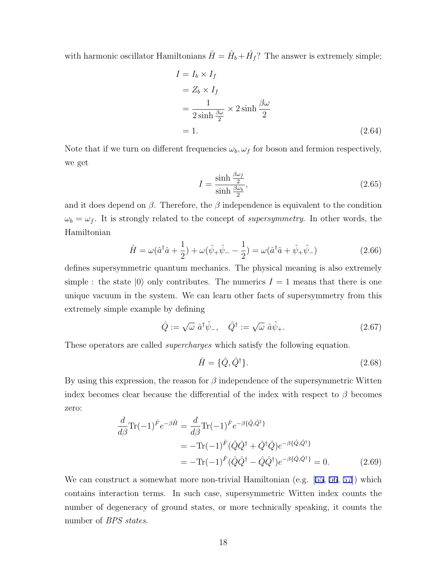with harmonic oscillator Hamiltonians  $\hat{H} = \hat{H}_b + \hat{H}_f$ ? The answer is extremely simple;

$$
I = I_b \times I_f
$$
  
=  $Z_b \times I_f$   
=  $\frac{1}{2 \sinh \frac{\beta \omega}{2}} \times 2 \sinh \frac{\beta \omega}{2}$   
= 1. (2.64)

Note that if we turn on different frequencies  $\omega_b$ ,  $\omega_f$  for boson and fermion respectively, we get

$$
I = \frac{\sinh\frac{\beta\omega_f}{2}}{\sinh\frac{\beta\omega_b}{2}},\tag{2.65}
$$

and it does depend on  $\beta$ . Therefore, the  $\beta$  independence is equivalent to the condition  $\omega_b = \omega_f$ . It is strongly related to the concept of *supersymmetry*. In other words, the Hamiltonian

$$
\hat{H} = \omega(\hat{a}^\dagger \hat{a} + \frac{1}{2}) + \omega(\hat{\psi}_+ \hat{\psi}_- - \frac{1}{2}) = \omega(\hat{a}^\dagger \hat{a} + \hat{\psi}_+ \hat{\psi}_-) \tag{2.66}
$$

defines supersymmetric quantum mechanics. The physical meaning is also extremely simple : the state  $|0\rangle$  only contributes. The numerics  $I = 1$  means that there is one unique vacuum in the system. We can learn other facts of supersymmetry from this extremely simple example by defining

$$
\hat{Q} := \sqrt{\omega} \; \hat{a}^{\dagger} \hat{\psi}_{-}, \quad \hat{Q}^{\dagger} := \sqrt{\omega} \; \hat{a} \hat{\psi}_{+}.
$$
 (2.67)

These operators are called *supercharges* which satisfy the following equation.

$$
\hat{H} = \{\hat{Q}, \hat{Q}^{\dagger}\}.
$$
\n(2.68)

By using this expression, the reason for *β* independence of the supersymmetric Witten index becomes clear because the differential of the index with respect to  $\beta$  becomes zero:

$$
\frac{d}{d\beta}\text{Tr}(-1)^{\hat{F}}e^{-\beta\hat{H}} = \frac{d}{d\beta}\text{Tr}(-1)^{\hat{F}}e^{-\beta\{\hat{Q},\hat{Q}^{\dagger}\}} \n= -\text{Tr}(-1)^{\hat{F}}(\hat{Q}\hat{Q}^{\dagger} + \hat{Q}^{\dagger}\hat{Q})e^{-\beta\{\hat{Q},\hat{Q}^{\dagger}\}} \n= -\text{Tr}(-1)^{\hat{F}}(\hat{Q}\hat{Q}^{\dagger} - \hat{Q}\hat{Q}^{\dagger})e^{-\beta\{\hat{Q},\hat{Q}^{\dagger}\}} = 0.
$$
\n(2.69)

We can construct a somewhat more non-trivial Hamiltonian (e.g. [55, 56, 57]) which contains interaction terms. In such case, supersymmetric Witten index counts the number of degeneracy of ground states, or more technically speaking, it counts the number of *BPS states*.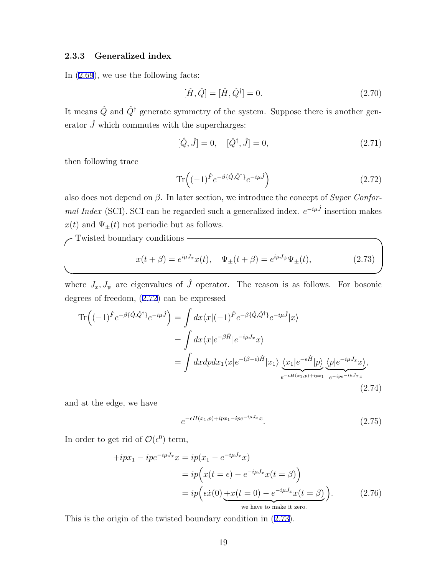#### **2.3.3 Generalized index**

In (2.69), we use the following facts:

$$
[\hat{H}, \hat{Q}] = [\hat{H}, \hat{Q}^{\dagger}] = 0.
$$
\n(2.70)

It means  $\hat{Q}$  and  $\hat{Q}^{\dagger}$  generate symmetry of the system. Suppose there is another generator  $\hat{J}$  which commutes with the supercharges:

$$
[\hat{Q}, \hat{J}] = 0, \quad [\hat{Q}^{\dagger}, \hat{J}] = 0, \tag{2.71}
$$

then following trace

$$
\operatorname{Tr}\left((-1)^{\hat{F}}e^{-\beta\{\hat{Q},\hat{Q}^{\dagger}\}}e^{-i\mu\hat{J}}\right) \tag{2.72}
$$

also does not depend on *β*. In later section, we introduce the concept of *Super Conformal Index* (SCI). SCI can be regarded such a generalized index.  $e^{-i\mu\hat{J}}$  insertion makes  $x(t)$  and  $\Psi_{\pm}(t)$  not periodic but as follows.

**✓**Twisted boundary conditions **✏**

$$
x(t + \beta) = e^{i\mu J_x} x(t), \quad \Psi_{\pm}(t + \beta) = e^{i\mu J_{\psi}} \Psi_{\pm}(t), \tag{2.73}
$$

where  $J_x, J_\psi$  are eigenvalues of  $\hat{J}$  operator. The reason is as follows. For bosonic degrees of freedom, (2.72) can be expressed

$$
\begin{split} \operatorname{Tr}\left((-1)^{\hat{F}}e^{-\beta\{\hat{Q},\hat{Q}^{\dagger}\}}e^{-i\mu\hat{J}}\right) &= \int dx \langle x|(-1)^{\hat{F}}e^{-\beta\{\hat{Q},\hat{Q}^{\dagger}\}}e^{-i\mu\hat{J}}|x\rangle \\ &= \int dx \langle x|e^{-\beta\hat{H}}|e^{-i\mu J_x}x\rangle \\ &= \int dx dp dx_1 \langle x|e^{-(\beta-\epsilon)\hat{H}}|x_1\rangle \underbrace{\langle x_1|e^{-\epsilon\hat{H}}|p\rangle}_{e^{-\epsilon H(x_1,p)+ipx_1}} \underbrace{\langle p|e^{-i\mu J_x}x\rangle}_{e^{-ip e^{-i\mu J_x}}}, \end{split} \tag{2.74}
$$

and at the edge, we have

$$
e^{-\epsilon H(x_1, p) + ipx_1 - ipe^{-i\mu J_x}x}.\tag{2.75}
$$

In order to get rid of  $\mathcal{O}(\epsilon^0)$  term,

$$
+ipx_1 - ip e^{-i\mu J_x} x = ip(x_1 - e^{-i\mu J_x} x)
$$
  
=  $ip\left(x(t = \epsilon) - e^{-i\mu J_x} x(t = \beta)\right)$   
=  $ip\left(\epsilon \dot{x}(0) \underbrace{+x(t = 0) - e^{-i\mu J_x} x(t = \beta)}_{\text{we have to make it zero.}}\right).$  (2.76)

This is the origin of the twisted boundary condition in (2.73).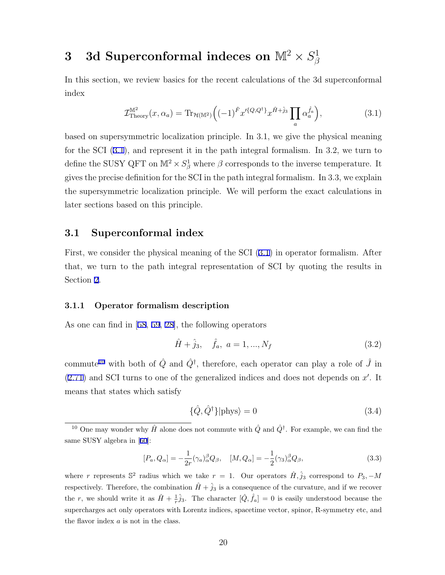#### ${\bf 3} \quad {\bf 3d} \,\, {\bf Superconformal}\,\, {\bf indeces\,\, on}\,\, {\mathbb M}^2\times S^1_{\beta}$ *β*

In this section, we review basics for the recent calculations of the 3d superconformal index

$$
\mathcal{I}_{\text{Theory}}^{\mathbb{M}^2}(x,\alpha_a) = \text{Tr}_{\mathcal{H}(\mathbb{M}^2)} \left( (-1)^{\hat{F}} x^{\prime \{Q,Q^{\dagger}\}} x^{\hat{H} + \hat{j}_3} \prod_a \alpha_a^{\hat{f}_a} \right),\tag{3.1}
$$

based on supersymmetric localization principle. In 3.1, we give the physical meaning for the SCI (3.1), and represent it in the path integral formalism. In 3.2, we turn to define the SUSY QFT on  $\mathbb{M}^2 \times S^1_\beta$  where  $\beta$  corresponds to the inverse temperature. It gives the precise definition for the SCI in the path integral formalism. In 3.3, we explain the supersymmetric localization principle. We will perform the exact calculations in later sections based on this principle.

### **3.1 Superconformal index**

First, we consider the physical meaning of the SCI (3.1) in operator formalism. After that, we turn to the path integral representation of SCI by quoting the results in Section 2.

#### **3.1.1 Operator formalism description**

As one can find in [58, 59, 28], the following operators

$$
\hat{H} + \hat{j}_3, \quad \hat{f}_a, \quad a = 1, ..., N_f
$$
\n(3.2)

commute<sup>10</sup> with both of  $\hat{Q}$  and  $\hat{Q}^{\dagger}$ , therefore, each operator can play a role of  $\hat{J}$  in  $(2.71)$  and SCI turns to one of the generalized indices and does not depends on  $x'$ . It means that states which satisfy

$$
\{\hat{Q}, \hat{Q}^{\dagger}\}|\text{phys}\rangle = 0\tag{3.4}
$$

$$
[P_a, Q_{\alpha}] = -\frac{1}{2r} (\gamma_a)^{\beta}_{\alpha} Q_{\beta}, \quad [M, Q_{\alpha}] = -\frac{1}{2} (\gamma_3)^{\beta}_{\alpha} Q_{\beta}, \tag{3.3}
$$

where *r* represents  $\mathbb{S}^2$  radius which we take  $r = 1$ . Our operators  $\hat{H}, \hat{j}_3$  correspond to  $P_3$ ,  $-\hat{M}$ respectively. Therefore, the combination  $\hat{H} + \hat{j}_3$  is a consequence of the curvature, and if we recover the *r*, we should write it as  $\hat{H} + \frac{1}{r}\hat{j}_3$ . The character  $[\hat{Q}, \hat{f}_a] = 0$  is easily understood because the supercharges act only operators with Lorentz indices, spacetime vector, spinor, R-symmetry etc, and the flavor index *a* is not in the class.

<sup>&</sup>lt;sup>10</sup> One may wonder why  $\hat{H}$  alone does not commute with  $\hat{Q}$  and  $\hat{Q}^{\dagger}$ . For example, we can find the same SUSY algebra in [60]: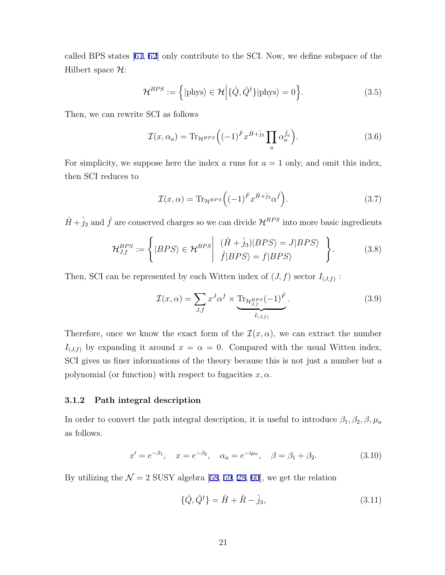called BPS states [61, 62] only contribute to the SCI. Now, we define subspace of the Hilbert space *H*:

$$
\mathcal{H}^{BPS} := \left\{ |\text{phys}\rangle \in \mathcal{H} \middle| \{ \hat{Q}, \hat{Q}^{\dagger} \} | \text{phys}\rangle = 0 \right\}.
$$
 (3.5)

Then, we can rewrite SCI as follows

$$
\mathcal{I}(x,\alpha_a) = \text{Tr}_{\mathcal{H}^{BPS}}\Big((-1)^{\hat{F}}x^{\hat{H}+\hat{j}_3}\prod_a \alpha_a^{\hat{f}_a}\Big). \tag{3.6}
$$

For simplicity, we suppose here the index  $a$  runs for  $a = 1$  only, and omit this index, then SCI reduces to

$$
\mathcal{I}(x,\alpha) = \text{Tr}_{\mathcal{H}^{BPS}}\left((-1)^{\hat{F}}x^{\hat{H}+\hat{j}_3}\alpha^{\hat{f}}\right).
$$
\n(3.7)

 $\hat{H} + \hat{j}_3$  and  $\hat{f}$  are conserved charges so we can divide  $\mathcal{H}^{BPS}$  into more basic ingredients

$$
\mathcal{H}_{J,f}^{BPS} := \left\{ |BPS\rangle \in \mathcal{H}^{BPS} \middle| \begin{array}{c} (\hat{H} + \hat{j}_3)|BPS\rangle = J|BPS\rangle \\ \hat{f}|BPS\rangle = f|BPS\rangle \end{array} \right\}.
$$
 (3.8)

Then, SCI can be represented by each Witten index of  $(J, f)$  sector  $I_{(J,f)}$ :

$$
\mathcal{I}(x,\alpha) = \sum_{J,f} x^J \alpha^f \times \underbrace{\text{Tr}_{\mathcal{H}_{J,f}^{BPS}}(-1)^{\hat{F}}}_{I_{(J,f)}}.
$$
\n(3.9)

Therefore, once we know the exact form of the  $\mathcal{I}(x,\alpha)$ , we can extract the number  $I_{(J,f)}$  by expanding it around  $x = \alpha = 0$ . Compared with the usual Witten index, SCI gives us finer informations of the theory because this is not just a number but a polynomial (or function) with respect to fugacities  $x, \alpha$ .

#### **3.1.2 Path integral description**

In order to convert the path integral description, it is useful to introduce  $\beta_1, \beta_2, \beta, \mu_a$ as follows.

$$
x' = e^{-\beta_1}, \quad x = e^{-\beta_2}, \quad \alpha_a = e^{-i\mu_a}, \quad \beta = \beta_1 + \beta_2.
$$
 (3.10)

By utilizing the  $\mathcal{N} = 2$  SUSY algebra [58, 59, 28, 60], we get the relation

$$
\{\hat{Q}, \hat{Q}^{\dagger}\} = \hat{H} + \hat{R} - \hat{j}_3,\tag{3.11}
$$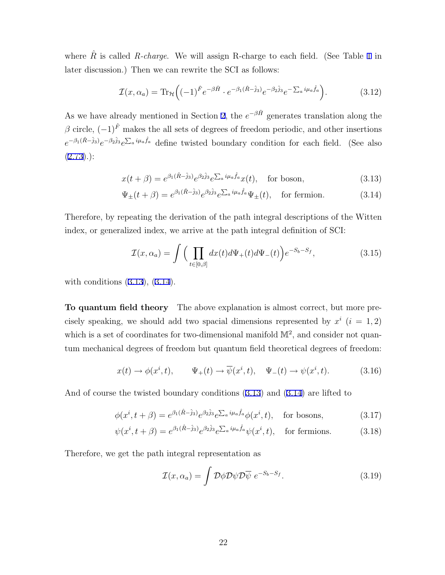where  $\hat{R}$  is called *R-charge*. We will assign R-charge to each field. (See Table 1 in later discussion.) Then we can rewrite the SCI as follows:

$$
\mathcal{I}(x,\alpha_a) = \text{Tr}_{\mathcal{H}}\Big( (-1)^{\hat{F}} e^{-\beta \hat{H}} \cdot e^{-\beta_1(\hat{R}-\hat{j}_3)} e^{-\beta_2 \hat{j}_3} e^{-\sum_a i \mu_a \hat{f}_a} \Big). \tag{3.12}
$$

As we have already mentioned in Section 2, the  $e^{-\beta \hat{H}}$  generates translation along the  $\beta$  circle,  $(-1)^{\hat{F}}$  makes the all sets of degrees of freedom periodic, and other insertions  $e^{-\beta_1(\hat{R}-\hat{j}_3)}e^{-\beta_2\hat{j}_3}e^{\sum_a i\mu_a\hat{f}_a}$  define twisted boundary condition for each field. (See also  $(2.73).):$ 

$$
x(t+\beta) = e^{\beta_1(\hat{R}-\hat{j}_3)} e^{\beta_2 \hat{j}_3} e^{\sum_a i \mu_a \hat{f}_a} x(t), \quad \text{for boson}, \tag{3.13}
$$

$$
\Psi_{\pm}(t+\beta) = e^{\beta_1(\hat{R}-\hat{j}_3)} e^{\beta_2 \hat{j}_3} e^{\sum_a i \mu_a \hat{f}_a} \Psi_{\pm}(t), \quad \text{for fermion.} \tag{3.14}
$$

Therefore, by repeating the derivation of the path integral descriptions of the Witten index, or generalized index, we arrive at the path integral definition of SCI:

$$
\mathcal{I}(x,\alpha_a) = \int \Big( \prod_{t \in [0,\beta]} dx(t) d\Psi_+(t) d\Psi_-(t) \Big) e^{-S_b - S_f}, \tag{3.15}
$$

with conditions (3.13), (3.14).

**To quantum field theory** The above explanation is almost correct, but more precisely speaking, we should add two spacial dimensions represented by  $x^i$  ( $i = 1, 2$ ) which is a set of coordinates for two-dimensional manifold  $\mathbb{M}^2$ , and consider not quantum mechanical degrees of freedom but quantum field theoretical degrees of freedom:

$$
x(t) \to \phi(x^i, t), \qquad \Psi_+(t) \to \overline{\psi}(x^i, t), \quad \Psi_-(t) \to \psi(x^i, t). \tag{3.16}
$$

And of course the twisted boundary conditions (3.13) and (3.14) are lifted to

$$
\phi(x^i, t + \beta) = e^{\beta_1(\hat{R} - \hat{j}_3)} e^{\beta_2 \hat{j}_3} e^{\sum_a i \mu_a \hat{f}_a} \phi(x^i, t), \quad \text{for bosons}, \tag{3.17}
$$

$$
\psi(x^i, t + \beta) = e^{\beta_1(\hat{R} - \hat{j}_3)} e^{\beta_2 \hat{j}_3} e^{\sum_a i \mu_a \hat{f}_a} \psi(x^i, t), \quad \text{for fermions.} \tag{3.18}
$$

Therefore, we get the path integral representation as

$$
\mathcal{I}(x,\alpha_a) = \int \mathcal{D}\phi \mathcal{D}\psi \mathcal{D}\overline{\psi} \ e^{-S_b - S_f}.
$$
 (3.19)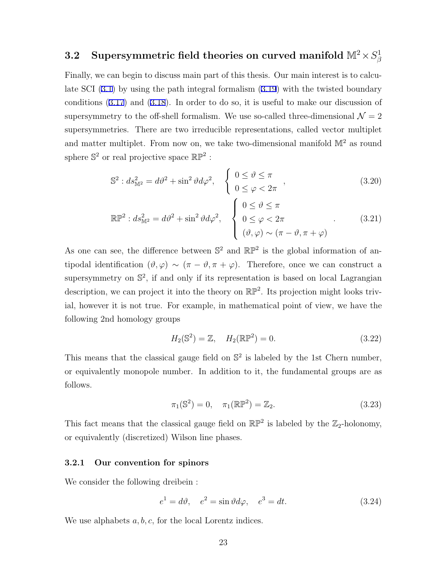#### ${\bf 3.2} \quad$  Supersymmetric field theories on curved manifold  $\mathbb{M}^2\!\times S^1_{\beta}$ *β*

Finally, we can begin to discuss main part of this thesis. Our main interest is to calculate SCI (3.1) by using the path integral formalism (3.19) with the twisted boundary conditions (3.17) and (3.18). In order to do so, it is useful to make our discussion of supersymmetry to the off-shell formalism. We use so-called three-dimensional  $\mathcal{N}=2$ supersymmetries. There are two irreducible representations, called vector multiplet and matter multiplet. From now on, we take two-dimensional manifold  $\mathbb{M}^2$  as round sphere  $\mathbb{S}^2$  or real projective space  $\mathbb{RP}^2$ :

$$
\mathbb{S}^2 : ds_{\mathbb{M}^2}^2 = d\vartheta^2 + \sin^2 \vartheta d\varphi^2, \quad \begin{cases} 0 \le \vartheta \le \pi \\ 0 \le \varphi < 2\pi \end{cases} , \tag{3.20}
$$

$$
\mathbb{RP}^2 : ds_{\mathbb{M}^2}^2 = d\vartheta^2 + \sin^2 \vartheta d\varphi^2, \quad \begin{cases} 0 \le \vartheta \le \pi \\ 0 \le \varphi < 2\pi \\ (\vartheta, \varphi) \sim (\pi - \vartheta, \pi + \varphi) \end{cases} \tag{3.21}
$$

As one can see, the difference between  $\mathbb{S}^2$  and  $\mathbb{RP}^2$  is the global information of antipodal identification  $(\vartheta, \varphi) \sim (\pi - \vartheta, \pi + \varphi)$ . Therefore, once we can construct a supersymmetry on S 2 , if and only if its representation is based on local Lagrangian description, we can project it into the theory on  $\mathbb{RP}^2$ . Its projection might looks trivial, however it is not true. For example, in mathematical point of view, we have the following 2nd homology groups

$$
H_2(\mathbb{S}^2) = \mathbb{Z}, \quad H_2(\mathbb{RP}^2) = 0.
$$
 (3.22)

This means that the classical gauge field on  $\mathbb{S}^2$  is labeled by the 1st Chern number, or equivalently monopole number. In addition to it, the fundamental groups are as follows.

$$
\pi_1(\mathbb{S}^2) = 0, \quad \pi_1(\mathbb{RP}^2) = \mathbb{Z}_2.
$$
 (3.23)

This fact means that the classical gauge field on  $\mathbb{RP}^2$  is labeled by the  $\mathbb{Z}_2$ -holonomy, or equivalently (discretized) Wilson line phases.

#### **3.2.1 Our convention for spinors**

We consider the following dreibein :

$$
e1 = d\vartheta, \quad e2 = \sin \vartheta d\varphi, \quad e3 = dt.
$$
 (3.24)

We use alphabets *a, b, c,* for the local Lorentz indices.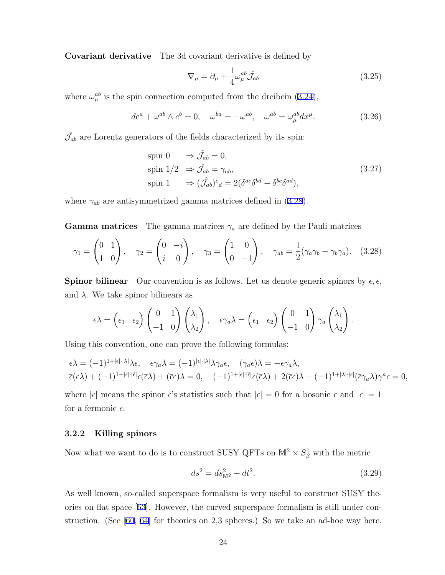**Covariant derivative** The 3d covariant derivative is defined by

$$
\nabla_{\mu} = \partial_{\mu} + \frac{1}{4} \omega_{\mu}^{ab} \hat{\mathcal{J}}_{ab} \tag{3.25}
$$

where  $\omega_{\mu}^{ab}$  is the spin connection computed from the dreibein (3.24),

$$
de^{a} + \omega^{ab} \wedge e^{b} = 0, \quad \omega^{ba} = -\omega^{ab}, \quad \omega^{ab} = \omega_{\mu}^{ab} dx^{\mu}.
$$
 (3.26)

 $\hat{\mathcal{J}}_{ab}$  are Lorentz generators of the fields characterized by its spin:

$$
\begin{aligned}\n\text{spin } 0 & \Rightarrow \hat{\mathcal{J}}_{ab} = 0, \\
\text{spin } 1/2 & \Rightarrow \hat{\mathcal{J}}_{ab} = \gamma_{ab}, \\
\text{spin } 1 & \Rightarrow (\hat{\mathcal{J}}_{ab})^c{}_d = 2(\delta^{ac}\delta^{bd} - \delta^{bc}\delta^{ad}),\n\end{aligned} \tag{3.27}
$$

where  $\gamma_{ab}$  are antisymmetrized gamma matrices defined in (3.28).

**Gamma matrices** The gamma matrices  $\gamma_a$  are defined by the Pauli matrices

$$
\gamma_1 = \begin{pmatrix} 0 & 1 \\ 1 & 0 \end{pmatrix}, \quad \gamma_2 = \begin{pmatrix} 0 & -i \\ i & 0 \end{pmatrix}, \quad \gamma_3 = \begin{pmatrix} 1 & 0 \\ 0 & -1 \end{pmatrix}, \quad \gamma_{ab} = \frac{1}{2} (\gamma_a \gamma_b - \gamma_b \gamma_a). \quad (3.28)
$$

**Spinor bilinear** Our convention is as follows. Let us denote generic spinors by  $\epsilon$ ,  $\bar{\epsilon}$ , and  $\lambda$ . We take spinor bilinears as

$$
\epsilon \lambda = \begin{pmatrix} \epsilon_1 & \epsilon_2 \end{pmatrix} \begin{pmatrix} 0 & 1 \\ -1 & 0 \end{pmatrix} \begin{pmatrix} \lambda_1 \\ \lambda_2 \end{pmatrix}, \quad \epsilon \gamma_a \lambda = \begin{pmatrix} \epsilon_1 & \epsilon_2 \end{pmatrix} \begin{pmatrix} 0 & 1 \\ -1 & 0 \end{pmatrix} \gamma_a \begin{pmatrix} \lambda_1 \\ \lambda_2 \end{pmatrix}.
$$

Using this convention, one can prove the following formulas:

$$
\epsilon \lambda = (-1)^{1+|\epsilon|\cdot|\lambda|} \lambda \epsilon, \quad \epsilon \gamma_a \lambda = (-1)^{|\epsilon|\cdot|\lambda|} \lambda \gamma_a \epsilon, \quad (\gamma_a \epsilon) \lambda = -\epsilon \gamma_a \lambda,
$$
  

$$
\overline{\epsilon}(\epsilon \lambda) + (-1)^{1+|\epsilon|\cdot|\overline{\epsilon}|} \epsilon(\overline{\epsilon} \lambda) + (\overline{\epsilon} \epsilon) \lambda = 0, \quad (-1)^{1+|\epsilon|\cdot|\overline{\epsilon}|} \epsilon(\overline{\epsilon} \lambda) + 2(\overline{\epsilon} \epsilon) \lambda + (-1)^{1+|\lambda|\cdot|\epsilon|} (\overline{\epsilon} \gamma_a \lambda) \gamma^a \epsilon = 0,
$$

where  $|\epsilon|$  means the spinor  $\epsilon$ 's statistics such that  $|\epsilon| = 0$  for a bosonic  $\epsilon$  and  $|\epsilon| = 1$ for a fermonic  $\epsilon$ .

#### **3.2.2 Killing spinors**

Now what we want to do is to construct SUSY QFTs on  $\mathbb{M}^2 \times S^1_{\beta}$  with the metric

$$
ds^2 = ds_{\mathbb{M}^2}^2 + dt^2. \tag{3.29}
$$

As well known, so-called superspace formalism is very useful to construct SUSY theories on flat space [63]. However, the curved superspace formalism is still under construction. (See [60, 64] for theories on 2,3 spheres.) So we take an ad-hoc way here.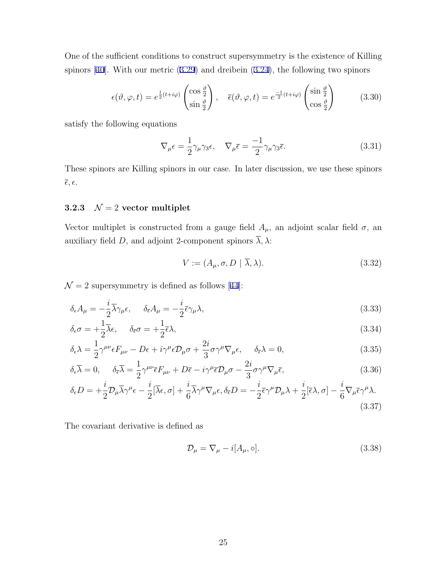One of the sufficient conditions to construct supersymmetry is the existence of Killing spinors [40]. With our metric (3.29) and dreibein (3.24), the following two spinors

$$
\epsilon(\vartheta,\varphi,t) = e^{\frac{1}{2}(t+i\varphi)} \begin{pmatrix} \cos\frac{\vartheta}{2} \\ \sin\frac{\vartheta}{2} \end{pmatrix}, \quad \overline{\epsilon}(\vartheta,\varphi,t) = e^{\frac{-1}{2}(t+i\varphi)} \begin{pmatrix} \sin\frac{\vartheta}{2} \\ \cos\frac{\vartheta}{2} \end{pmatrix}
$$
(3.30)

satisfy the following equations

$$
\nabla_{\mu}\epsilon = \frac{1}{2}\gamma_{\mu}\gamma_{3}\epsilon, \quad \nabla_{\mu}\bar{\epsilon} = \frac{-1}{2}\gamma_{\mu}\gamma_{3}\bar{\epsilon}.
$$
 (3.31)

These spinors are Killing spinors in our case. In later discussion, we use these spinors  $\overline{\epsilon}, \epsilon.$ 

# **3.2.3**  $\mathcal{N} = 2$  **vector multiplet**

Vector multiplet is constructed from a gauge field  $A_\mu$ , an adjoint scalar field  $\sigma$ , an auxiliary field *D*, and adjoint 2-component spinors  $\overline{\lambda}$ ,  $\lambda$ :

$$
V := (A_{\mu}, \sigma, D \mid \overline{\lambda}, \lambda). \tag{3.32}
$$

 $\mathcal{N}=2$  supersymmetry is defined as follows [44]:

$$
\delta_{\epsilon} A_{\mu} = -\frac{i}{2} \overline{\lambda} \gamma_{\mu} \epsilon, \qquad \delta_{\overline{\epsilon}} A_{\mu} = -\frac{i}{2} \overline{\epsilon} \gamma_{\mu} \lambda,
$$
\n(3.33)

$$
\delta_{\epsilon}\sigma = +\frac{1}{2}\overline{\lambda}\epsilon, \quad \delta_{\overline{\epsilon}}\sigma = +\frac{1}{2}\overline{\epsilon}\lambda,
$$
\n(3.34)

$$
\delta_{\epsilon}\lambda = \frac{1}{2}\gamma^{\mu\nu}\epsilon F_{\mu\nu} - D\epsilon + i\gamma^{\mu}\epsilon D_{\mu}\sigma + \frac{2i}{3}\sigma\gamma^{\mu}\nabla_{\mu}\epsilon, \quad \delta_{\bar{\epsilon}}\lambda = 0,
$$
\n(3.35)

$$
\delta_{\epsilon}\overline{\lambda} = 0, \quad \delta_{\overline{\epsilon}}\overline{\lambda} = \frac{1}{2}\gamma^{\mu\nu}\overline{\epsilon}F_{\mu\nu} + D\overline{\epsilon} - i\gamma^{\mu}\overline{\epsilon}\mathcal{D}_{\mu}\sigma - \frac{2i}{3}\sigma\gamma^{\mu}\nabla_{\mu}\overline{\epsilon},
$$
\n(3.36)

$$
\delta_{\epsilon}D = +\frac{i}{2}\mathcal{D}_{\mu}\overline{\lambda}\gamma^{\mu}\epsilon - \frac{i}{2}[\overline{\lambda}\epsilon,\sigma] + \frac{i}{6}\overline{\lambda}\gamma^{\mu}\nabla_{\mu}\epsilon, \delta_{\overline{\epsilon}}D = -\frac{i}{2}\overline{\epsilon}\gamma^{\mu}\mathcal{D}_{\mu}\lambda + \frac{i}{2}[\overline{\epsilon}\lambda,\sigma] - \frac{i}{6}\nabla_{\mu}\overline{\epsilon}\gamma^{\mu}\lambda.
$$
\n(3.37)

The covariant derivative is defined as

$$
\mathcal{D}_{\mu} = \nabla_{\mu} - i[A_{\mu}, \circ]. \tag{3.38}
$$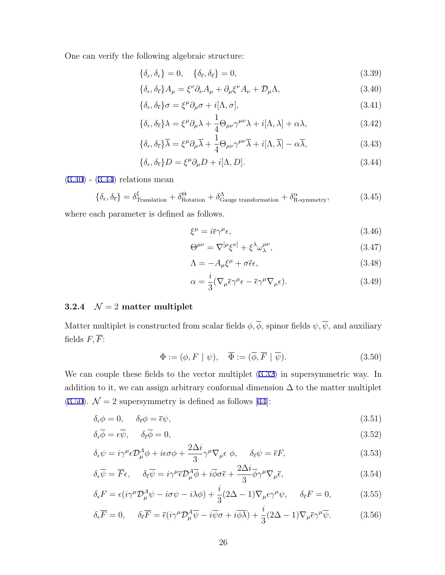One can verify the following algebraic structure:

$$
\{\delta_{\epsilon}, \delta_{\epsilon}\} = 0, \quad \{\delta_{\overline{\epsilon}}, \delta_{\overline{\epsilon}}\} = 0,
$$
\n(3.39)

$$
\{\delta_{\epsilon}, \delta_{\bar{\epsilon}}\} A_{\mu} = \xi^{\nu} \partial_{\nu} A_{\mu} + \partial_{\mu} \xi^{\nu} A_{\nu} + \mathcal{D}_{\mu} \Lambda, \tag{3.40}
$$

$$
\{\delta_{\epsilon}, \delta_{\overline{\epsilon}}\}\sigma = \xi^{\mu}\partial_{\mu}\sigma + i[\Lambda, \sigma],\tag{3.41}
$$

$$
\{\delta_{\epsilon}, \delta_{\bar{\epsilon}}\}\lambda = \xi^{\mu}\partial_{\mu}\lambda + \frac{1}{4}\Theta_{\mu\nu}\gamma^{\mu\nu}\lambda + i[\Lambda, \lambda] + \alpha\lambda, \tag{3.42}
$$

$$
\{\delta_{\epsilon}, \delta_{\overline{\epsilon}}\}\overline{\lambda} = \xi^{\mu}\partial_{\mu}\overline{\lambda} + \frac{1}{4}\Theta_{\mu\nu}\gamma^{\mu\nu}\overline{\lambda} + i[\Lambda, \overline{\lambda}] - \alpha\overline{\lambda},\tag{3.43}
$$

$$
\{\delta_{\epsilon}, \delta_{\overline{\epsilon}}\}D = \xi^{\mu}\partial_{\mu}D + i[\Lambda, D].
$$
\n(3.44)

(3.40) - (3.44) relations mean

$$
\{\delta_{\epsilon}, \delta_{\bar{\epsilon}}\} = \delta_{\text{Translation}}^{\xi} + \delta_{\text{Rotation}}^{\Theta} + \delta_{\text{Gauge transformation}}^{\Lambda} + \delta_{\text{R-symmetry}}^{\alpha},\tag{3.45}
$$

where each parameter is defined as follows.

$$
\xi^{\mu} = i\bar{\epsilon}\gamma^{\mu}\epsilon,\tag{3.46}
$$

$$
\Theta^{\mu\nu} = \nabla^{[\mu}\xi^{\nu]} + \xi^{\lambda}\omega^{\mu\nu}_{\lambda},\tag{3.47}
$$

$$
\Lambda = -A_{\mu}\xi^{\mu} + \sigma\bar{\epsilon}\epsilon,\tag{3.48}
$$

$$
\alpha = \frac{i}{3} (\nabla_{\mu} \bar{\epsilon} \gamma^{\mu} \epsilon - \bar{\epsilon} \gamma^{\mu} \nabla_{\mu} \epsilon). \tag{3.49}
$$

## **3.2.4**  $\mathcal{N} = 2$  **matter multiplet**

Matter multiplet is constructed from scalar fields  $\phi$ ,  $\overline{\phi}$ , spinor fields  $\psi$ ,  $\overline{\psi}$ , and auxiliary fields  $F, \overline{F}$ :

$$
\Phi := (\phi, F \mid \psi), \quad \overline{\Phi} := (\overline{\phi}, \overline{F} \mid \overline{\psi}). \tag{3.50}
$$

We can couple these fields to the vector multiplet (3.32) in supersymmetric way. In addition to it, we can assign arbitrary conformal dimension  $\Delta$  to the matter multiplet (3.50).  $\mathcal{N} = 2$  supersymmetry is defined as follows [44]:

$$
\delta_{\epsilon}\phi = 0, \qquad \delta_{\overline{\epsilon}}\phi = \overline{\epsilon}\psi,\tag{3.51}
$$

$$
\delta_{\epsilon}\overline{\phi} = \epsilon \overline{\psi}, \qquad \delta_{\overline{\epsilon}}\overline{\phi} = 0, \tag{3.52}
$$

$$
\delta_{\epsilon}\psi = i\gamma^{\mu}\epsilon \mathcal{D}_{\mu}^{A}\phi + i\epsilon\sigma\phi + \frac{2\Delta i}{3}\gamma^{\mu}\nabla_{\mu}\epsilon\phi, \quad \delta_{\bar{\epsilon}}\psi = \bar{\epsilon}F, \tag{3.53}
$$

$$
\delta_{\epsilon}\overline{\psi} = \overline{F}\epsilon, \qquad \delta_{\overline{\epsilon}}\overline{\psi} = i\gamma^{\mu}\overline{\epsilon}\mathcal{D}_{\mu}^{A}\overline{\phi} + i\overline{\phi}\sigma\overline{\epsilon} + \frac{2\Delta i}{3}\overline{\phi}\gamma^{\mu}\nabla_{\mu}\overline{\epsilon}, \tag{3.54}
$$

$$
\delta_{\epsilon}F = \epsilon (i\gamma^{\mu}\mathcal{D}_{\mu}^{A}\psi - i\sigma\psi - i\lambda\phi) + \frac{i}{3}(2\Delta - 1)\nabla_{\mu}\epsilon\gamma^{\mu}\psi, \quad \delta_{\bar{\epsilon}}F = 0, \tag{3.55}
$$

$$
\delta_{\epsilon}\overline{F} = 0, \quad \delta_{\overline{\epsilon}}\overline{F} = \overline{\epsilon}(i\gamma^{\mu}\mathcal{D}_{\mu}^{A}\overline{\psi} - i\overline{\psi}\sigma + i\overline{\phi}\overline{\lambda}) + \frac{i}{3}(2\Delta - 1)\nabla_{\mu}\overline{\epsilon}\gamma^{\mu}\overline{\psi}.
$$
 (3.56)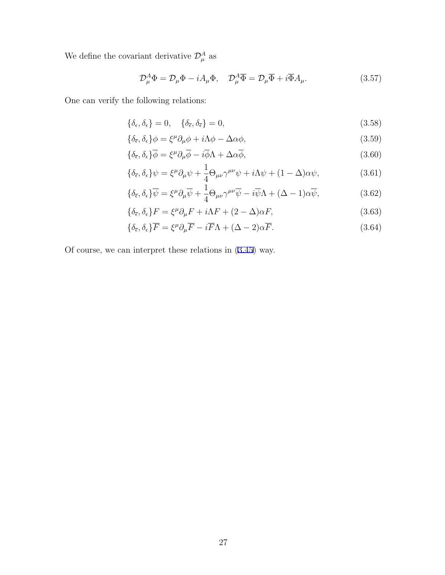We define the covariant derivative  $\mathcal{D}_{\mu}^{A}$  as

$$
\mathcal{D}_{\mu}^{A}\Phi = \mathcal{D}_{\mu}\Phi - iA_{\mu}\Phi, \quad \mathcal{D}_{\mu}^{A}\overline{\Phi} = \mathcal{D}_{\mu}\overline{\Phi} + i\overline{\Phi}A_{\mu}.
$$
 (3.57)

One can verify the following relations:

$$
\{\delta_{\epsilon}, \delta_{\epsilon}\} = 0, \quad \{\delta_{\overline{\epsilon}}, \delta_{\overline{\epsilon}}\} = 0, \tag{3.58}
$$

$$
\{\delta_{\bar{\epsilon}}, \delta_{\epsilon}\}\phi = \xi^{\mu}\partial_{\mu}\phi + i\Lambda\phi - \Delta\alpha\phi, \tag{3.59}
$$

$$
\{\delta_{\bar{\epsilon}}, \delta_{\epsilon}\}\overline{\phi} = \xi^{\mu}\partial_{\mu}\overline{\phi} - i\overline{\phi}\Lambda + \Delta\alpha\overline{\phi},\tag{3.60}
$$

$$
\{\delta_{\bar{\epsilon}}, \delta_{\epsilon}\}\psi = \xi^{\mu}\partial_{\mu}\psi + \frac{1}{4}\Theta_{\mu\nu}\gamma^{\mu\nu}\psi + i\Lambda\psi + (1 - \Delta)\alpha\psi, \tag{3.61}
$$

$$
\{\delta_{\bar{\epsilon}}, \delta_{\epsilon}\}\overline{\psi} = \xi^{\mu}\partial_{\mu}\overline{\psi} + \frac{1}{4}\Theta_{\mu\nu}\gamma^{\mu\nu}\overline{\psi} - i\overline{\psi}\Lambda + (\Delta - 1)\alpha\overline{\psi},\tag{3.62}
$$

$$
\{\delta_{\overline{\epsilon}}, \delta_{\epsilon}\}F = \xi^{\mu}\partial_{\mu}F + i\Lambda F + (2 - \Delta)\alpha F, \tag{3.63}
$$

$$
\{\delta_{\bar{\epsilon}}, \delta_{\epsilon}\}\overline{F} = \xi^{\mu}\partial_{\mu}\overline{F} - i\overline{F}\Lambda + (\Delta - 2)\alpha\overline{F}.
$$
\n(3.64)

Of course, we can interpret these relations in (3.45) way.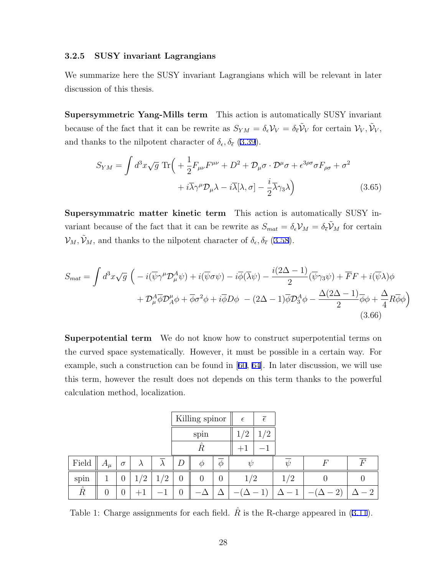#### **3.2.5 SUSY invariant Lagrangians**

We summarize here the SUSY invariant Lagrangians which will be relevant in later discussion of this thesis.

**Supersymmetric Yang-Mills term** This action is automatically SUSY invariant because of the fact that it can be rewrite as  $S_{YM} = \delta_{\epsilon} V_V = \delta_{\bar{\epsilon}} \tilde{V}_V$  for certain  $V_V, \tilde{V}_V$ , and thanks to the nilpotent character of  $\delta_{\epsilon}, \delta_{\bar{\epsilon}}$  (3.39).

$$
S_{YM} = \int d^3x \sqrt{g} \operatorname{Tr} \left( + \frac{1}{2} F_{\mu\nu} F^{\mu\nu} + D^2 + \mathcal{D}_{\mu} \sigma \cdot \mathcal{D}^{\mu} \sigma + \epsilon^{3\rho\sigma} \sigma F_{\rho\sigma} + \sigma^2 + i \overline{\lambda} \gamma^{\mu} \mathcal{D}_{\mu} \lambda - i \overline{\lambda} [\lambda, \sigma] - \frac{i}{2} \overline{\lambda} \gamma_3 \lambda \right)
$$
(3.65)

**Supersymmatric matter kinetic term** This action is automatically SUSY invariant because of the fact that it can be rewrite as  $S_{mat} = \delta_{\epsilon} V_M = \delta_{\epsilon} \tilde{V}_M$  for certain  $\mathcal{V}_M, \tilde{\mathcal{V}}_M$ , and thanks to the nilpotent character of  $\delta_{\epsilon}, \delta_{\bar{\epsilon}}$  (3.58).

$$
S_{mat} = \int d^3x \sqrt{g} \left( -i(\overline{\psi}\gamma^{\mu}\mathcal{D}_{\mu}^{A}\psi) + i(\overline{\psi}\sigma\psi) - i\overline{\phi}(\overline{\lambda}\psi) - \frac{i(2\Delta - 1)}{2}(\overline{\psi}\gamma_3\psi) + \overline{F}F + i(\overline{\psi}\lambda)\phi + \mathcal{D}_{\mu}^{A}\overline{\phi}\mathcal{D}_{A}^{\mu}\phi + \overline{\phi}\sigma^{2}\phi + i\overline{\phi}D\phi - (2\Delta - 1)\overline{\phi}\mathcal{D}_{3}^{A}\phi - \frac{\Delta(2\Delta - 1)}{2}\overline{\phi}\phi + \frac{\Delta}{4}R\overline{\phi}\phi \right)
$$
(3.66)

**Superpotential term** We do not know how to construct superpotential terms on the curved space systematically. However, it must be possible in a certain way. For example, such a construction can be found in [60, 64]. In later discussion, we will use this term, however the result does not depends on this term thanks to the powerful calculation method, localization.

|           |         |          |            |           | Killing spinor |                                         |                | $\epsilon$ | $\overline{\epsilon}$    |        |          |                |
|-----------|---------|----------|------------|-----------|----------------|-----------------------------------------|----------------|------------|--------------------------|--------|----------|----------------|
|           |         |          |            |           |                | spin                                    |                | ′2         | /2                       |        |          |                |
|           |         |          |            |           |                | $\hat{\phantom{a}}$<br>$\boldsymbol{R}$ |                | $+1$       | $\overline{\phantom{a}}$ |        |          |                |
| Field     | $A_\mu$ | $\sigma$ | $\lambda$  | $\lambda$ | D              | $\varphi$                               | $\varphi$      | W          |                          | $\eta$ | $\,F$    | $\,F$          |
| spin      |         | O        | $\sqrt{2}$ | າ         | $\overline{0}$ | $\theta$                                | $\overline{0}$ | 1/2        |                          | 1/2    |          |                |
| $\hat{R}$ | O       | U        |            | –         | O              |                                         |                |            |                          |        | $\Omega$ | $\overline{2}$ |

Table 1: Charge assignments for each field.  $\hat{R}$  is the R-charge appeared in (3.11).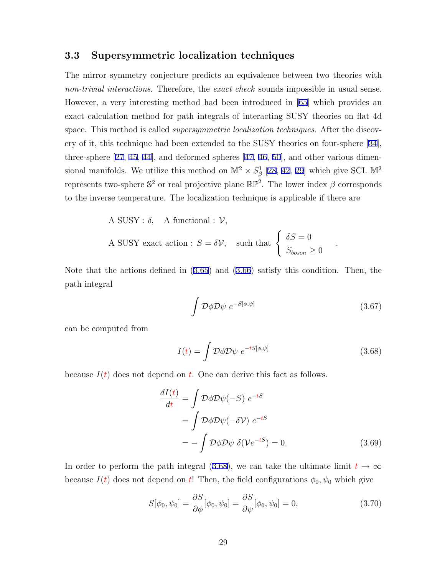### **3.3 Supersymmetric localization techniques**

The mirror symmetry conjecture predicts an equivalence between two theories with *non-trivial interactions*. Therefore, the *exact check* sounds impossible in usual sense. However, a very interesting method had been introduced in [65] which provides an exact calculation method for path integrals of interacting SUSY theories on flat 4d space. This method is called *supersymmetric localization techniques*. After the discovery of it, this technique had been extended to the SUSY theories on four-sphere [34], three-sphere [27, 45, 44], and deformed spheres [47, 46, 50], and other various dimensional manifolds. We utilize this method on  $\mathbb{M}^2 \times S^1_{\beta}$  [28, 42, 29] which give SCI.  $\mathbb{M}^2$ represents two-sphere  $\mathbb{S}^2$  or real projective plane  $\mathbb{RP}^2$ . The lower index  $\beta$  corresponds to the inverse temperature. The localization technique is applicable if there are

A SUSY : 
$$
\delta
$$
, A functional :  $V$ ,  
A SUSY exact action :  $S = \delta V$ , such that  $\begin{cases} \delta S = 0 \\ S_{boson} \ge 0 \end{cases}$ 

Note that the actions defined in (3.65) and (3.66) satisfy this condition. Then, the path integral

$$
\int \mathcal{D}\phi \mathcal{D}\psi \; e^{-S[\phi,\psi]} \tag{3.67}
$$

 $\theta$ 

*.*

can be computed from

$$
I(t) = \int \mathcal{D}\phi \mathcal{D}\psi \ e^{-tS[\phi,\psi]} \tag{3.68}
$$

because  $I(t)$  does not depend on  $t$ . One can derive this fact as follows.

$$
\frac{dI(t)}{dt} = \int \mathcal{D}\phi \mathcal{D}\psi(-S) e^{-tS}
$$

$$
= \int \mathcal{D}\phi \mathcal{D}\psi(-\delta \mathcal{V}) e^{-tS}
$$

$$
= -\int \mathcal{D}\phi \mathcal{D}\psi \ \delta(\mathcal{V}e^{-tS}) = 0. \tag{3.69}
$$

In order to perform the path integral (3.68), we can take the ultimate limit  $t \to \infty$ because  $I(t)$  does not depend on  $t$ ! Then, the field configurations  $\phi_0$ ,  $\psi_0$  which give

$$
S[\phi_0, \psi_0] = \frac{\partial S}{\partial \phi}[\phi_0, \psi_0] = \frac{\partial S}{\partial \psi}[\phi_0, \psi_0] = 0, \qquad (3.70)
$$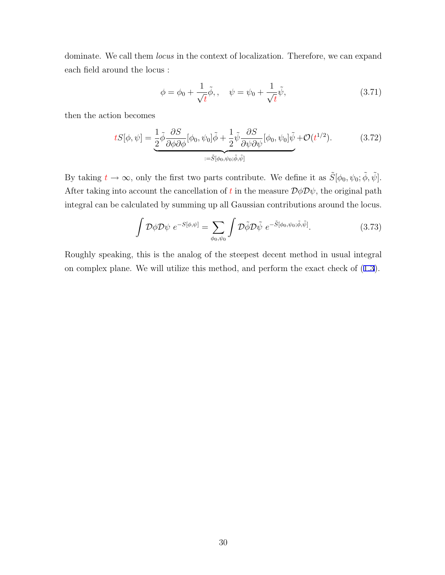dominate. We call them *locus* in the context of localization. Therefore, we can expand each field around the locus :

$$
\phi = \phi_0 + \frac{1}{\sqrt{t}}\tilde{\phi}, \qquad \psi = \psi_0 + \frac{1}{\sqrt{t}}\tilde{\psi}, \tag{3.71}
$$

then the action becomes

$$
tS[\phi,\psi] = \underbrace{\frac{1}{2}\tilde{\phi}\frac{\partial S}{\partial\phi\partial\phi}[\phi_0,\psi_0]\tilde{\phi} + \frac{1}{2}\tilde{\psi}\frac{\partial S}{\partial\psi\partial\psi}[\phi_0,\psi_0]\tilde{\psi}}_{:=\tilde{S}[\phi_0,\psi_0;\tilde{\phi},\tilde{\psi}]}\n\tag{3.72}
$$

By taking  $t \to \infty$ , only the first two parts contribute. We define it as  $\tilde{S}[\phi_0, \psi_0; \tilde{\phi}, \tilde{\psi}]$ . After taking into account the cancellation of *t* in the measure  $\mathcal{D}\phi\mathcal{D}\psi$ , the original path integral can be calculated by summing up all Gaussian contributions around the locus.

$$
\int \mathcal{D}\phi \mathcal{D}\psi \ e^{-S[\phi,\psi]} = \sum_{\phi_0,\psi_0} \int \mathcal{D}\tilde{\phi} \mathcal{D}\tilde{\psi} \ e^{-\tilde{S}[\phi_0,\psi_0;\tilde{\phi},\tilde{\psi}]}.
$$
 (3.73)

Roughly speaking, this is the analog of the steepest decent method in usual integral on complex plane. We will utilize this method, and perform the exact check of (1.3).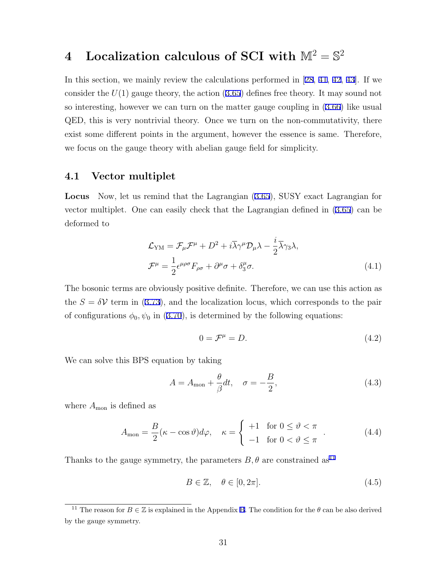# $\boldsymbol{4} \quad$  Localization calculous of SCI with  $\mathbb{M}^2 = \mathbb{S}^2$

In this section, we mainly review the calculations performed in [28, 41, 42, 43]. If we consider the *U*(1) gauge theory, the action (3.65) defines free theory. It may sound not so interesting, however we can turn on the matter gauge coupling in (3.66) like usual QED, this is very nontrivial theory. Once we turn on the non-commutativity, there exist some different points in the argument, however the essence is same. Therefore, we focus on the gauge theory with abelian gauge field for simplicity.

### **4.1 Vector multiplet**

**Locus** Now, let us remind that the Lagrangian (3.65), SUSY exact Lagrangian for vector multiplet. One can easily check that the Lagrangian defined in (3.65) can be deformed to

$$
\mathcal{L}_{\text{YM}} = \mathcal{F}_{\mu} \mathcal{F}^{\mu} + D^2 + i \overline{\lambda} \gamma^{\mu} \mathcal{D}_{\mu} \lambda - \frac{i}{2} \overline{\lambda} \gamma_3 \lambda,
$$
  

$$
\mathcal{F}^{\mu} = \frac{1}{2} \epsilon^{\mu \rho \sigma} F_{\rho \sigma} + \partial^{\mu} \sigma + \delta^{\mu}_3 \sigma.
$$
 (4.1)

The bosonic terms are obviously positive definite. Therefore, we can use this action as the  $S = \delta V$  term in (3.73), and the localization locus, which corresponds to the pair of configurations  $\phi_0$ ,  $\psi_0$  in (3.70), is determined by the following equations:

$$
0 = \mathcal{F}^{\mu} = D. \tag{4.2}
$$

We can solve this BPS equation by taking

$$
A = A_{\text{mon}} + \frac{\theta}{\beta} dt, \quad \sigma = -\frac{B}{2}, \tag{4.3}
$$

where  $A_{\text{mon}}$  is defined as

$$
A_{\text{mon}} = \frac{B}{2} (\kappa - \cos \vartheta) d\varphi, \quad \kappa = \begin{cases} +1 & \text{for } 0 \le \vartheta < \pi \\ -1 & \text{for } 0 < \vartheta \le \pi \end{cases} \tag{4.4}
$$

Thanks to the gauge symmetry, the parameters  $B, \theta$  are constrained as<sup>11</sup>

$$
B \in \mathbb{Z}, \quad \theta \in [0, 2\pi]. \tag{4.5}
$$

<sup>&</sup>lt;sup>11</sup> The reason for  $B \in \mathbb{Z}$  is explained in the Appendix B. The condition for the  $\theta$  can be also derived by the gauge symmetry.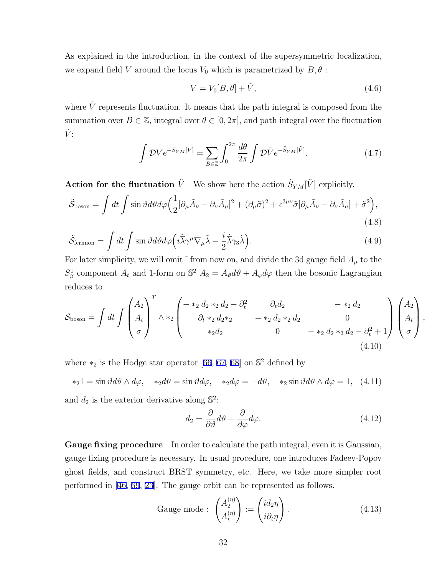As explained in the introduction, in the context of the supersymmetric localization, we expand field *V* around the locus  $V_0$  which is parametrized by  $B, \theta$ :

$$
V = V_0[B, \theta] + \tilde{V}, \qquad (4.6)
$$

where  $\tilde{V}$  represents fluctuation. It means that the path integral is composed from the summation over  $B \in \mathbb{Z}$ , integral over  $\theta \in [0, 2\pi]$ , and path integral over the fluctuation  $\tilde{V}$ :

$$
\int \mathcal{D}Ve^{-S_{YM}[V]} = \sum_{B \in \mathbb{Z}} \int_0^{2\pi} \frac{d\theta}{2\pi} \int \mathcal{D}\tilde{V} e^{-\tilde{S}_{YM}[\tilde{V}]}.
$$
(4.7)

**Action for the fluctuation**  $\tilde{V}$  We show here the action  $\tilde{S}_{YM}[\tilde{V}]$  explicitly.

$$
\tilde{S}_{\text{boson}} = \int dt \int \sin \vartheta d\vartheta d\varphi \Big( \frac{1}{2} [\partial_{\mu} \tilde{A}_{\nu} - \partial_{\nu} \tilde{A}_{\mu}]^{2} + (\partial_{\mu} \tilde{\sigma})^{2} + \epsilon^{3\mu\nu} \tilde{\sigma} [\partial_{\mu} \tilde{A}_{\nu} - \partial_{\nu} \tilde{A}_{\mu}] + \tilde{\sigma}^{2} \Big), \tag{4.8}
$$

$$
\tilde{\mathcal{S}}_{\text{fermion}} = \int dt \int \sin \vartheta d\vartheta d\varphi \left( i \tilde{\bar{\lambda}} \gamma^{\mu} \nabla_{\mu} \tilde{\lambda} - \frac{i}{2} \tilde{\bar{\lambda}} \gamma_{3} \tilde{\lambda} \right). \tag{4.9}
$$

For later simplicity, we will omit  $\tilde{\,}$  from now on, and divide the 3d gauge field  $A_\mu$  to the  $S^1_\beta$  component  $A_t$  and 1-form on  $S^2$   $A_2 = A_\vartheta d\vartheta + A_\varphi d\varphi$  then the bosonic Lagrangian reduces to

$$
\mathcal{S}_{\text{boson}} = \int dt \int \begin{pmatrix} A_2 \\ A_t \\ \sigma \end{pmatrix}^T \wedge *_2 \begin{pmatrix} -*_2 d_2 *_2 d_2 - \partial_t^2 & \partial_t d_2 & -*_2 d_2 \\ \partial_t *_2 d_2 *_2 & -*_2 d_2 *_2 d_2 & 0 \\ *_2 d_2 & 0 & -*_2 d_2 *_2 d_2 - \partial_t^2 + 1 \end{pmatrix} \begin{pmatrix} A_2 \\ A_t \\ \sigma \end{pmatrix},
$$
\n(4.10)

where *\**<sub>2</sub> is the Hodge star operator [66, 67, 68] on S<sup>2</sup> defined by

 $*_21 = \sin \vartheta d\vartheta \wedge d\varphi$ ,  $*_2d\vartheta = \sin \vartheta d\varphi$ ,  $*_2d\varphi = -d\vartheta$ ,  $*_2\sin \vartheta d\vartheta \wedge d\varphi = 1$ , (4.11)

and  $d_2$  is the exterior derivative along  $\mathbb{S}^2$ :

$$
d_2 = \frac{\partial}{\partial \vartheta} d\vartheta + \frac{\partial}{\partial \varphi} d\varphi.
$$
\n(4.12)

**Gauge fixing procedure** In order to calculate the path integral, even it is Gaussian, gauge fixing procedure is necessary. In usual procedure, one introduces Fadeev-Popov ghost fields, and construct BRST symmetry, etc. Here, we take more simpler root performed in [46, 69, 23]. The gauge orbit can be represented as follows.

Gauge mode : 
$$
\begin{pmatrix} A_2^{(\eta)} \\ A_t^{(\eta)} \end{pmatrix} := \begin{pmatrix} id_2 \eta \\ i \partial_t \eta \end{pmatrix}
$$
. (4.13)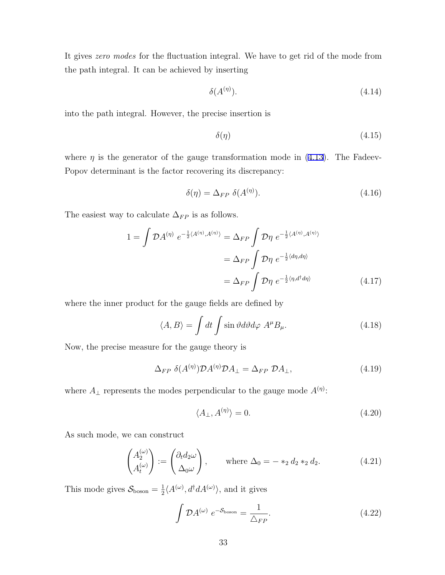It gives *zero modes* for the fluctuation integral. We have to get rid of the mode from the path integral. It can be achieved by inserting

$$
\delta(A^{(\eta)}). \tag{4.14}
$$

into the path integral. However, the precise insertion is

$$
\delta(\eta) \tag{4.15}
$$

where  $\eta$  is the generator of the gauge transformation mode in (4.13). The Fadeev-Popov determinant is the factor recovering its discrepancy:

$$
\delta(\eta) = \Delta_{FP} \ \delta(A^{(\eta)}). \tag{4.16}
$$

The easiest way to calculate  $\Delta_{FP}$  is as follows.

$$
1 = \int \mathcal{D}A^{(\eta)} e^{-\frac{1}{2}\langle A^{(\eta)}, A^{(\eta)}\rangle} = \Delta_{FP} \int \mathcal{D}\eta e^{-\frac{1}{2}\langle A^{(\eta)}, A^{(\eta)}\rangle}
$$

$$
= \Delta_{FP} \int \mathcal{D}\eta e^{-\frac{1}{2}\langle d\eta, d\eta\rangle}
$$

$$
= \Delta_{FP} \int \mathcal{D}\eta e^{-\frac{1}{2}\langle \eta, d^\dagger d\eta\rangle}
$$
(4.17)

where the inner product for the gauge fields are defined by

$$
\langle A, B \rangle = \int dt \int \sin \vartheta d\vartheta d\varphi \ A^{\mu} B_{\mu}.
$$
 (4.18)

Now, the precise measure for the gauge theory is

$$
\Delta_{FP} \ \delta(A^{(\eta)}) \mathcal{D}A^{(\eta)} \mathcal{D}A_{\perp} = \Delta_{FP} \ \mathcal{D}A_{\perp},\tag{4.19}
$$

where  $A_{\perp}$  represents the modes perpendicular to the gauge mode  $A^{(\eta)}$ :

$$
\langle A_{\perp}, A^{(\eta)} \rangle = 0. \tag{4.20}
$$

As such mode, we can construct

$$
\begin{pmatrix} A_2^{(\omega)} \\ A_t^{(\omega)} \end{pmatrix} := \begin{pmatrix} \partial_t d_2 \omega \\ \Delta_0 \omega \end{pmatrix}, \quad \text{where } \Delta_0 = -*_2 d_2 *_2 d_2. \tag{4.21}
$$

This mode gives  $S_{\text{boson}} = \frac{1}{2}$  $\frac{1}{2} \langle A^{(\omega)}, d^{\dagger} dA^{(\omega)} \rangle$ , and it gives

$$
\int \mathcal{D}A^{(\omega)} e^{-\mathcal{S}_{\text{boson}}} = \frac{1}{\Delta_{FP}}.\tag{4.22}
$$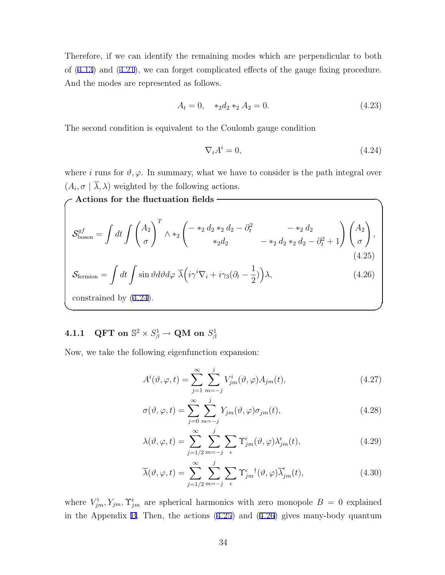Therefore, if we can identify the remaining modes which are perpendicular to both of (4.13) and (4.21), we can forget complicated effects of the gauge fixing procedure. And the modes are represented as follows.

$$
A_t = 0, \quad *_2 d_2 *_2 A_2 = 0. \tag{4.23}
$$

The second condition is equivalent to the Coulomb gauge condition

$$
\nabla_i A^i = 0,\tag{4.24}
$$

where *i* runs for  $\vartheta, \varphi$ . In summary, what we have to consider is the path integral over  $(A_i, \sigma \mid \lambda, \lambda)$  weighted by the following actions.

**✓Actions for the fluctuation fields ✏**  $\mathcal{S}^{gf}_{\rm boson} = \int dt \, \int \int^{A_2}$ *σ*  $\setminus^T$ *∧ ∗*<sup>2</sup>  $\int -\ast_2 d_2 \ast_2 d_2 - \partial_t^2$  *−*  $\ast_2 d_2$  $(*_2 d_2 - \partial_t^2$   $- *_2 d_2$   $*_{2} d_2 - \partial_t^2 + 1)$   $\left(\frac{A_2}{\sigma}\right)$  $\setminus$ *,* (4.25)  $\mathcal{S}_{\text{fermion}} = \int dt \int \sin \vartheta d\vartheta d\varphi \; \overline{\lambda} \Big(i\gamma^i \nabla_i + i\gamma_3 (\partial_t - \frac{1}{2})\Big)$ 2  $(\lambda,$  (4.26) constrained by (4.24).

**✒ ✑**

# $4.1.1$  QFT on  $\mathbb{S}^2 \times S^1_{\beta} \rightarrow \textbf{QM}$  on  $S^1_{\beta}$

Now, we take the following eigenfunction expansion:

$$
A^{i}(\vartheta, \varphi, t) = \sum_{j=1}^{\infty} \sum_{m=-j}^{j} V_{jm}^{i}(\vartheta, \varphi) A_{jm}(t), \qquad (4.27)
$$

$$
\sigma(\vartheta, \varphi, t) = \sum_{j=0}^{\infty} \sum_{m=-j}^{j} Y_{jm}(\vartheta, \varphi) \sigma_{jm}(t), \qquad (4.28)
$$

$$
\lambda(\vartheta,\varphi,t) = \sum_{j=1/2}^{\infty} \sum_{m=-j}^{j} \sum_{\epsilon} \Upsilon_{jm}^{\epsilon}(\vartheta,\varphi) \lambda_{jm}^{\epsilon}(t), \qquad (4.29)
$$

$$
\overline{\lambda}(\vartheta,\varphi,t) = \sum_{j=1/2}^{\infty} \sum_{m=-j}^{j} \sum_{\epsilon} \Upsilon_{jm}^{\epsilon}{}^{\dagger}(\vartheta,\varphi) \overline{\lambda}_{jm}^{\epsilon}(t), \tag{4.30}
$$

where  $V_{jm}^i, Y_{jm}$ ,  $\Upsilon_{jm}^{\epsilon}$  are spherical harmonics with zero monopole  $B = 0$  explained in the Appendix B. Then, the actions (4.25) and (4.26) gives many-body quantum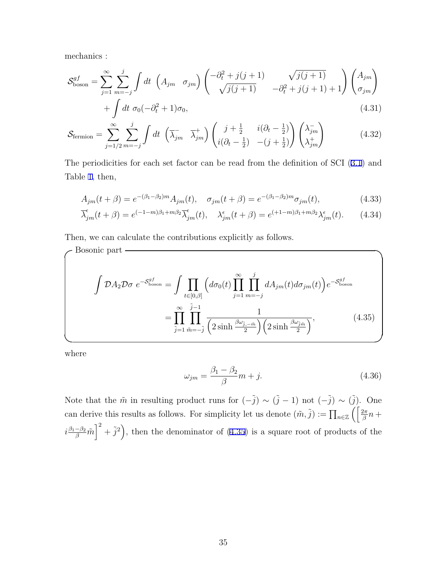mechanics :

$$
\mathcal{S}_{\text{boson}}^{gf} = \sum_{j=1}^{\infty} \sum_{m=-j}^{j} \int dt \left( A_{jm} \quad \sigma_{jm} \right) \begin{pmatrix} -\partial_t^2 + j(j+1) & \sqrt{j(j+1)} \\ \sqrt{j(j+1)} & -\partial_t^2 + j(j+1) + 1 \end{pmatrix} \begin{pmatrix} A_{jm} \\ \sigma_{jm} \end{pmatrix}
$$

$$
+\int dt \; \sigma_0(-\partial_t^2 + 1)\sigma_0,\tag{4.31}
$$

$$
\mathcal{S}_{\text{fermion}} = \sum_{j=1/2}^{\infty} \sum_{m=-j}^{j} \int dt \, \left( \overline{\lambda}_{jm}^{-} \, \overline{\lambda}_{jm}^{+} \right) \begin{pmatrix} j+\frac{1}{2} & i(\partial_{t}-\frac{1}{2}) \\ i(\partial_{t}-\frac{1}{2}) & -(j+\frac{1}{2}) \end{pmatrix} \begin{pmatrix} \lambda_{jm}^{-} \\ \lambda_{jm}^{+} \end{pmatrix} \tag{4.32}
$$

The periodicities for each set factor can be read from the definition of SCI (3.1) and Table 1, then,

$$
A_{jm}(t+\beta) = e^{-(\beta_1 - \beta_2)m} A_{jm}(t), \quad \sigma_{jm}(t+\beta) = e^{-(\beta_1 - \beta_2)m} \sigma_{jm}(t), \tag{4.33}
$$

$$
\overline{\lambda}_{jm}^{\epsilon}(t+\beta) = e^{(-1-m)\beta_1 + m\beta_2} \overline{\lambda}_{jm}^{\epsilon}(t), \quad \lambda_{jm}^{\epsilon}(t+\beta) = e^{(+1-m)\beta_1 + m\beta_2} \lambda_{jm}^{\epsilon}(t). \tag{4.34}
$$

Then, we can calculate the contributions explicitly as follows.

$$
\int \mathcal{D}A_2 \mathcal{D}\sigma \ e^{-S_{\text{boson}}^{gf}} = \int \prod_{t \in [0,\beta]} \left( d\sigma_0(t) \prod_{j=1}^{\infty} \prod_{m=-j}^{j} dA_{jm}(t) d\sigma_{jm}(t) \right) e^{-S_{\text{boson}}^{gf}}
$$

$$
= \prod_{j=1}^{\infty} \prod_{\tilde{m}=-\tilde{j}}^{\tilde{j}-1} \frac{1}{\left(2 \sinh \frac{\beta \omega_{\tilde{j},-\tilde{m}}}{2}\right) \left(2 \sinh \frac{\beta \omega_{\tilde{j},\tilde{m}}}{2}\right)},
$$
(4.35)

where

$$
\omega_{jm} = \frac{\beta_1 - \beta_2}{\beta} m + j. \tag{4.36}
$$

Note that the  $\tilde{m}$  in resulting product runs for  $(-\tilde{j}) \sim (\tilde{j} - 1)$  not  $(-\tilde{j}) \sim (\tilde{j})$ . One can derive this results as follows. For simplicity let us denote  $(\tilde{m}, \tilde{j}) := \prod_{n \in \mathbb{Z}} \left( \frac{2\pi}{\beta} n + \frac{1}{n} \right)$  $i\frac{\beta_1-\beta_2}{\beta}\tilde{m}\Big|^2+\tilde{j}^2\Big)$ , then the denominator of (4.35) is a square root of products of the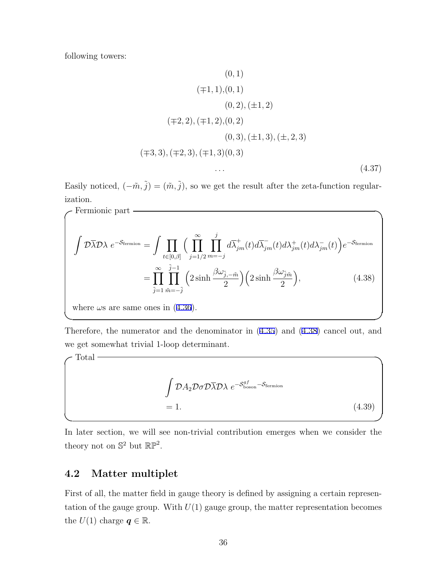following towers:

**Fermionic part -**

$$
(0, 1)
$$
\n
$$
(\mp 1, 1), (0, 1)
$$
\n
$$
(0, 2), (\pm 1, 2)
$$
\n
$$
(\mp 2, 2), (\mp 1, 2), (0, 2)
$$
\n
$$
(0, 3), (\pm 1, 3), (\pm, 2, 3)
$$
\n
$$
(\mp 3, 3), (\mp 2, 3), (\mp 1, 3)(0, 3)
$$
\n
$$
\dots \tag{4.37}
$$

Easily noticed,  $(-\tilde{m}, \tilde{j}) = (\tilde{m}, \tilde{j})$ , so we get the result after the zeta-function regularization.

$$
\int \mathcal{D}\overline{\lambda}\mathcal{D}\lambda \ e^{-\mathcal{S}_{\text{fermion}}} = \int \prod_{t \in [0,\beta]} \Big(\prod_{j=1/2}^{\infty} \prod_{m=-j}^{j} d\overline{\lambda}_{jm}^{+}(t) d\overline{\lambda}_{jm}^{-}(t) d\lambda_{jm}^{+}(t) d\lambda_{jm}^{-}(t)\Big) e^{-\mathcal{S}_{\text{fermion}}} \n= \prod_{\tilde{j}=1}^{\infty} \prod_{\tilde{m}=-\tilde{j}}^{\tilde{j}-1} \Big(2 \sinh \frac{\beta \omega_{\tilde{j},-\tilde{m}}}{2}\Big) \Big(2 \sinh \frac{\beta \omega_{\tilde{j}\tilde{m}}}{2}\Big), \tag{4.38}
$$

where  $\omega s$  are same ones in (4.36).

Therefore, the numerator and the denominator in (4.35) and (4.38) cancel out, and we get somewhat trivial 1-loop determinant.

**✒ ✑**

$$
\int \mathcal{D}A_2 \mathcal{D} \sigma \mathcal{D} \overline{\lambda} \mathcal{D} \lambda \ e^{-\mathcal{S}_{\text{boson}}^{\mathcal{GI}} - \mathcal{S}_{\text{fermion}}} \\
= 1.
$$
\n(4.39)

**✒ ✑**

In later section, we will see non-trivial contribution emerges when we consider the theory not on  $\mathbb{S}^2$  but  $\mathbb{RP}^2$ .

### **4.2 Matter multiplet**

First of all, the matter field in gauge theory is defined by assigning a certain representation of the gauge group. With  $U(1)$  gauge group, the matter representation becomes the  $U(1)$  charge  $q \in \mathbb{R}$ .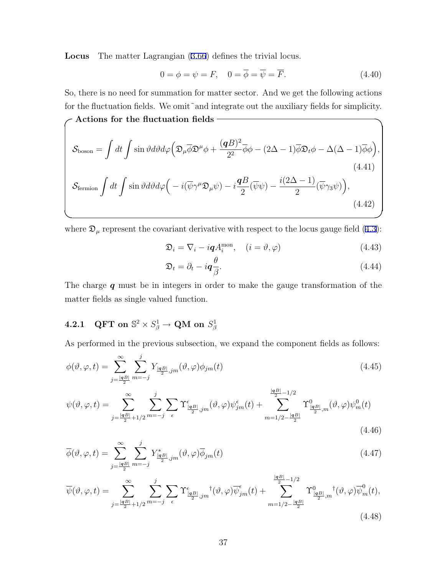**Locus** The matter Lagrangian (3.66) defines the trivial locus.

$$
0 = \phi = \psi = F, \quad 0 = \overline{\phi} = \overline{\psi} = \overline{F}.
$$
\n(4.40)

So, there is no need for summation for matter sector. And we get the following actions for the fluctuation fields. We omit~and integrate out the auxiliary fields for simplicity.

$$
\mathcal{S}_{\text{boson}} = \int dt \int \sin \vartheta d\vartheta d\varphi \left( \mathfrak{D}_{\mu} \overline{\phi} \mathfrak{D}^{\mu} \phi + \frac{(\mathbf{q}B)^2}{2^2} \overline{\phi} \phi - (2\Delta - 1) \overline{\phi} \mathfrak{D}_{t} \phi - \Delta(\Delta - 1) \overline{\phi} \phi \right),
$$
\n(4.41)  
\n
$$
\mathcal{S}_{\text{fermion}} \int dt \int \sin \vartheta d\vartheta d\varphi \left( -i(\overline{\psi} \gamma^{\mu} \mathfrak{D}_{\mu} \psi) - i \frac{\mathbf{q}B}{2} (\overline{\psi} \psi) - \frac{i(2\Delta - 1)}{2} (\overline{\psi} \gamma_{3} \psi) \right),
$$
\n(4.42)

where  $\mathfrak{D}_{\mu}$  represent the covariant derivative with respect to the locus gauge field (4.3):

$$
\mathfrak{D}_i = \nabla_i - i\mathbf{q} A_i^{\text{mon}}, \quad (i = \vartheta, \varphi) \tag{4.43}
$$

$$
\mathfrak{D}_t = \partial_t - i \mathbf{q} \frac{\theta}{\beta}.
$$
\n(4.44)

The charge *q* must be in integers in order to make the gauge transformation of the matter fields as single valued function.

### $4.2.1$  QFT on  $\mathbb{S}^2 \times S^1_{\beta} \rightarrow \textbf{QM}$  on  $S^1_{\beta}$

**✓Actions for the fluctuation fields ✏**

As performed in the previous subsection, we expand the component fields as follows:

$$
\phi(\vartheta,\varphi,t) = \sum_{j=\frac{|\mathbf{q}B|}{2}}^{\infty} \sum_{m=-j}^{j} Y_{\frac{|\mathbf{q}B|}{2},jm}(\vartheta,\varphi)\phi_{jm}(t)
$$
\n(4.45)

$$
\psi(\vartheta,\varphi,t) = \sum_{j=\frac{|qB|}{2}+1/2}^{\infty} \sum_{m=-j}^{j} \sum_{\epsilon} \Upsilon^{\epsilon}_{\frac{|qB|}{2},jm}(\vartheta,\varphi)\psi^{\epsilon}_{jm}(t) + \sum_{m=1/2-\frac{|qB|}{2}}^{|\frac{qB|}{2}-1/2} \Upsilon^0_{\frac{|qB|}{2},m}(\vartheta,\varphi)\psi^0_m(t)
$$
\n(4.46)

$$
\overline{\phi}(\vartheta,\varphi,t) = \sum_{j=\frac{|\mathbf{q}B|}{2}}^{\infty} \sum_{m=-j}^{j} Y_{\frac{|\mathbf{q}B|}{2},jm}^{*}(\vartheta,\varphi)\overline{\phi}_{jm}(t)
$$
\n(4.47)

$$
\overline{\psi}(\vartheta,\varphi,t) = \sum_{j=\frac{|\mathbf{q}B|}{2}+1/2}^{\infty} \sum_{m=-j}^{j} \sum_{\epsilon} \Upsilon_{\frac{|\mathbf{q}B|}{2},jm}^{\epsilon^{\prime}} \dagger(\vartheta,\varphi) \overline{\psi}_{jm}^{\epsilon}(t) + \sum_{m=1/2-\frac{|\mathbf{q}B|}{2}}^{\frac{|\mathbf{q}B|}{2}-1/2} \Upsilon_{\frac{|\mathbf{q}B|}{2},m}^{0} \dagger(\vartheta,\varphi) \overline{\psi}_{m}^{0}(t),\tag{4.48}
$$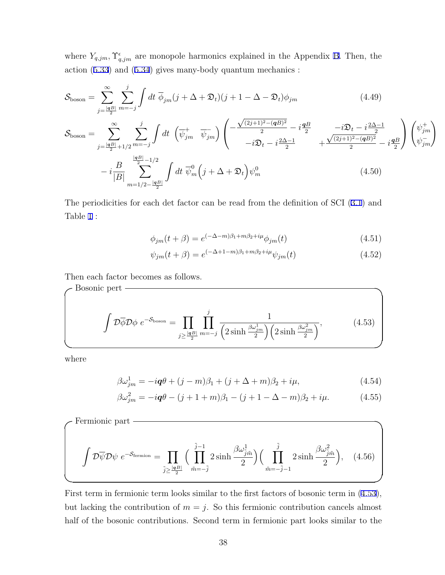where  $Y_{q,jm}$ ,  $\Upsilon_{q,jm}^{\epsilon}$  are monopole harmonics explained in the Appendix B. Then, the action (5.33) and (5.34) gives many-body quantum mechanics :

$$
\mathcal{S}_{\text{boson}} = \sum_{j=\frac{|\mathbf{q}B|}{2}}^{\infty} \sum_{m=-j}^{j} \int dt \; \overline{\phi}_{jm} (j + \Delta + \mathfrak{D}_t) (j + 1 - \Delta - \mathfrak{D}_t) \phi_{jm}
$$
(4.49)

$$
S_{\text{boson}} = \sum_{j=\frac{|\mathbf{q}B|}{2}+1/2}^{\infty} \sum_{m=-j}^{j} \int dt \left( \overline{\psi}_{jm}^{+} \overline{\psi}_{jm}^{-} \right) \left( -\frac{\sqrt{(2j+1)^{2}-(\mathbf{q}B)^{2}}}{2} - i \frac{\mathbf{q}B}{2} - i \mathbf{Q}_{t} - i \frac{2\Delta-1}{2} + \frac{\sqrt{(2j+1)^{2}-(\mathbf{q}B)^{2}}}{2} - i \frac{\mathbf{q}B}{2} \right) \left( \psi_{jm}^{+} \right) - i \frac{B}{|B|} \sum_{m=1/2-\frac{|\mathbf{q}B|}{2}}^{\frac{|\mathbf{q}B|}{2}-1/2} \int dt \, \overline{\psi}_{m}^{0} \left( j + \Delta + \mathfrak{D}_{t} \right) \psi_{m}^{0} \tag{4.50}
$$

The periodicities for each det factor can be read from the definition of SCI (3.1) and Table 1 :

$$
\phi_{jm}(t+\beta) = e^{(-\Delta - m)\beta_1 + m\beta_2 + i\mu} \phi_{jm}(t)
$$
\n(4.51)

$$
\psi_{jm}(t+\beta) = e^{(-\Delta + 1 - m)\beta_1 + m\beta_2 + i\mu} \psi_{jm}(t)
$$
\n(4.52)

Then each factor becomes as follows.

$$
\mathcal{D}\overline{\phi}\mathcal{D}\phi e^{-S_{\text{boson}}} = \prod_{j\geq \frac{|\mathbf{q}B|}{2}} \prod_{m=-j}^{j} \frac{1}{\left(2\sinh\frac{\beta\omega_{jm}^{1}}{2}\right)\left(2\sinh\frac{\beta\omega_{jm}^{2}}{2}\right)},
$$
(4.53)

where

$$
\beta \omega_{jm}^1 = -i\mathbf{q}\theta + (j - m)\beta_1 + (j + \Delta + m)\beta_2 + i\mu,\tag{4.54}
$$

$$
\beta \omega_{jm}^2 = -i\mathbf{q}\theta - (j+1+m)\beta_1 - (j+1-\Delta-m)\beta_2 + i\mu. \tag{4.55}
$$

Fermionic part  
\n
$$
\int \mathcal{D}\overline{\psi}\mathcal{D}\psi \ e^{-\mathcal{S}_{\text{fermion}}} = \prod_{\tilde{j} \ge \frac{|\mathbf{q}B|}{2}} \Big(\prod_{\tilde{m}=-\tilde{j}}^{\tilde{j}-1} 2\sinh\frac{\beta\omega_{\tilde{j}\tilde{m}}^1}{2}\Big) \Big(\prod_{\tilde{m}=-\tilde{j}-1}^{\tilde{j}} 2\sinh\frac{\beta\omega_{\tilde{j}\tilde{m}}^2}{2}\Big), \quad (4.56)
$$

First term in fermionic term looks similar to the first factors of bosonic term in (4.53), but lacking the contribution of  $m = j$ . So this fermionic contribution cancels almost half of the bosonic contributions. Second term in fermionic part looks similar to the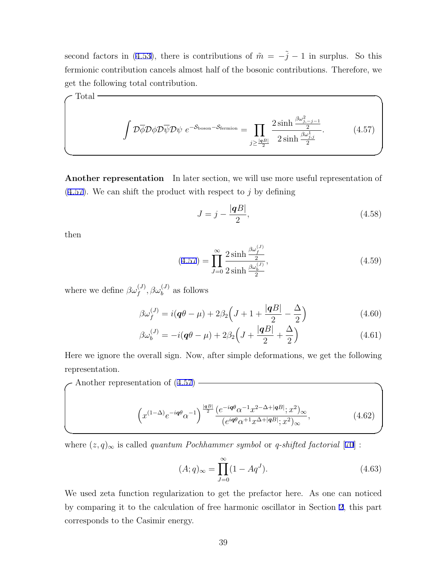second factors in (4.53), there is contributions of  $\tilde{m} = -\tilde{j} - 1$  in surplus. So this fermionic contribution cancels almost half of the bosonic contributions. Therefore, we get the following total contribution.

**✓**Total **✏**

$$
\int \mathcal{D}\overline{\phi}\mathcal{D}\phi\mathcal{D}\overline{\psi}\mathcal{D}\psi \ e^{-\mathcal{S}_{\text{boson}}-\mathcal{S}_{\text{fermion}}} = \prod_{j\geq \frac{|\mathbf{q}B|}{2}} \frac{2\sinh\frac{\beta\omega_{j,j}^2}{2}}{2\sinh\frac{\beta\omega_{j,j}^1}{2}}.\tag{4.57}
$$

**Another representation** In later section, we will use more useful representation of (4.57). We can shift the product with respect to *j* by defining

$$
J = j - \frac{|qB|}{2},\tag{4.58}
$$

then

$$
(4.57) = \prod_{J=0}^{\infty} \frac{2 \sinh \frac{\beta \omega_f^{(J)}}{2}}{2 \sinh \frac{\beta \omega_b^{(J)}}{2}},
$$
\n(4.59)

where we define  $\beta \omega_f^{(J)}$ ,  $\beta \omega_b^{(J)}$  as follows

$$
\beta \omega_f^{(J)} = i(q\theta - \mu) + 2\beta_2 \left( J + 1 + \frac{|qB|}{2} - \frac{\Delta}{2} \right) \tag{4.60}
$$

$$
\beta \omega_b^{(J)} = -i(\mathbf{q}\theta - \mu) + 2\beta_2 \left( J + \frac{|\mathbf{q}B|}{2} + \frac{\Delta}{2} \right) \tag{4.61}
$$

Here we ignore the overall sign. Now, after simple deformations, we get the following representation.

Another representation of  $(4.57)$ 

$$
\left(x^{(1-\Delta)}e^{-i\mathbf{q}\theta}\alpha^{-1}\right)^{\frac{|\mathbf{q}B|}{2}}\frac{\left(e^{-i\mathbf{q}\theta}\alpha^{-1}x^{2-\Delta+|\mathbf{q}B|};x^2\right)_{\infty}}{\left(e^{i\mathbf{q}\theta}\alpha^{+1}x^{\Delta+|\mathbf{q}B|};x^2\right)_{\infty}},\tag{4.62}
$$

where  $(z, q)_{\infty}$  is called *quantum Pochhammer symbol* or *q-shifted factorial* [70] :

$$
(A;q)_{\infty} = \prod_{J=0}^{\infty} (1 - Aq^{J}).
$$
\n(4.63)

We used zeta function regularization to get the prefactor here. As one can noticed by comparing it to the calculation of free harmonic oscillator in Section 2, this part corresponds to the Casimir energy.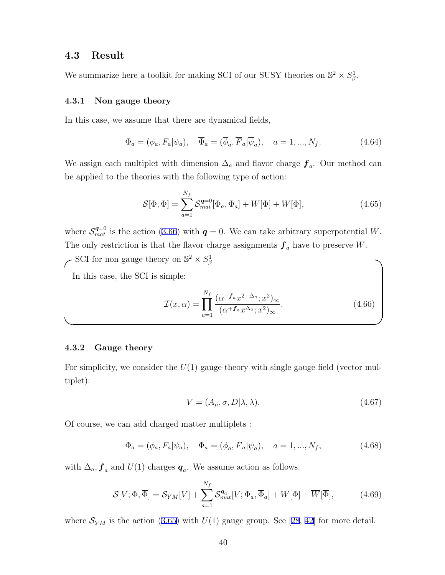### **4.3 Result**

We summarize here a toolkit for making SCI of our SUSY theories on  $\mathbb{S}^2 \times S^1_{\beta}$ .

#### **4.3.1 Non gauge theory**

In this case, we assume that there are dynamical fields,

$$
\Phi_a = (\phi_a, F_a | \psi_a), \quad \overline{\Phi}_a = (\overline{\phi}_a, \overline{F}_a | \overline{\psi}_a), \quad a = 1, ..., N_f.
$$
\n(4.64)

We assign each multiplet with dimension ∆*<sup>a</sup>* and flavor charge *f<sup>a</sup>* . Our method can be applied to the theories with the following type of action:

$$
\mathcal{S}[\Phi,\overline{\Phi}] = \sum_{a=1}^{N_f} \mathcal{S}_{mat}^{q=0}[\Phi_a,\overline{\Phi}_a] + W[\Phi] + \overline{W}[\overline{\Phi}], \tag{4.65}
$$

where  $S_{mat}^{q=0}$  is the action (3.66) with  $q=0$ . We can take arbitrary superpotential *W*. The only restriction is that the flavor charge assignments  $f_a$  have to preserve *W*.

 $\sim$  SCI for non gauge theory on  $\mathbb{S}^2 \times S^1_\beta$ 

In this case, the SCI is simple:

$$
\mathcal{I}(x,\alpha) = \prod_{a=1}^{N_f} \frac{(\alpha^{-\mathbf{f}_a} x^{2-\Delta_a}; x^2)_{\infty}}{(\alpha^{+\mathbf{f}_a} x^{\Delta_a}; x^2)_{\infty}}.
$$
\n(4.66)

#### **4.3.2 Gauge theory**

For simplicity, we consider the  $U(1)$  gauge theory with single gauge field (vector multiplet):

**✒ ✑**

$$
V = (A_{\mu}, \sigma, D | \overline{\lambda}, \lambda). \tag{4.67}
$$

Of course, we can add charged matter multiplets :

$$
\Phi_a = (\phi_a, F_a | \psi_a), \quad \overline{\Phi}_a = (\overline{\phi}_a, \overline{F}_a | \overline{\psi}_a), \quad a = 1, ..., N_f,
$$
\n(4.68)

with  $\Delta_a$ ,  $f_a$  and  $U(1)$  charges  $q_a$ . We assume action as follows.

$$
\mathcal{S}[V; \Phi, \overline{\Phi}] = \mathcal{S}_{YM}[V] + \sum_{a=1}^{N_f} \mathcal{S}_{mat}^{q_a}[V; \Phi_a, \overline{\Phi}_a] + W[\Phi] + \overline{W}[\overline{\Phi}], \tag{4.69}
$$

where  $S_{YM}$  is the action (3.65) with  $U(1)$  gauge group. See [28, 42] for more detail.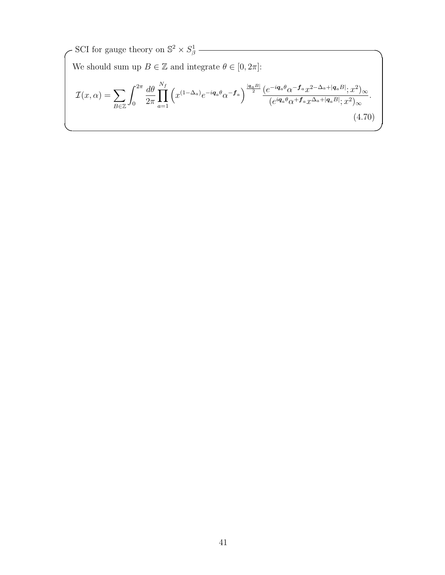$\sim$  SCI for gauge theory on  $\mathbb{S}^2 \times S^1_\beta$ We should sum up  $B \in \mathbb{Z}$  and integrate  $\theta \in [0, 2\pi]$ :  $\mathcal{I}(x,\alpha)=\sum$ *B∈*Z  $\int_0^{2\pi}$ 0 *dθ* 2*π* ∏ *N<sup>f</sup> a*=1  $\left(x^{(1-\Delta_a)}e^{-i\mathbf{q}_a\theta}\alpha^{-\mathbf{f}_a}\right)^{\frac{|\mathbf{q}_aB|}{2}}\frac{\left(e^{-i\mathbf{q}_a\theta}\alpha^{-\mathbf{f}_a}x^{2-\Delta_a+|\mathbf{q}_aB|};x^2\right)}{\left(\sin\theta+\mathbf{f}_a\right)^{|\mathbf{f}_aB|}\right)^{2}}$  $(e^{i\boldsymbol{q}_a\theta}\alpha^{+\boldsymbol{f}_a}x^{\Delta_a+|\boldsymbol{q}_a B|};x^2)_{\infty}$ *.*  $(4.70)$ **✒ ✑**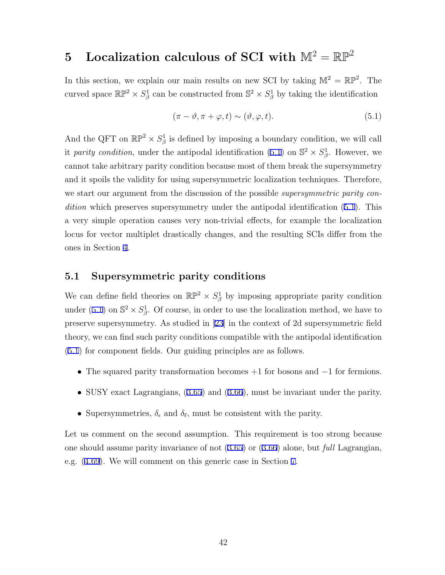## **5** Localization calculous of SCI with  $\mathbb{M}^2 = \mathbb{RP}^2$

In this section, we explain our main results on new SCI by taking  $\mathbb{M}^2 = \mathbb{RP}^2$ . The curved space  $\mathbb{RP}^2 \times S^1_\beta$  can be constructed from  $\mathbb{S}^2 \times S^1_\beta$  by taking the identification

$$
(\pi - \vartheta, \pi + \varphi, t) \sim (\vartheta, \varphi, t). \tag{5.1}
$$

And the QFT on  $\mathbb{RP}^2 \times S^1_\beta$  is defined by imposing a boundary condition, we will call it *parity condition*, under the antipodal identification (5.1) on  $\mathbb{S}^2 \times S^1_{\beta}$ . However, we cannot take arbitrary parity condition because most of them break the supersymmetry and it spoils the validity for using supersymmetric localization techniques. Therefore, we start our argument from the discussion of the possible *supersymmetric parity condition* which preserves supersymmetry under the antipodal identification (5.1). This a very simple operation causes very non-trivial effects, for example the localization locus for vector multiplet drastically changes, and the resulting SCIs differ from the ones in Section 4.

### **5.1 Supersymmetric parity conditions**

We can define field theories on  $\mathbb{RP}^2 \times S^1_\beta$  by imposing appropriate parity condition under (5.1) on  $\mathbb{S}^2 \times S^1_{\beta}$ . Of course, in order to use the localization method, we have to preserve supersymmetry. As studied in [23] in the context of 2d supersymmetric field theory, we can find such parity conditions compatible with the antipodal identification (5.1) for component fields. Our guiding principles are as follows.

- *•* The squared parity transformation becomes +1 for bosons and *−*1 for fermions.
- *•* SUSY exact Lagrangians, (3.65) and (3.66), must be invariant under the parity.
- Supersymmetries,  $\delta_{\epsilon}$  and  $\delta_{\bar{\epsilon}}$ , must be consistent with the parity.

Let us comment on the second assumption. This requirement is too strong because one should assume parity invariance of not (3.65) or (3.66) alone, but *full* Lagrangian, e.g. (4.69). We will comment on this generic case in Section 7.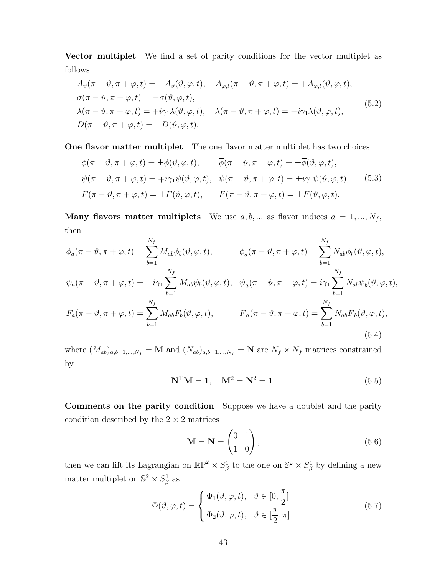**Vector multiplet** We find a set of parity conditions for the vector multiplet as follows.

$$
A_{\vartheta}(\pi - \vartheta, \pi + \varphi, t) = -A_{\vartheta}(\vartheta, \varphi, t), \quad A_{\varphi, t}(\pi - \vartheta, \pi + \varphi, t) = +A_{\varphi, t}(\vartheta, \varphi, t),
$$
  
\n
$$
\sigma(\pi - \vartheta, \pi + \varphi, t) = -\sigma(\vartheta, \varphi, t),
$$
  
\n
$$
\lambda(\pi - \vartheta, \pi + \varphi, t) = +i\gamma_1 \lambda(\vartheta, \varphi, t), \quad \overline{\lambda}(\pi - \vartheta, \pi + \varphi, t) = -i\gamma_1 \overline{\lambda}(\vartheta, \varphi, t),
$$
  
\n
$$
D(\pi - \vartheta, \pi + \varphi, t) = +D(\vartheta, \varphi, t).
$$
\n(5.2)

**One flavor matter multiplet** The one flavor matter multiplet has two choices:

$$
\phi(\pi - \vartheta, \pi + \varphi, t) = \pm \phi(\vartheta, \varphi, t), \qquad \overline{\phi}(\pi - \vartheta, \pi + \varphi, t) = \pm \overline{\phi}(\vartheta, \varphi, t),
$$
  

$$
\psi(\pi - \vartheta, \pi + \varphi, t) = \mp i \gamma_1 \psi(\vartheta, \varphi, t), \quad \overline{\psi}(\pi - \vartheta, \pi + \varphi, t) = \pm i \gamma_1 \overline{\psi}(\vartheta, \varphi, t), \qquad (5.3)
$$
  

$$
F(\pi - \vartheta, \pi + \varphi, t) = \pm F(\vartheta, \varphi, t), \qquad \overline{F}(\pi - \vartheta, \pi + \varphi, t) = \pm \overline{F}(\vartheta, \varphi, t).
$$

**Many flavors matter multiplets** We use  $a, b, \ldots$  as flavor indices  $a = 1, \ldots, N_f$ , then

$$
\phi_a(\pi - \vartheta, \pi + \varphi, t) = \sum_{b=1}^{N_f} M_{ab} \phi_b(\vartheta, \varphi, t), \qquad \overline{\phi}_a(\pi - \vartheta, \pi + \varphi, t) = \sum_{b=1}^{N_f} N_{ab} \overline{\phi}_b(\vartheta, \varphi, t),
$$
  

$$
\psi_a(\pi - \vartheta, \pi + \varphi, t) = -i\gamma_1 \sum_{b=1}^{N_f} M_{ab} \psi_b(\vartheta, \varphi, t), \quad \overline{\psi}_a(\pi - \vartheta, \pi + \varphi, t) = i\gamma_1 \sum_{b=1}^{N_f} N_{ab} \overline{\psi}_b(\vartheta, \varphi, t),
$$
  

$$
F_a(\pi - \vartheta, \pi + \varphi, t) = \sum_{b=1}^{N_f} M_{ab} F_b(\vartheta, \varphi, t), \qquad \overline{F}_a(\pi - \vartheta, \pi + \varphi, t) = \sum_{b=1}^{N_f} N_{ab} \overline{F}_b(\vartheta, \varphi, t),
$$
  
(5.4)

where  $(M_{ab})_{a,b=1,\dots,N_f} = \mathbf{M}$  and  $(N_{ab})_{a,b=1,\dots,N_f} = \mathbf{N}$  are  $N_f \times N_f$  matrices constrained by

$$
N^{T}M = 1, \quad M^{2} = N^{2} = 1.
$$
\n(5.5)

**Comments on the parity condition** Suppose we have a doublet and the parity condition described by the  $2 \times 2$  matrices

$$
\mathbf{M} = \mathbf{N} = \begin{pmatrix} 0 & 1 \\ 1 & 0 \end{pmatrix},\tag{5.6}
$$

then we can lift its Lagrangian on  $\mathbb{RP}^2 \times S^1_\beta$  to the one on  $\mathbb{S}^2 \times S^1_\beta$  by defining a new matter multiplet on  $\mathbb{S}^2 \times S^1_{\beta}$  as

$$
\Phi(\vartheta, \varphi, t) = \begin{cases} \Phi_1(\vartheta, \varphi, t), & \vartheta \in [0, \frac{\pi}{2}] \\ \Phi_2(\vartheta, \varphi, t), & \vartheta \in [\frac{\pi}{2}, \pi] \end{cases}.
$$
\n(5.7)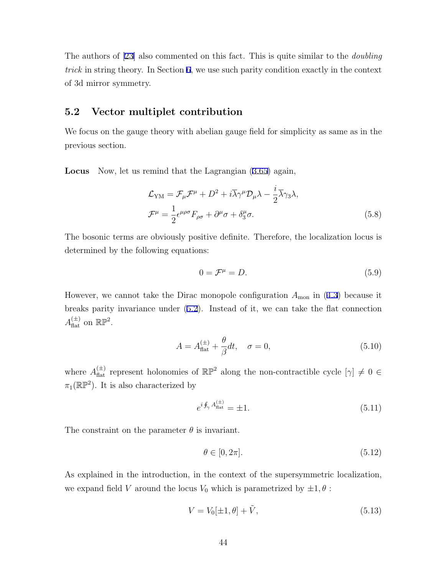The authors of [23] also commented on this fact. This is quite similar to the *doubling trick* in string theory. In Section 6, we use such parity condition exactly in the context of 3d mirror symmetry.

### **5.2 Vector multiplet contribution**

We focus on the gauge theory with abelian gauge field for simplicity as same as in the previous section.

**Locus** Now, let us remind that the Lagrangian (3.65) again,

$$
\mathcal{L}_{\text{YM}} = \mathcal{F}_{\mu} \mathcal{F}^{\mu} + D^2 + i \overline{\lambda} \gamma^{\mu} \mathcal{D}_{\mu} \lambda - \frac{i}{2} \overline{\lambda} \gamma_3 \lambda,
$$
  

$$
\mathcal{F}^{\mu} = \frac{1}{2} \epsilon^{\mu \rho \sigma} F_{\rho \sigma} + \partial^{\mu} \sigma + \delta^{\mu}_3 \sigma.
$$
 (5.8)

The bosonic terms are obviously positive definite. Therefore, the localization locus is determined by the following equations:

$$
0 = \mathcal{F}^{\mu} = D. \tag{5.9}
$$

However, we cannot take the Dirac monopole configuration  $A_{\text{mon}}$  in (4.3) because it breaks parity invariance under (5.2). Instead of it, we can take the flat connection  $A_{\text{flat}}^{(\pm)}$  on  $\mathbb{RP}^2$ .

$$
A = A_{\text{flat}}^{(\pm)} + \frac{\theta}{\beta} dt, \quad \sigma = 0,
$$
\n(5.10)

where  $A_{\text{flat}}^{(\pm)}$  represent holonomies of  $\mathbb{RP}^2$  along the non-contractible cycle  $[\gamma] \neq 0 \in$  $\pi_1(\mathbb{RP}^2)$ . It is also characterized by

$$
e^{i\oint_{\gamma} A_{\text{flat}}^{(\pm)}} = \pm 1. \tag{5.11}
$$

The constraint on the parameter  $\theta$  is invariant.

$$
\theta \in [0, 2\pi].\tag{5.12}
$$

As explained in the introduction, in the context of the supersymmetric localization, we expand field *V* around the locus  $V_0$  which is parametrized by  $\pm 1, \theta$ :

$$
V = V_0[\pm 1, \theta] + \tilde{V}, \tag{5.13}
$$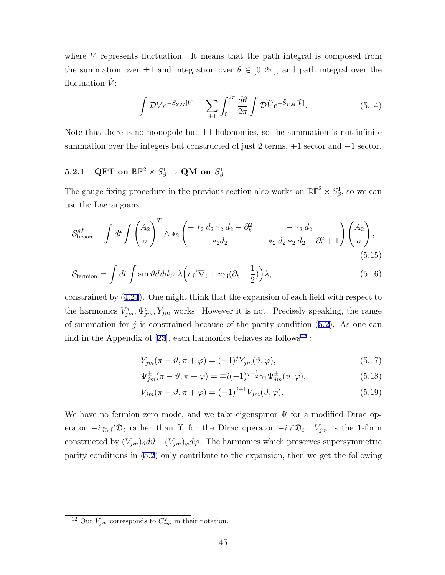where  $\tilde{V}$  represents fluctuation. It means that the path integral is composed from the summation over  $\pm 1$  and integration over  $\theta \in [0, 2\pi]$ , and path integral over the fluctuation  $\tilde{V}$ :

$$
\int \mathcal{D}Ve^{-S_{YM}[V]} = \sum_{\pm 1} \int_0^{2\pi} \frac{d\theta}{2\pi} \int \mathcal{D}\tilde{V} e^{-\tilde{S}_{YM}[\tilde{V}]}. \tag{5.14}
$$

Note that there is no monopole but  $\pm 1$  holonomies, so the summation is not infinite summation over the integers but constructed of just 2 terms, +1 sector and *−*1 sector.

## ${\bf 5.2.1} \quad \textbf{QFT on } \, \mathbb{RP}^2 \times S^1_{\beta} \rightarrow \textbf{QM on } S^1_{\beta}$

The gauge fixing procedure in the previous section also works on  $\mathbb{RP}^2 \times S^1_\beta$ , so we can use the Lagrangians

$$
S_{\text{boson}}^{gf} = \int dt \int \left(\frac{A_2}{\sigma}\right)^T \wedge *_2 \left(\begin{matrix} -*_2 d_2 *_2 d_2 - \partial_t^2 & -*_2 d_2 \\ *_2 d_2 & -*_2 d_2 *_2 d_2 - \partial_t^2 + 1 \end{matrix}\right) \left(\frac{A_2}{\sigma}\right),\tag{5.15}
$$

$$
S_{\text{fermion}} = \int dt \int \sin \vartheta d\vartheta d\varphi \ \overline{\lambda} \Big( i\gamma^i \nabla_i + i\gamma_3 (\partial_t - \frac{1}{2}) \Big) \lambda,\tag{5.16}
$$

constrained by (4.24). One might think that the expansion of each field with respect to the harmonics  $V_{jm}^i, \Psi_{jm}^{\epsilon}$ ,  $Y_{jm}$  works. However it is not. Precisely speaking, the range of summation for  $j$  is constrained because of the parity condition  $(5.2)$ . As one can find in the Appendix of [23], each harmonics behaves as follows<sup>12</sup>:

$$
Y_{jm}(\pi - \vartheta, \pi + \varphi) = (-1)^j Y_{jm}(\vartheta, \varphi), \qquad (5.17)
$$

$$
\Psi_{jm}^{\pm}(\pi - \vartheta, \pi + \varphi) = \mp i(-1)^{j - \frac{1}{2}} \gamma_1 \Psi_{jm}^{\pm}(\vartheta, \varphi), \tag{5.18}
$$

$$
V_{jm}(\pi - \vartheta, \pi + \varphi) = (-1)^{j+1} V_{jm}(\vartheta, \varphi).
$$
\n(5.19)

We have no fermion zero mode, and we take eigenspinor  $\Psi$  for a modified Dirac operator  $-i\gamma_3\gamma^i\mathfrak{D}_i$  rather than  $\Upsilon$  for the Dirac operator  $-i\gamma^i\mathfrak{D}_i$ .  $V_{jm}$  is the 1-form constructed by  $(V_{jm})_{\vartheta} d\vartheta + (V_{jm})_{\varphi} d\varphi$ . The harmonics which preserves supersymmetric parity conditions in (5.2) only contribute to the expansion, then we get the following

<sup>&</sup>lt;sup>12</sup> Our  $V_{jm}$  corresponds to  $C_{jm}^2$  in their notation.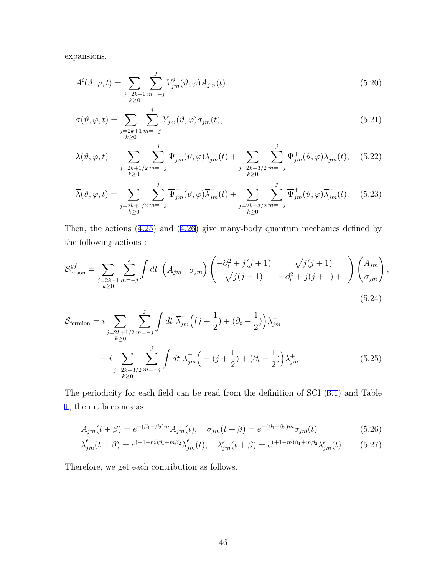expansions.

$$
A^i(\vartheta, \varphi, t) = \sum_{\substack{j=2k+1 \ k\geq 0}} \sum_{m=-j}^j V^i_{jm}(\vartheta, \varphi) A_{jm}(t), \qquad (5.20)
$$

$$
\sigma(\vartheta, \varphi, t) = \sum_{\substack{j=2k+1 \ k \ge 0}} \sum_{m=-j}^{j} Y_{jm}(\vartheta, \varphi) \sigma_{jm}(t), \qquad (5.21)
$$

$$
\lambda(\vartheta,\varphi,t) = \sum_{\substack{j=2k+1/2 \ m=-j}} \sum_{m=-j}^{j} \Psi_{jm}(\vartheta,\varphi) \lambda_{jm}^{-}(t) + \sum_{\substack{j=2k+3/2 \ m=-j}} \sum_{m=-j}^{j} \Psi_{jm}^{+}(\vartheta,\varphi) \lambda_{jm}^{+}(t), \quad (5.22)
$$

$$
\overline{\lambda}(\vartheta,\varphi,t) = \sum_{\substack{j=2k+1/2 \ m=-j}} \sum_{m=-j}^{j} \overline{\Psi}_{jm}(\vartheta,\varphi) \overline{\lambda}_{jm}^-(t) + \sum_{\substack{j=2k+3/2 \ m=-j}} \sum_{m=-j}^{j} \overline{\Psi}_{jm}^+(\vartheta,\varphi) \overline{\lambda}_{jm}^+(t). \tag{5.23}
$$

Then, the actions (4.25) and (4.26) give many-body quantum mechanics defined by the following actions :

$$
S_{\text{boson}}^{gf} = \sum_{\substack{j=2k+1 \ m=-j}} \sum_{m=-j}^{j} \int dt \, \left( A_{jm} \, \sigma_{jm} \right) \begin{pmatrix} -\partial_t^2 + j(j+1) & \sqrt{j(j+1)} \\ \sqrt{j(j+1)} & -\partial_t^2 + j(j+1) + 1 \end{pmatrix} \begin{pmatrix} A_{jm} \\ \sigma_{jm} \end{pmatrix},
$$
\n(5.24)

$$
S_{\text{fermion}} = i \sum_{\substack{j=2k+1/2 \ m=-j}} \sum_{m=-j}^{j} \int dt \ \overline{\lambda}_{jm} \Big( (j+\frac{1}{2}) + (\partial_t - \frac{1}{2}) \Big) \lambda_{jm}^{-}
$$
  
+ 
$$
i \sum_{\substack{j=2k+3/2 \ m=-j}} \sum_{m=-j}^{j} \int dt \ \overline{\lambda}_{jm}^{+} \Big( - (j+\frac{1}{2}) + (\partial_t - \frac{1}{2}) \Big) \lambda_{jm}^{+}.
$$
 (5.25)

The periodicity for each field can be read from the definition of SCI (3.1) and Table 1, then it becomes as

$$
A_{jm}(t+\beta) = e^{-(\beta_1 - \beta_2)m} A_{jm}(t), \quad \sigma_{jm}(t+\beta) = e^{-(\beta_1 - \beta_2)m} \sigma_{jm}(t)
$$
(5.26)

$$
\overline{\lambda}_{jm}^{\epsilon}(t+\beta) = e^{(-1-m)\beta_1 + m\beta_2} \overline{\lambda}_{jm}^{\epsilon}(t), \quad \lambda_{jm}^{\epsilon}(t+\beta) = e^{(+1-m)\beta_1 + m\beta_2} \lambda_{jm}^{\epsilon}(t). \tag{5.27}
$$

Therefore, we get each contribution as follows.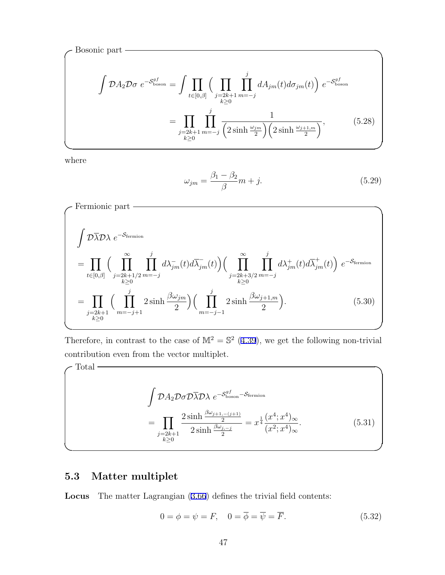$$
\int \mathcal{D}A_2 \mathcal{D}\sigma \ e^{-S_{\text{boson}}^{gf}} = \int \prod_{t \in [0,\beta]} \Big( \prod_{\substack{j=2k+1 \\ k \ge 0}} \prod_{m=-j}^{j} dA_{jm}(t) d\sigma_{jm}(t) \Big) \ e^{-S_{\text{boson}}^{gf}} \\
= \prod_{\substack{j=2k+1 \\ k \ge 0}} \prod_{m=-j}^{j} \frac{1}{\Big(2 \sinh \frac{\omega_{jm}}{2}\Big) \Big(2 \sinh \frac{\omega_{j+1,m}}{2}\Big)}, \tag{5.28}
$$

**✒ ✑**

where

$$
\omega_{jm} = \frac{\beta_1 - \beta_2}{\beta} m + j. \tag{5.29}
$$

Fermionic part  
\n
$$
\int \mathcal{D}\overline{\lambda}\mathcal{D}\lambda e^{-\mathcal{S}_{\text{fermion}}}
$$
\n
$$
= \prod_{t \in [0,\beta]} \Big(\prod_{j=2k+1/2 \atop k\geq 0}^{\infty} \prod_{m=-j}^{j} d\lambda_{jm}^{-}(t) d\overline{\lambda}_{jm}^{-}(t)\Big) \Big(\prod_{j=2k+3/2 \atop k\geq 0}^{\infty} \prod_{j=2k+3/2 \atop k\geq 0}^{j} d\lambda_{jm}^{+}(t) d\overline{\lambda}_{jm}^{+}(t)\Big) e^{-\mathcal{S}_{\text{fermion}}}
$$
\n
$$
= \prod_{j=2k+1}^{j} \Big(\prod_{m=-j+1}^{j} 2 \sinh \frac{\beta \omega_{jm}}{2}\Big) \Big(\prod_{m=-j-1}^{j} 2 \sinh \frac{\beta \omega_{j+1,m}}{2}\Big).
$$
\n(5.30)

Therefore, in contrast to the case of  $\mathbb{M}^2 = \mathbb{S}^2$  (4.39), we get the following non-trivial contribution even from the vector multiplet.

$$
\int \mathcal{D}A_2 \mathcal{D}\sigma \mathcal{D}\overline{\lambda} \mathcal{D}\lambda \ e^{-S_{\text{boson}}^{gf} - S_{\text{fermion}}}
$$
\n
$$
= \prod_{\substack{j=2k+1\\k\geq 0}} \frac{2 \sinh \frac{\beta \omega_{j+1,-(j+1)}}{2}}{2 \sinh \frac{\beta \omega_{j,-j}}{2}} = x^{\frac{1}{4}} \frac{(x^4; x^4)_{\infty}}{(x^2; x^4)_{\infty}}.
$$
\n(5.31)

**✒ ✑**

## **5.3 Matter multiplet**

**Locus** The matter Lagrangian (3.66) defines the trivial field contents:

$$
0 = \phi = \psi = F, \quad 0 = \overline{\phi} = \overline{\psi} = \overline{F}.
$$
 (5.32)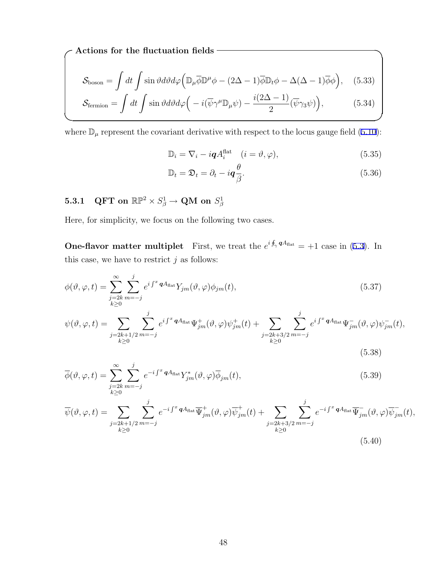**✓Actions for the fluctuation fields ✏**

$$
\mathcal{S}_{\text{boson}} = \int dt \int \sin \vartheta d\vartheta d\varphi \left( \mathbb{D}_{\mu} \overline{\phi} \mathbb{D}^{\mu} \phi - (2\Delta - 1) \overline{\phi} \mathbb{D}_{t} \phi - \Delta(\Delta - 1) \overline{\phi} \phi \right), \quad (5.33)
$$

$$
\mathcal{S}_{\text{fermion}} = \int dt \int \sin \vartheta d\vartheta d\varphi \left( -i(\overline{\psi}\gamma^{\mu} \mathbb{D}_{\mu}\psi) - \frac{i(2\Delta - 1)}{2}(\overline{\psi}\gamma_{3}\psi) \right), \tag{5.34}
$$

where  $\mathbb{D}_{\mu}$  represent the covariant derivative with respect to the locus gauge field (5.10):

$$
\mathbb{D}_i = \nabla_i - i\mathbf{q}A_i^{\text{flat}} \quad (i = \vartheta, \varphi), \tag{5.35}
$$

$$
\mathbb{D}_t = \mathfrak{D}_t = \partial_t - i \mathbf{q} \frac{\theta}{\beta}.
$$
\n(5.36)

## ${\bf 5.3.1} \quad \textbf{QFT on} \, \, \mathbb{RP}^2 \times S^1_{\beta} \rightarrow \textbf{QM on} \, \, S^1_{\beta}$

Here, for simplicity, we focus on the following two cases.

**One-flavor matter multiplet** First, we treat the  $e^{i \oint_{\gamma} q A_{\text{flat}}} = +1$  case in (5.3). In this case, we have to restrict  $j$  as follows:

$$
\phi(\vartheta,\varphi,t) = \sum_{\substack{j=2k \ m=-j}}^{\infty} \sum_{m=-j}^{j} e^{i \int^x \mathbf{q} A_{\text{flat}}} Y_{jm}(\vartheta,\varphi) \phi_{jm}(t),
$$
\n(5.37)

$$
\psi(\vartheta,\varphi,t) = \sum_{\substack{j=2k+1/2 \ m=-j}} \sum_{m=-j}^{j} e^{i \int^x \mathbf{q} A_{\text{flat}}} \Psi_{jm}^+(\vartheta,\varphi) \psi_{jm}^+(t) + \sum_{\substack{j=2k+3/2 \ m=-j}} \sum_{m=-j}^{j} e^{i \int^x \mathbf{q} A_{\text{flat}}} \Psi_{jm}^-(\vartheta,\varphi) \psi_{jm}^-(t),
$$
\n(5.38)

$$
\overline{\phi}(\vartheta,\varphi,t) = \sum_{\substack{j=2k \ m=-j}}^{\infty} \sum_{m=-j}^{j} e^{-i \int^{x} \mathbf{q} A_{\text{flat}} Y_{jm}^{*}(\vartheta,\varphi) \overline{\phi}_{jm}(t)},
$$
\n(5.39)

$$
\overline{\psi}(\vartheta,\varphi,t) = \sum_{\substack{j=2k+1/2 \ m=-j}} \sum_{m=-j}^{j} e^{-i \int^{x} \mathbf{q} A_{\text{flat}} } \overline{\Psi}_{jm}^{+}(\vartheta,\varphi) \overline{\psi}_{jm}^{+}(t) + \sum_{\substack{j=2k+3/2 \ m=-j}} \sum_{m=-j}^{j} e^{-i \int^{x} \mathbf{q} A_{\text{flat}} } \overline{\Psi}_{jm}^{-}(\vartheta,\varphi) \overline{\psi}_{jm}^{-}(t),
$$
\n(5.40)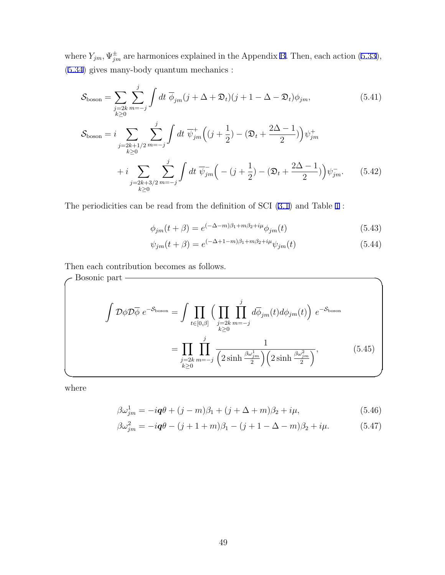where  $Y_{jm}$ ,  $\Psi_{jm}^{\pm}$  are harmonices explained in the Appendix B. Then, each action (5.33), (5.34) gives many-body quantum mechanics :

$$
\mathcal{S}_{\text{boson}} = \sum_{\substack{j=2k \ m=-j}} \sum_{m=-j}^{j} \int dt \ \overline{\phi}_{jm} (j + \Delta + \mathfrak{D}_{t}) (j + 1 - \Delta - \mathfrak{D}_{t}) \phi_{jm}, \tag{5.41}
$$
\n
$$
\mathcal{S}_{\text{boson}} = i \sum_{\substack{j=2k+1/2 \ m=-j}} \sum_{m=-j}^{j} \int dt \ \overline{\psi}_{jm}^{+} \Big( (j + \frac{1}{2}) - (\mathfrak{D}_{t} + \frac{2\Delta - 1}{2}) \Big) \psi_{jm}^{+}
$$
\n
$$
+ i \sum_{\substack{j=2k+3/2 \ m=-j}} \sum_{m=-j}^{j} \int dt \ \overline{\psi}_{jm}^{-} \Big( - (j + \frac{1}{2}) - (\mathfrak{D}_{t} + \frac{2\Delta - 1}{2}) \Big) \psi_{jm}^{-}. \tag{5.42}
$$

The periodicities can be read from the definition of SCI (3.1) and Table 1 :

$$
\phi_{jm}(t+\beta) = e^{(-\Delta - m)\beta_1 + m\beta_2 + i\mu} \phi_{jm}(t)
$$
\n(5.43)

$$
\psi_{jm}(t+\beta) = e^{(-\Delta + 1 - m)\beta_1 + m\beta_2 + i\mu} \psi_{jm}(t)
$$
\n(5.44)

Then each contribution becomes as follows.

$$
\int \mathcal{D}\phi \mathcal{D}\overline{\phi} e^{-S_{\text{boson}}} = \int \prod_{t \in [0,\beta]} \Big( \prod_{j=2k} \prod_{m=-j}^{j} d\overline{\phi}_{jm}(t) d\phi_{jm}(t) \Big) e^{-S_{\text{boson}}} \\
= \prod_{\substack{j=2k \\ k \ge 0}} \prod_{m=-j}^{j} \frac{1}{\Big( 2 \sinh \frac{\beta \omega_{jm}^{1}}{2} \Big) \Big( 2 \sinh \frac{\beta \omega_{jm}^{2}}{2} \Big)},
$$
\n(5.45)

where

$$
\beta \omega_{jm}^1 = -i\mathbf{q}\theta + (j - m)\beta_1 + (j + \Delta + m)\beta_2 + i\mu,\tag{5.46}
$$

$$
\beta \omega_{jm}^2 = -i\mathbf{q}\theta - (j+1+m)\beta_1 - (j+1-\Delta-m)\beta_2 + i\mu. \tag{5.47}
$$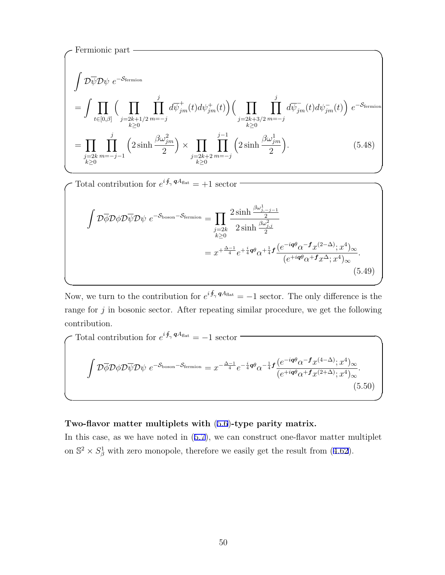Fermionic part  
\n
$$
\int \mathcal{D}\overline{\psi}\mathcal{D}\psi e^{-\mathcal{S}_{\text{fermion}}}
$$
\n
$$
= \int \prod_{t \in [0,\beta]} \Big(\prod_{j=2k+1/2} \prod_{m=-j}^{j} d\overline{\psi}_{jm}^{+}(t) d\psi_{jm}^{+}(t) \Big) \Big(\prod_{j=2k+3/2} \prod_{m=-j}^{j} d\overline{\psi}_{jm}^{-}(t) d\psi_{jm}^{-}(t) \Big) e^{-\mathcal{S}_{\text{fermion}}}
$$
\n
$$
= \prod_{\substack{j=2k \\ k \ge 0}} \prod_{m=-j-1}^{j} \Big(2 \sinh \frac{\beta \omega_{jm}^{2}}{2} \Big) \times \prod_{\substack{j=2k+2 \\ k \ge 0}} \prod_{m=-j}^{j-1} \Big(2 \sinh \frac{\beta \omega_{jm}^{1}}{2} \Big). \tag{5.48}
$$

 $\left\{\sqrt{\frac{1}{\pi}}\right\}$  **Total contribution for**  $e^{i\oint_{\gamma} qA_{\text{flat}}} = +1$  **sector**  $\left\{\sqrt{\frac{1}{\pi}}\right\}$ 

$$
\int \mathcal{D}\overline{\phi} \mathcal{D}\phi \mathcal{D}\overline{\psi} \mathcal{D}\psi e^{-\mathcal{S}_{\text{boson}} - \mathcal{S}_{\text{fermion}}} = \prod_{j=2k} \frac{2 \sinh \frac{\beta \omega_{j,-j-1}^1}{2}}{2 \sinh \frac{\beta \omega_{j,j}^2}{2}}
$$
  
=  $x^{+\frac{\Delta-1}{4}} e^{+\frac{i}{4}q\theta} \alpha^{+\frac{1}{4}} f \frac{(e^{-iq\theta} \alpha^{-f} x^{(2-\Delta)}; x^4)_{\infty}}{(e^{+iq\theta} \alpha^{+f} x^{\Delta}; x^4)_{\infty}}.$  (5.49)

**✒ ✑**

**✒ ✑**

Now, we turn to the contribution for  $e^{i \oint_{\gamma} q A_{\text{flat}}} = -1$  sector. The only difference is the range for *j* in bosonic sector. After repeating similar procedure, we get the following contribution.

Total contribution for 
$$
e^{i\oint_{\gamma} qA_{\text{flat}}} = -1
$$
 sector  
\n
$$
\int \mathcal{D}\overline{\phi}\mathcal{D}\phi\mathcal{D}\overline{\psi}\mathcal{D}\psi \ e^{-\mathcal{S}_{\text{boson}}-\mathcal{S}_{\text{fermion}}} = x^{-\frac{\Delta-1}{4}} e^{-\frac{i}{4}q\theta} \alpha^{-\frac{1}{4}f} \frac{(e^{-iq\theta}\alpha^{-f}x^{(4-\Delta)};x^4)_{\infty}}{(e^{+iq\theta}\alpha^{+f}x^{(2+\Delta)};x^4)_{\infty}}.
$$
\n(5.50)

**✒ ✑**

#### **Two-flavor matter multiplets with** (5.6)**-type parity matrix.**

In this case, as we have noted in (5.7), we can construct one-flavor matter multiplet on  $\mathbb{S}^2 \times S^1_\beta$  with zero monopole, therefore we easily get the result from (4.62).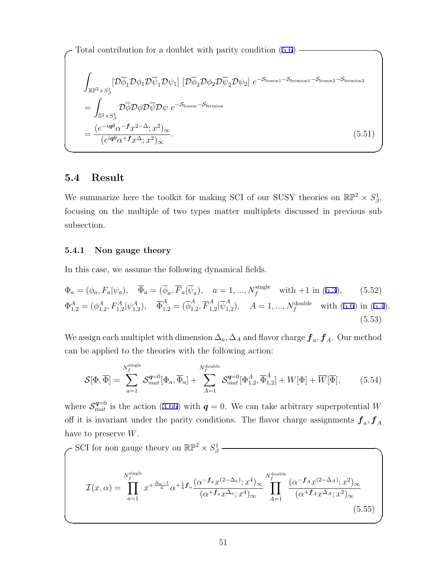Total contribution for a doublet with parity condition  $(5.6)$  -

$$
\int_{\mathbb{R}\mathbb{P}^2 \times S_{\beta}^1} \left[ \mathcal{D}\overline{\phi}_1 \mathcal{D}\phi_1 \mathcal{D}\overline{\psi}_1 \mathcal{D}\psi_1 \right] \left[ \mathcal{D}\overline{\phi}_2 \mathcal{D}\phi_2 \mathcal{D}\overline{\psi}_2 \mathcal{D}\psi_2 \right] e^{-S_{\text{boson1}} - S_{\text{fermion1}} - S_{\text{boson2}} - S_{\text{fermion2}}} \n= \int_{\mathbb{S}^2 \times S_{\beta}^1} \mathcal{D}\overline{\phi} \mathcal{D}\phi \mathcal{D}\overline{\psi} \mathcal{D}\psi e^{-S_{\text{boson}} - S_{\text{fermion}}} \n= \frac{(e^{-i\mathbf{q}\theta}\alpha^{-\mathbf{f}}x^{2-\Delta}; x^2)_{\infty}}{(e^{i\mathbf{q}\theta}\alpha^{+\mathbf{f}}x^{\Delta}; x^2)_{\infty}}.
$$
\n(5.51)

**✒ ✑**

### **5.4 Result**

We summarize here the toolkit for making SCI of our SUSY theories on  $\mathbb{RP}^2 \times S^1_{\beta}$ , focusing on the multiple of two types matter multiplets discussed in previous sub subsection.

#### **5.4.1 Non gauge theory**

In this case, we assume the following dynamical fields.

$$
\Phi_a = (\phi_a, F_a | \psi_a), \quad \overline{\Phi}_a = (\overline{\phi}_a, \overline{F}_a | \overline{\psi}_a), \quad a = 1, ..., N_f^{\text{single}} \quad \text{with } +1 \text{ in } (5.3), \tag{5.52}
$$
\n
$$
\Phi_{1,2}^A = (\phi_{1,2}^A, F_{1,2}^A | \psi_{1,2}^A), \quad \overline{\Phi}_{1,2}^A = (\overline{\phi}_{1,2}^A, \overline{F}_{1,2}^A | \overline{\psi}_{1,2}^A), \quad A = 1, ..., N_f^{\text{double}} \quad \text{with } (5.6) \text{ in } (5.4).
$$
\n(5.53)

We assign each multiplet with dimension  $\Delta_a$ ,  $\Delta_A$  and flavor charge  $f_a$ ,  $f_A$ . Our method can be applied to the theories with the following action:

$$
\mathcal{S}[\Phi,\overline{\Phi}] = \sum_{a=1}^{N_f^{\text{single}}}\mathcal{S}_{mat}^{q=0}[\Phi_a,\overline{\Phi}_a] + \sum_{A=1}^{N_f^{\text{double}}}\mathcal{S}_{mat}^{q=0}[\Phi_{1,2}^A,\overline{\Phi}_{1,2}^A] + W[\Phi] + \overline{W}[\overline{\Phi}],\tag{5.54}
$$

where  $S_{mat}^{q=0}$  is the action (3.66) with  $q=0$ . We can take arbitrary superpotential *W* off it is invariant under the parity conditions. The flavor charge assignments  $f_a, f_A$ have to preserve *W*.

$$
\mathcal{I}(x,\alpha) = \prod_{a=1}^{N_f^{\text{single}}} x^{+\frac{\Delta_a - 1}{4}} \alpha^{+\frac{1}{4}f_a} \frac{(\alpha^{-f_a} x^{(2-\Delta_a)}; x^4)_{\infty}}{(\alpha^{+f_a} x^{\Delta_a}; x^4)_{\infty}} \prod_{A=1}^{N_f^{\text{double}}} \frac{(\alpha^{-f_A} x^{(2-\Delta_A)}; x^2)_{\infty}}{(\alpha^{+f_A} x^{\Delta_A}; x^2)_{\infty}}
$$
\n(5.55)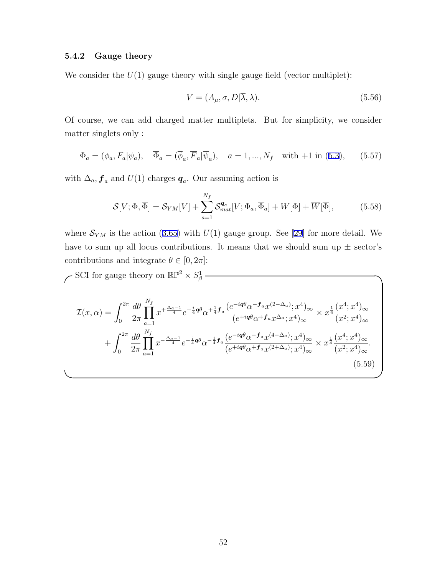### **5.4.2 Gauge theory**

We consider the  $U(1)$  gauge theory with single gauge field (vector multiplet):

$$
V = (A_{\mu}, \sigma, D | \overline{\lambda}, \lambda). \tag{5.56}
$$

Of course, we can add charged matter multiplets. But for simplicity, we consider matter singlets only :

$$
\Phi_a = (\phi_a, F_a | \psi_a), \quad \overline{\Phi}_a = (\overline{\phi}_a, \overline{F}_a | \overline{\psi}_a), \quad a = 1, ..., N_f \quad \text{with } +1 \text{ in } (5.3), \tag{5.57}
$$

with  $\Delta_a$ ,  $f_a$  and  $U(1)$  charges  $q_a$ . Our assuming action is

$$
\mathcal{S}[V; \Phi, \overline{\Phi}] = \mathcal{S}_{YM}[V] + \sum_{a=1}^{N_f} \mathcal{S}_{mat}^{q_a}[V; \Phi_a, \overline{\Phi}_a] + W[\Phi] + \overline{W}[\overline{\Phi}], \tag{5.58}
$$

where  $S_{YM}$  is the action (3.65) with  $U(1)$  gauge group. See [29] for more detail. We have to sum up all locus contributions. It means that we should sum up  $\pm$  sector's contributions and integrate  $\theta \in [0, 2\pi]$ :

$$
\mathcal{I}(x,\alpha) = \int_0^{2\pi} \frac{d\theta}{2\pi} \prod_{a=1}^{N_f} x^{+\frac{\Delta_a - 1}{4}} e^{+\frac{i}{4}\mathbf{q}\theta} \alpha^{+\frac{1}{4}} f_a \frac{(e^{-i\mathbf{q}\theta} \alpha^{-f_a} x^{(2-\Delta_a)}; x^4)_{\infty}}{(e^{+i\mathbf{q}\theta} \alpha^{+f_a} x^{\Delta_a}; x^4)_{\infty}} \times x^{\frac{1}{4}} \frac{(x^4; x^4)_{\infty}}{(x^2; x^4)_{\infty}} + \int_0^{2\pi} \frac{d\theta}{2\pi} \prod_{a=1}^{N_f} x^{-\frac{\Delta_a - 1}{4}} e^{-\frac{i}{4}\mathbf{q}\theta} \alpha^{-\frac{1}{4}} f_a \frac{(e^{-i\mathbf{q}\theta} \alpha^{-f_a} x^{(4-\Delta_a)}; x^4)_{\infty}}{(e^{+i\mathbf{q}\theta} \alpha^{+f_a} x^{(2+\Delta_a)}; x^4)_{\infty}} \times x^{\frac{1}{4}} \frac{(x^4; x^4)_{\infty}}{(x^2; x^4)_{\infty}} + \int_0^{2\pi} \frac{d\theta}{2\pi} \prod_{a=1}^{N_f} x^{-\frac{\Delta_a - 1}{4}} e^{-\frac{i}{4}\mathbf{q}\theta} \alpha^{-\frac{1}{4}} f_a \frac{(e^{-i\mathbf{q}\theta} \alpha^{-f_a} x^{(4-\Delta_a)}; x^4)_{\infty}}{(e^{+i\mathbf{q}\theta} \alpha^{+f_a} x^{(2+\Delta_a)}; x^4)_{\infty}} \times x^{\frac{1}{4}} \frac{(x^4; x^4)_{\infty}}{(x^2; x^4)_{\infty}} \tag{5.59}
$$

**✒ ✑**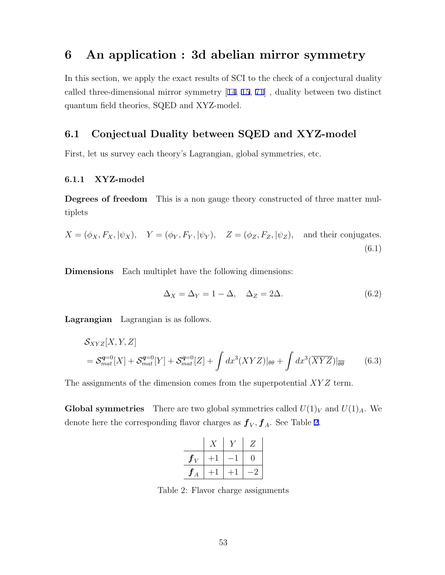## **6 An application : 3d abelian mirror symmetry**

In this section, we apply the exact results of SCI to the check of a conjectural duality called three-dimensional mirror symmetry [14, 15, 71] , duality between two distinct quantum field theories, SQED and XYZ-model.

### **6.1 Conjectual Duality between SQED and XYZ-model**

First, let us survey each theory's Lagrangian, global symmetries, etc.

### **6.1.1 XYZ-model**

**Degrees of freedom** This is a non gauge theory constructed of three matter multiplets

$$
X = (\phi_X, F_X, |\psi_X), \quad Y = (\phi_Y, F_Y, |\psi_Y), \quad Z = (\phi_Z, F_Z, |\psi_Z), \quad \text{and their conjugates.}
$$
\n
$$
(6.1)
$$

**Dimensions** Each multiplet have the following dimensions:

$$
\Delta_X = \Delta_Y = 1 - \Delta, \quad \Delta_Z = 2\Delta. \tag{6.2}
$$

**Lagrangian** Lagrangian is as follows.

$$
S_{XYZ}[X,Y,Z]
$$
  
=  $\mathcal{S}_{mat}^{q=0}[X] + \mathcal{S}_{mat}^{q=0}[Y] + \mathcal{S}_{mat}^{q=0}[Z] + \int dx^3 (XYZ)|_{\theta\theta} + \int dx^3 (\overline{XYZ})|_{\overline{\theta\theta}}$  (6.3)

The assignments of the dimension comes from the superpotential *XY Z* term.

**Global symmetries** There are two global symmetries called  $U(1)_V$  and  $U(1)_A$ . We denote here the corresponding flavor charges as  $f_V, f_A$ . See Table 2.

|   |  | Ζ |
|---|--|---|
|   |  | ı |
| А |  |   |

Table 2: Flavor charge assignments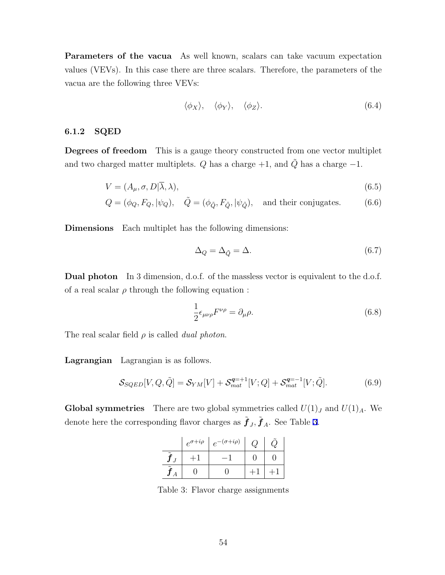**Parameters of the vacua** As well known, scalars can take vacuum expectation values (VEVs). In this case there are three scalars. Therefore, the parameters of the vacua are the following three VEVs:

$$
\langle \phi_X \rangle, \quad \langle \phi_Y \rangle, \quad \langle \phi_Z \rangle. \tag{6.4}
$$

### **6.1.2 SQED**

**Degrees of freedom** This is a gauge theory constructed from one vector multiplet and two charged matter multiplets.  $Q$  has a charge  $+1$ , and  $\tilde{Q}$  has a charge  $-1$ .

$$
V = (A_{\mu}, \sigma, D|\overline{\lambda}, \lambda), \tag{6.5}
$$

$$
Q = (\phi_Q, F_Q, |\psi_Q), \quad \tilde{Q} = (\phi_{\tilde{Q}}, F_{\tilde{Q}}, |\psi_{\tilde{Q}}), \quad \text{and their conjugates.} \tag{6.6}
$$

**Dimensions** Each multiplet has the following dimensions:

$$
\Delta_Q = \Delta_{\tilde{Q}} = \Delta. \tag{6.7}
$$

**Dual photon** In 3 dimension, d.o.f. of the massless vector is equivalent to the d.o.f. of a real scalar  $\rho$  through the following equation :

$$
\frac{1}{2}\epsilon_{\mu\nu\rho}F^{\nu\rho} = \partial_{\mu}\rho. \tag{6.8}
$$

The real scalar field *ρ* is called *dual photon*.

**Lagrangian** Lagrangian is as follows.

$$
S_{SQED}[V, Q, \tilde{Q}] = S_{YM}[V] + S_{mat}^{q=+1}[V; Q] + S_{mat}^{q=-1}[V; \tilde{Q}].
$$
 (6.9)

**Global symmetries** There are two global symmetries called  $U(1)_J$  and  $U(1)_A$ . We denote here the corresponding flavor charges as  $\tilde{f}_J$ ,  $\tilde{f}_A$ . See Table 3.

|                       | $e^{\sigma+i\rho}$ | $e^{-(\sigma+i\rho)}$ |  |
|-----------------------|--------------------|-----------------------|--|
| $\tilde{\phantom{a}}$ |                    |                       |  |
| $\sim$                |                    |                       |  |

Table 3: Flavor charge assignments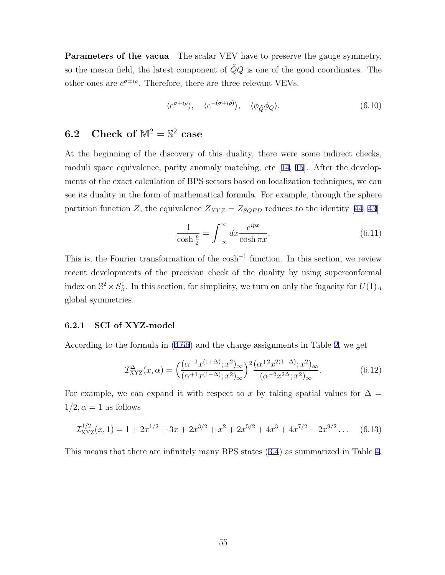**Parameters of the vacua** The scalar VEV have to preserve the gauge symmetry, so the meson field, the latest component of  $\tilde{Q}Q$  is one of the good coordinates. The other ones are  $e^{\sigma \pm i\rho}$ . Therefore, there are three relevant VEVs.

$$
\langle e^{\sigma + i\rho} \rangle, \quad \langle e^{-(\sigma + i\rho)} \rangle, \quad \langle \phi_{\tilde{Q}} \phi_Q \rangle. \tag{6.10}
$$

## **6.2** Check of  $\mathbb{M}^2 = \mathbb{S}^2$  case

At the beginning of the discovery of this duality, there were some indirect checks, moduli space equivalence, parity anomaly matching, etc [14, 15]. After the developments of the exact calculation of BPS sectors based on localization techniques, we can see its duality in the form of mathematical formula. For example, through the sphere partition function *Z*, the equivalence  $Z_{XYZ} = Z_{SQED}$  reduces to the identity [44, 43]

$$
\frac{1}{\cosh\frac{p}{2}} = \int_{-\infty}^{\infty} dx \frac{e^{ipx}}{\cosh\pi x}.
$$
\n(6.11)

This is, the Fourier transformation of the cosh*<sup>−</sup>*<sup>1</sup> function. In this section, we review recent developments of the precision check of the duality by using superconformal index on  $\mathbb{S}^2 \times S^1_{\beta}$ . In this section, for simplicity, we turn on only the fugacity for  $U(1)_A$ global symmetries.

#### **6.2.1 SCI of XYZ-model**

According to the formula in (4.66) and the charge assignments in Table 2, we get

$$
\mathcal{I}_{\text{XYZ}}^{\Delta}(x,\alpha) = \left(\frac{(\alpha^{-1}x^{(1+\Delta)};x^2)_{\infty}}{(\alpha^{+1}x^{(1-\Delta)};x^2)_{\infty}}\right)^2 \frac{(\alpha^{+2}x^{2(1-\Delta)};x^2)_{\infty}}{(\alpha^{-2}x^{2\Delta};x^2)_{\infty}}.
$$
(6.12)

For example, we can expand it with respect to x by taking spatial values for  $\Delta =$  $1/2, \alpha = 1$  as follows

$$
\mathcal{I}_{\text{XYZ}}^{1/2}(x,1) = 1 + 2x^{1/2} + 3x + 2x^{3/2} + x^2 + 2x^{5/2} + 4x^3 + 4x^{7/2} - 2x^{9/2} \dots \tag{6.13}
$$

This means that there are infinitely many BPS states (3.4) as summarized in Table 4.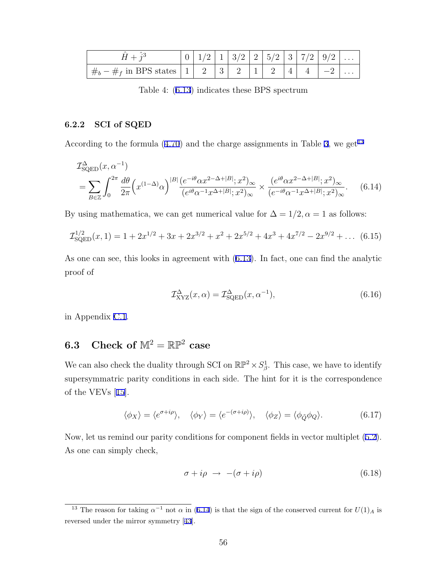|                                                                                                                                              |  |  |  | 0 1/2 1 3/2 2 5/2 3 7/2 9/2 |  |
|----------------------------------------------------------------------------------------------------------------------------------------------|--|--|--|-----------------------------|--|
| $\frac{1}{4}$ $\frac{1}{4}$ $\frac{1}{4}$ $\frac{1}{4}$ in BPS states $\begin{vmatrix} 1 & 2 & 3 & 2 & 1 & 2 & 4 & 4 & 4 & -2 \end{vmatrix}$ |  |  |  |                             |  |

Table 4: (6.13) indicates these BPS spectrum

### **6.2.2 SCI of SQED**

According to the formula  $(4.70)$  and the charge assignments in Table 3, we get<sup>13</sup>

$$
\mathcal{I}_{\text{SQED}}^{\Delta}(x, \alpha^{-1}) = \sum_{B \in \mathbb{Z}} \int_0^{2\pi} \frac{d\theta}{2\pi} \left( x^{(1-\Delta)} \alpha \right)^{|B|} \frac{\left( e^{-i\theta} \alpha x^{2-\Delta+|B|} ; x^2 \right)_{\infty}}{\left( e^{i\theta} \alpha^{-1} x^{\Delta+|B|} ; x^2 \right)_{\infty}} \times \frac{\left( e^{i\theta} \alpha x^{2-\Delta+|B|} ; x^2 \right)_{\infty}}{\left( e^{-i\theta} \alpha^{-1} x^{\Delta+|B|} ; x^2 \right)_{\infty}}.
$$
(6.14)

By using mathematica, we can get numerical value for  $\Delta = 1/2, \alpha = 1$  as follows:

$$
\mathcal{I}_{\text{SQED}}^{1/2}(x,1) = 1 + 2x^{1/2} + 3x + 2x^{3/2} + x^2 + 2x^{5/2} + 4x^3 + 4x^{7/2} - 2x^{9/2} + \dots \tag{6.15}
$$

As one can see, this looks in agreement with (6.13). In fact, one can find the analytic proof of

$$
\mathcal{I}_{\text{XYZ}}^{\Delta}(x,\alpha) = \mathcal{I}_{\text{SQED}}^{\Delta}(x,\alpha^{-1}),\tag{6.16}
$$

in Appendix C.1.

## **6.3** Check of  $\mathbb{M}^2 = \mathbb{RP}^2$  case

We can also check the duality through SCI on  $\mathbb{RP}^2 \times S^1_{\beta}$ . This case, we have to identify supersymmatric parity conditions in each side. The hint for it is the correspondence of the VEVs [15].

$$
\langle \phi_X \rangle = \langle e^{\sigma + i\rho} \rangle, \quad \langle \phi_Y \rangle = \langle e^{-(\sigma + i\rho)} \rangle, \quad \langle \phi_Z \rangle = \langle \phi_{\tilde{Q}} \phi_Q \rangle. \tag{6.17}
$$

Now, let us remind our parity conditions for component fields in vector multiplet (5.2). As one can simply check,

$$
\sigma + i\rho \rightarrow -(\sigma + i\rho) \tag{6.18}
$$

<sup>&</sup>lt;sup>13</sup> The reason for taking  $\alpha^{-1}$  not  $\alpha$  in (6.14) is that the sign of the conserved current for  $U(1)_A$  is reversed under the mirror symmetry [43].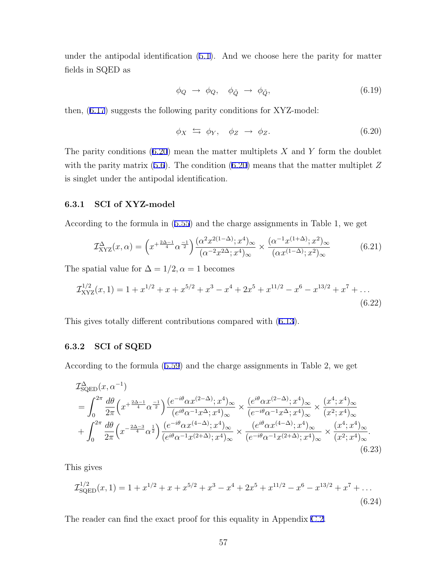under the antipodal identification (5.1). And we choose here the parity for matter fields in SQED as

$$
\phi_Q \to \phi_Q, \quad \phi_{\tilde{Q}} \to \phi_{\tilde{Q}}, \tag{6.19}
$$

then, (6.17) suggests the following parity conditions for XYZ-model:

$$
\phi_X \iff \phi_Y, \quad \phi_Z \to \phi_Z. \tag{6.20}
$$

The parity conditions (6.20) mean the matter multiplets *X* and *Y* form the doublet with the parity matrix (5.6). The condition (6.20) means that the matter multiplet Z is singlet under the antipodal identification.

#### **6.3.1 SCI of XYZ-model**

According to the formula in (5.55) and the charge assignments in Table 1, we get

$$
\mathcal{I}_{\text{XYZ}}^{\Delta}(x,\alpha) = \left(x^{+\frac{2\Delta-1}{4}}\alpha^{\frac{-1}{2}}\right) \frac{(\alpha^2 x^{2(1-\Delta)}; x^4)_{\infty}}{(\alpha^{-2} x^{2\Delta}; x^4)_{\infty}} \times \frac{(\alpha^{-1} x^{(1+\Delta)}; x^2)_{\infty}}{(\alpha x^{(1-\Delta)}; x^2)_{\infty}} \tag{6.21}
$$

The spatial value for  $\Delta = 1/2, \alpha = 1$  becomes

$$
\mathcal{I}_{\text{XYZ}}^{1/2}(x,1) = 1 + x^{1/2} + x + x^{5/2} + x^3 - x^4 + 2x^5 + x^{11/2} - x^6 - x^{13/2} + x^7 + \dots
$$
\n(6.22)

This gives totally different contributions compared with (6.13).

#### **6.3.2 SCI of SQED**

According to the formula (5.59) and the charge assignments in Table 2, we get

$$
\mathcal{I}_{\text{SQED}}^{\Delta}(x, \alpha^{-1}) = \int_{0}^{2\pi} \frac{d\theta}{2\pi} \left( x^{+\frac{2\Delta-1}{4}} \alpha^{\frac{-1}{2}} \right) \frac{(e^{-i\theta} \alpha x^{(2-\Delta)}; x^{4})_{\infty}}{(e^{i\theta} \alpha^{-1} x^{\Delta}; x^{4})_{\infty}} \times \frac{(e^{i\theta} \alpha x^{(2-\Delta)}; x^{4})_{\infty}}{(e^{-i\theta} \alpha^{-1} x^{\Delta}; x^{4})_{\infty}} \times \frac{(x^{4}; x^{4})_{\infty}}{(x^{2}; x^{4})_{\infty}} + \int_{0}^{2\pi} \frac{d\theta}{2\pi} \left( x^{-\frac{2\Delta-3}{4}} \alpha^{\frac{1}{2}} \right) \frac{(e^{-i\theta} \alpha x^{(4-\Delta)}; x^{4})_{\infty}}{(e^{i\theta} \alpha^{-1} x^{(2+\Delta)}; x^{4})_{\infty}} \times \frac{(e^{i\theta} \alpha x^{(4-\Delta)}; x^{4})_{\infty}}{(e^{-i\theta} \alpha^{-1} x^{(2+\Delta)}; x^{4})_{\infty}} \times \frac{(x^{4}; x^{4})_{\infty}}{(x^{2}; x^{4})_{\infty}}.
$$
\n(6.23)

This gives

$$
\mathcal{I}_{\text{SQED}}^{1/2}(x,1) = 1 + x^{1/2} + x + x^{5/2} + x^3 - x^4 + 2x^5 + x^{11/2} - x^6 - x^{13/2} + x^7 + \dots
$$
\n(6.24)

The reader can find the exact proof for this equality in Appendix C.2.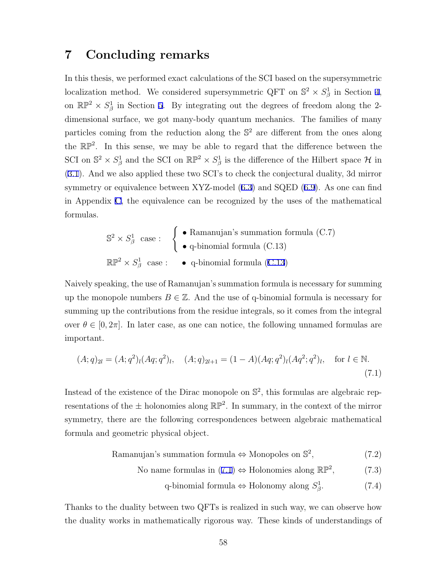## **7 Concluding remarks**

In this thesis, we performed exact calculations of the SCI based on the supersymmetric localization method. We considered supersymmetric QFT on  $\mathbb{S}^2 \times S^1_{\beta}$  in Section 4, on  $\mathbb{RP}^2 \times S^1_\beta$  in Section 5. By integrating out the degrees of freedom along the 2dimensional surface, we got many-body quantum mechanics. The families of many particles coming from the reduction along the S <sup>2</sup> are different from the ones along the  $\mathbb{RP}^2$ . In this sense, we may be able to regard that the difference between the SCI on  $\mathbb{S}^2 \times S^1_\beta$  and the SCI on  $\mathbb{RP}^2 \times S^1_\beta$  is the difference of the Hilbert space  $\mathcal H$  in (3.1). And we also applied these two SCI's to check the conjectural duality, 3d mirror symmetry or equivalence between XYZ-model (6.3) and SQED (6.9). As one can find in Appendix C, the equivalence can be recognized by the uses of the mathematical formulas.

$$
\mathbb{S}^2 \times S^1_{\beta} \text{ case}: \quad \left\{ \begin{array}{l}\n\bullet \text{ Ramanujan's summation formula (C.7)} \\
\bullet \text{ q-binomial formula (C.13)}\n\end{array} \right.
$$
\n
$$
\mathbb{RP}^2 \times S^1_{\beta} \text{ case}: \quad \bullet \text{ q-binomial formula (C.13)}
$$

Naively speaking, the use of Ramanujan's summation formula is necessary for summing up the monopole numbers  $B \in \mathbb{Z}$ . And the use of q-binomial formula is necessary for summing up the contributions from the residue integrals, so it comes from the integral over  $\theta \in [0, 2\pi]$ . In later case, as one can notice, the following unnamed formulas are important.

$$
(A;q)_{2l} = (A;q^2)_l (Aq;q^2)_l, \quad (A;q)_{2l+1} = (1-A)(Aq;q^2)_l (Aq^2;q^2)_l, \quad \text{for } l \in \mathbb{N}.
$$
\n(7.1)

Instead of the existence of the Dirac monopole on  $\mathbb{S}^2$ , this formulas are algebraic representations of the  $\pm$  holonomies along  $\mathbb{RP}^2$ . In summary, in the context of the mirror symmetry, there are the following correspondences between algebraic mathematical formula and geometric physical object.

> Ramanujan's summation formula *⇔* Monopoles on S 2  $(7.2)$

No name formulas in  $(7.1) \Leftrightarrow$  Holonomies along  $\mathbb{RP}^2$ , *,* (7.3)

> q-binomial formula *⇔* Holonomy along *S* 1 *β*  $(7.4)$

Thanks to the duality between two QFTs is realized in such way, we can observe how the duality works in mathematically rigorous way. These kinds of understandings of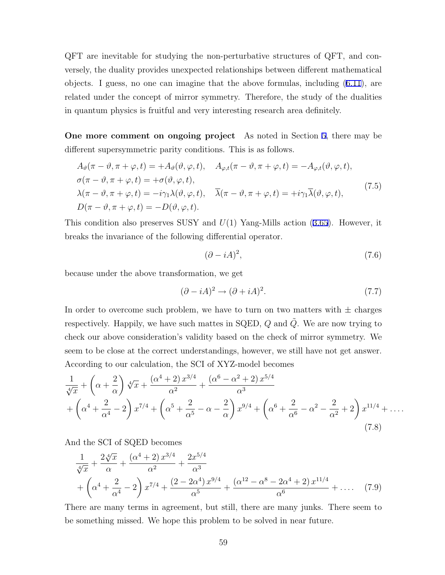QFT are inevitable for studying the non-perturbative structures of QFT, and conversely, the duality provides unexpected relationships between different mathematical objects. I guess, no one can imagine that the above formulas, including (6.11), are related under the concept of mirror symmetry. Therefore, the study of the dualities in quantum physics is fruitful and very interesting research area definitely.

**One more comment on ongoing project** As noted in Section 5, there may be different supersymmetric parity conditions. This is as follows.

$$
A_{\vartheta}(\pi - \vartheta, \pi + \varphi, t) = +A_{\vartheta}(\vartheta, \varphi, t), \quad A_{\varphi, t}(\pi - \vartheta, \pi + \varphi, t) = -A_{\varphi, t}(\vartheta, \varphi, t),
$$
  
\n
$$
\sigma(\pi - \vartheta, \pi + \varphi, t) = +\sigma(\vartheta, \varphi, t),
$$
  
\n
$$
\lambda(\pi - \vartheta, \pi + \varphi, t) = -i\gamma_1 \lambda(\vartheta, \varphi, t), \quad \overline{\lambda}(\pi - \vartheta, \pi + \varphi, t) = +i\gamma_1 \overline{\lambda}(\vartheta, \varphi, t),
$$
  
\n
$$
D(\pi - \vartheta, \pi + \varphi, t) = -D(\vartheta, \varphi, t).
$$
\n(7.5)

This condition also preserves SUSY and *U*(1) Yang-Mills action (3.65). However, it breaks the invariance of the following differential operator.

$$
(\partial - iA)^2,\t(7.6)
$$

because under the above transformation, we get

$$
(\partial - iA)^2 \to (\partial + iA)^2. \tag{7.7}
$$

In order to overcome such problem, we have to turn on two matters with  $\pm$  charges respectively. Happily, we have such mattes in SQED,  $Q$  and  $\tilde{Q}$ . We are now trying to check our above consideration's validity based on the check of mirror symmetry. We seem to be close at the correct understandings, however, we still have not get answer. According to our calculation, the SCI of XYZ-model becomes

$$
\frac{1}{\sqrt[4]{x}} + \left(\alpha + \frac{2}{\alpha}\right) \sqrt[4]{x} + \frac{\left(\alpha^4 + 2\right) x^{3/4}}{\alpha^2} + \frac{\left(\alpha^6 - \alpha^2 + 2\right) x^{5/4}}{\alpha^3} \n+ \left(\alpha^4 + \frac{2}{\alpha^4} - 2\right) x^{7/4} + \left(\alpha^5 + \frac{2}{\alpha^5} - \alpha - \frac{2}{\alpha}\right) x^{9/4} + \left(\alpha^6 + \frac{2}{\alpha^6} - \alpha^2 - \frac{2}{\alpha^2} + 2\right) x^{11/4} + \dots
$$
\n(7.8)

And the SCI of SQED becomes

$$
\frac{1}{\sqrt[4]{x}} + \frac{2\sqrt[4]{x}}{\alpha} + \frac{(\alpha^4 + 2)x^{3/4}}{\alpha^2} + \frac{2x^{5/4}}{\alpha^3} + \left(\alpha^4 + \frac{2}{\alpha^4} - 2\right)x^{7/4} + \frac{(2 - 2\alpha^4)x^{9/4}}{\alpha^5} + \frac{(\alpha^{12} - \alpha^8 - 2\alpha^4 + 2)x^{11/4}}{\alpha^6} + \dots \quad (7.9)
$$

There are many terms in agreement, but still, there are many junks. There seem to be something missed. We hope this problem to be solved in near future.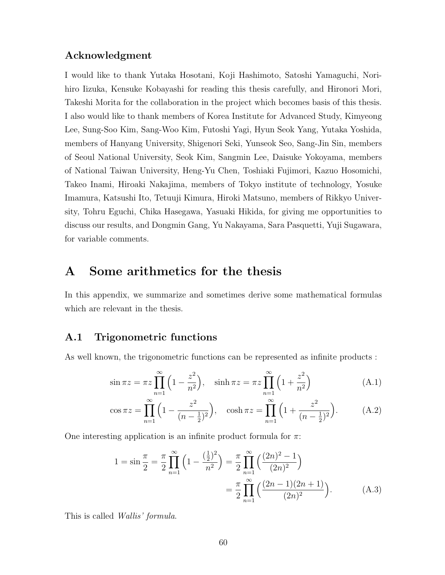### **Acknowledgment**

I would like to thank Yutaka Hosotani, Koji Hashimoto, Satoshi Yamaguchi, Norihiro Iizuka, Kensuke Kobayashi for reading this thesis carefully, and Hironori Mori, Takeshi Morita for the collaboration in the project which becomes basis of this thesis. I also would like to thank members of Korea Institute for Advanced Study, Kimyeong Lee, Sung-Soo Kim, Sang-Woo Kim, Futoshi Yagi, Hyun Seok Yang, Yutaka Yoshida, members of Hanyang University, Shigenori Seki, Yunseok Seo, Sang-Jin Sin, members of Seoul National University, Seok Kim, Sangmin Lee, Daisuke Yokoyama, members of National Taiwan University, Heng-Yu Chen, Toshiaki Fujimori, Kazuo Hosomichi, Takeo Inami, Hiroaki Nakajima, members of Tokyo institute of technology, Yosuke Imamura, Katsushi Ito, Tetuuji Kimura, Hiroki Matsuno, members of Rikkyo University, Tohru Eguchi, Chika Hasegawa, Yasuaki Hikida, for giving me opportunities to discuss our results, and Dongmin Gang, Yu Nakayama, Sara Pasquetti, Yuji Sugawara, for variable comments.

### **A Some arithmetics for the thesis**

In this appendix, we summarize and sometimes derive some mathematical formulas which are relevant in the thesis.

### **A.1 Trigonometric functions**

As well known, the trigonometric functions can be represented as infinite products :

$$
\sin \pi z = \pi z \prod_{n=1}^{\infty} \left( 1 - \frac{z^2}{n^2} \right), \quad \sinh \pi z = \pi z \prod_{n=1}^{\infty} \left( 1 + \frac{z^2}{n^2} \right) \tag{A.1}
$$

$$
\cos \pi z = \prod_{n=1}^{\infty} \left( 1 - \frac{z^2}{(n - \frac{1}{2})^2} \right), \quad \cosh \pi z = \prod_{n=1}^{\infty} \left( 1 + \frac{z^2}{(n - \frac{1}{2})^2} \right). \tag{A.2}
$$

One interesting application is an infinite product formula for *π*:

$$
1 = \sin\frac{\pi}{2} = \frac{\pi}{2} \prod_{n=1}^{\infty} \left( 1 - \frac{\left(\frac{1}{2}\right)^2}{n^2} \right) = \frac{\pi}{2} \prod_{n=1}^{\infty} \left( \frac{(2n)^2 - 1}{(2n)^2} \right)
$$

$$
= \frac{\pi}{2} \prod_{n=1}^{\infty} \left( \frac{(2n-1)(2n+1)}{(2n)^2} \right).
$$
(A.3)

This is called *Wallis' formula*.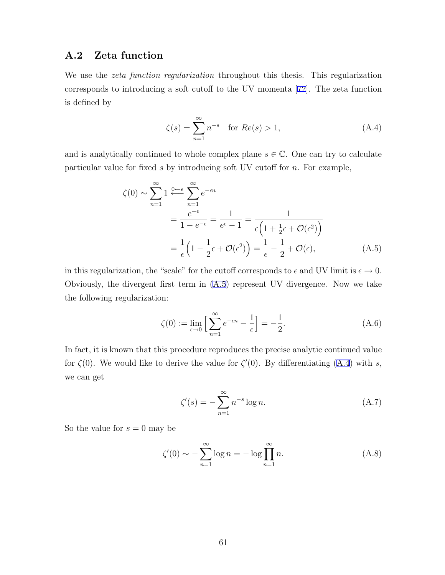### **A.2 Zeta function**

We use the *zeta function regularization* throughout this thesis. This regularization corresponds to introducing a soft cutoff to the UV momenta [72]. The zeta function is defined by

$$
\zeta(s) = \sum_{n=1}^{\infty} n^{-s} \text{ for } Re(s) > 1,
$$
\n(A.4)

and is analytically continued to whole complex plane  $s \in \mathbb{C}$ . One can try to calculate particular value for fixed *s* by introducing soft UV cutoff for *n*. For example,

$$
\zeta(0) \sim \sum_{n=1}^{\infty} 1 \xleftarrow{0 \leftarrow \epsilon} \sum_{n=1}^{\infty} e^{-\epsilon n} \n= \frac{e^{-\epsilon}}{1 - e^{-\epsilon}} = \frac{1}{e^{\epsilon} - 1} = \frac{1}{\epsilon \left(1 + \frac{1}{2}\epsilon + \mathcal{O}(\epsilon^2)\right)} \n= \frac{1}{\epsilon} \left(1 - \frac{1}{2}\epsilon + \mathcal{O}(\epsilon^2)\right) = \frac{1}{\epsilon} - \frac{1}{2} + \mathcal{O}(\epsilon),
$$
\n(A.5)

in this regularization, the "scale" for the cutoff corresponds to  $\epsilon$  and UV limit is  $\epsilon \to 0$ . Obviously, the divergent first term in (A.5) represent UV divergence. Now we take the following regularization:

$$
\zeta(0) := \lim_{\epsilon \to 0} \left[ \sum_{n=1}^{\infty} e^{-\epsilon n} - \frac{1}{\epsilon} \right] = -\frac{1}{2}.
$$
\n(A.6)

In fact, it is known that this procedure reproduces the precise analytic continued value for  $\zeta(0)$ . We would like to derive the value for  $\zeta'(0)$ . By differentiating (A.4) with *s*, we can get

$$
\zeta'(s) = -\sum_{n=1}^{\infty} n^{-s} \log n. \tag{A.7}
$$

So the value for  $s = 0$  may be

$$
\zeta'(0) \sim -\sum_{n=1}^{\infty} \log n = -\log \prod_{n=1}^{\infty} n.
$$
 (A.8)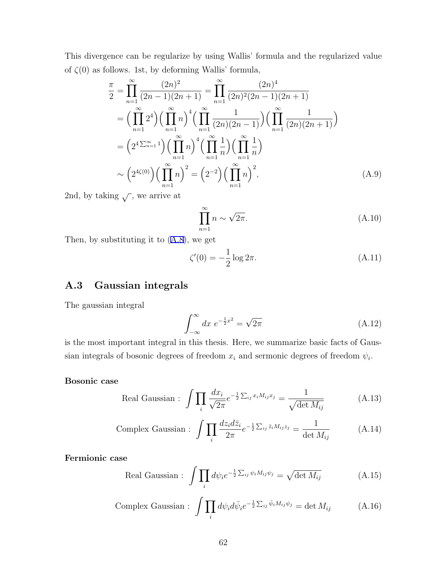This divergence can be regularize by using Wallis' formula and the regularized value of  $\zeta(0)$  as follows. 1st, by deforming Wallis' formula,

$$
\frac{\pi}{2} = \prod_{n=1}^{\infty} \frac{(2n)^2}{(2n-1)(2n+1)} = \prod_{n=1}^{\infty} \frac{(2n)^4}{(2n)^2(2n-1)(2n+1)}
$$

$$
= \left(\prod_{n=1}^{\infty} 2^4\right) \left(\prod_{n=1}^{\infty} n\right)^4 \left(\prod_{n=1}^{\infty} \frac{1}{(2n)(2n-1)}\right) \left(\prod_{n=1}^{\infty} \frac{1}{(2n)(2n+1)}\right)
$$

$$
= \left(2^4 \sum_{n=1}^{\infty} 1\right) \left(\prod_{n=1}^{\infty} n\right)^4 \left(\prod_{n=1}^{\infty} \frac{1}{n}\right) \left(\prod_{n=1}^{\infty} \frac{1}{n}\right)
$$

$$
\sim \left(2^{4\zeta(0)}\right) \left(\prod_{n=1}^{\infty} n\right)^2 = \left(2^{-2}\right) \left(\prod_{n=1}^{\infty} n\right)^2,
$$
(A.9)

2nd, by taking  $\sqrt{\ }$ , we arrive at

$$
\prod_{n=1}^{\infty} n \sim \sqrt{2\pi}.
$$
\n(A.10)

Then, by substituting it to (A.8), we get

$$
\zeta'(0) = -\frac{1}{2}\log 2\pi.
$$
\n(A.11)

### **A.3 Gaussian integrals**

The gaussian integral

$$
\int_{-\infty}^{\infty} dx \ e^{-\frac{1}{2}x^2} = \sqrt{2\pi}
$$
\n(A.12)

is the most important integral in this thesis. Here, we summarize basic facts of Gaussian integrals of bosonic degrees of freedom  $x_i$  and sermonic degrees of freedom  $\psi_i$ .

### **Bosonic case**

Real Gaussian : 
$$
\int \prod_{i} \frac{dx_i}{\sqrt{2\pi}} e^{-\frac{1}{2} \sum_{ij} x_i M_{ij} x_j} = \frac{1}{\sqrt{\det M_{ij}}} \tag{A.13}
$$

Complex Gaussian : 
$$
\int \prod_{i} \frac{dz_i d\bar{z}_i}{2\pi} e^{-\frac{1}{2} \sum_{ij} \bar{z}_i M_{ij} z_j} = \frac{1}{\det M_{ij}}
$$
 (A.14)

**Fermionic case**

Real Gaussian : 
$$
\int \prod_i d\psi_i e^{-\frac{1}{2} \sum_{ij} \psi_i M_{ij} \psi_j} = \sqrt{\det M_{ij}}
$$
 (A.15)

Complex Gaussian : 
$$
\int \prod_i d\psi_i d\bar{\psi}_i e^{-\frac{1}{2} \sum_{ij} \bar{\psi}_i M_{ij} \psi_j} = \det M_{ij}
$$
 (A.16)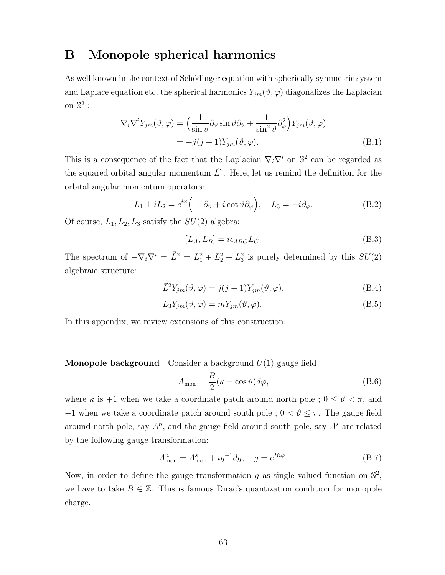## **B Monopole spherical harmonics**

As well known in the context of Schödinger equation with spherically symmetric system and Laplace equation etc, the spherical harmonics  $Y_{jm}(\vartheta, \varphi)$  diagonalizes the Laplacian on  $\mathbb{S}^2$  :

$$
\nabla_i \nabla^i Y_{jm}(\vartheta, \varphi) = \left(\frac{1}{\sin \vartheta} \partial_{\vartheta} \sin \vartheta \partial_{\vartheta} + \frac{1}{\sin^2 \vartheta} \partial_{\varphi}^2\right) Y_{jm}(\vartheta, \varphi)
$$
  
=  $-j(j+1)Y_{jm}(\vartheta, \varphi).$  (B.1)

This is a consequence of the fact that the Laplacian  $\nabla_i \nabla^i$  on  $\mathbb{S}^2$  can be regarded as the squared orbital angular momentum  $\vec{L}^2$ . Here, let us remind the definition for the orbital angular momentum operators:

$$
L_1 \pm iL_2 = e^{i\varphi} \Big( \pm \partial_{\vartheta} + i \cot \vartheta \partial_{\varphi} \Big), \quad L_3 = -i \partial_{\varphi}.
$$
 (B.2)

Of course,  $L_1, L_2, L_3$  satisfy the  $SU(2)$  algebra:

$$
[L_A, L_B] = i\epsilon_{ABC}L_C.
$$
 (B.3)

The spectrum of  $-\nabla_i \nabla^i = \vec{L}^2 = L_1^2 + L_2^2 + L_3^2$  is purely determined by this  $SU(2)$ algebraic structure:

$$
\vec{L}^2 Y_{jm}(\vartheta, \varphi) = j(j+1)Y_{jm}(\vartheta, \varphi),\tag{B.4}
$$

$$
L_3 Y_{jm}(\vartheta, \varphi) = m Y_{jm}(\vartheta, \varphi).
$$
\n(B.5)

In this appendix, we review extensions of this construction.

**Monopole background** Consider a background *U*(1) gauge field

$$
A_{\text{mon}} = \frac{B}{2}(\kappa - \cos \vartheta)d\varphi, \tag{B.6}
$$

where  $\kappa$  is +1 when we take a coordinate patch around north pole ;  $0 \leq \vartheta < \pi$ , and *−*1 when we take a coordinate patch around south pole ; 0 *< ϑ ≤ π*. The gauge field around north pole, say *A<sup>n</sup>* , and the gauge field around south pole, say *A<sup>s</sup>* are related by the following gauge transformation:

$$
A_{\text{mon}}^n = A_{\text{mon}}^s + ig^{-1}dg, \quad g = e^{Bi\varphi}.
$$
 (B.7)

Now, in order to define the gauge transformation  $g$  as single valued function on  $\mathbb{S}^2$ , we have to take  $B \in \mathbb{Z}$ . This is famous Dirac's quantization condition for monopole charge.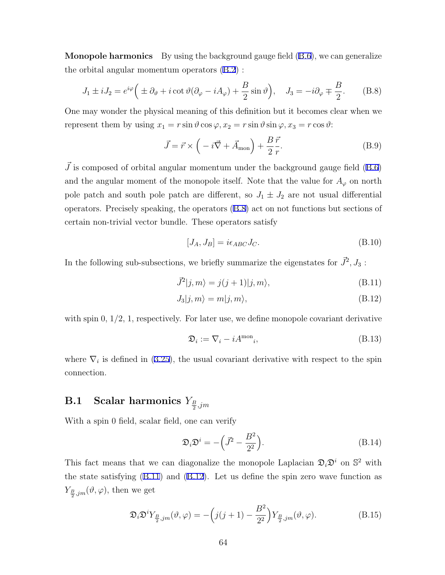**Monopole harmonics** By using the background gauge field (B.6), we can generalize the orbital angular momentum operators (B.2) :

$$
J_1 \pm iJ_2 = e^{i\varphi} \Big( \pm \partial_{\vartheta} + i \cot \vartheta (\partial_{\varphi} - iA_{\varphi}) + \frac{B}{2} \sin \vartheta \Big), \quad J_3 = -i \partial_{\varphi} \mp \frac{B}{2}.
$$
 (B.8)

One may wonder the physical meaning of this definition but it becomes clear when we represent them by using  $x_1 = r \sin \theta \cos \varphi, x_2 = r \sin \theta \sin \varphi, x_3 = r \cos \theta$ :

$$
\vec{J} = \vec{r} \times \left( -i\vec{\nabla} + \vec{A}_{\text{mon}} \right) + \frac{B}{2} \frac{\vec{r}}{r}.
$$
 (B.9)

 $\vec{J}$  is composed of orbital angular momentum under the background gauge field (B.6) and the angular moment of the monopole itself. Note that the value for  $A_{\varphi}$  on north pole patch and south pole patch are different, so  $J_1 \pm J_2$  are not usual differential operators. Precisely speaking, the operators (B.8) act on not functions but sections of certain non-trivial vector bundle. These operators satisfy

$$
[J_A, J_B] = i\epsilon_{ABC}J_C.
$$
 (B.10)

In the following sub-subsections, we briefly summarize the eigenstates for  $\vec{J}^2$ ,  $J_3$ :

$$
\vec{J}^2|j,m\rangle = j(j+1)|j,m\rangle,\tag{B.11}
$$

$$
J_3|j,m\rangle = m|j,m\rangle, \tag{B.12}
$$

with spin  $0, 1/2, 1$ , respectively. For later use, we define monopole covariant derivative

$$
\mathfrak{D}_i := \nabla_i - iA^{\text{mon}}_i,\tag{B.13}
$$

where  $\nabla_i$  is defined in (3.25), the usual covariant derivative with respect to the spin connection.

## $\textbf{B.1} \quad \textbf{Scalar harmonics} \ Y_{\frac{B}{2},jm}$

With a spin 0 field, scalar field, one can verify

$$
\mathfrak{D}_i \mathfrak{D}^i = -\left(\vec{J}^2 - \frac{B^2}{2^2}\right). \tag{B.14}
$$

This fact means that we can diagonalize the monopole Laplacian  $\mathfrak{D}_i\mathfrak{D}^i$  on  $\mathbb{S}^2$  with the state satisfying (B.11) and (B.12). Let us define the spin zero wave function as  $Y_{\frac{B}{2},jm}(\vartheta,\varphi)$ , then we get

$$
\mathfrak{D}_{i}\mathfrak{D}^{i}Y_{\frac{B}{2},jm}(\vartheta,\varphi) = -\left(j(j+1) - \frac{B^{2}}{2^{2}}\right)Y_{\frac{B}{2},jm}(\vartheta,\varphi).
$$
 (B.15)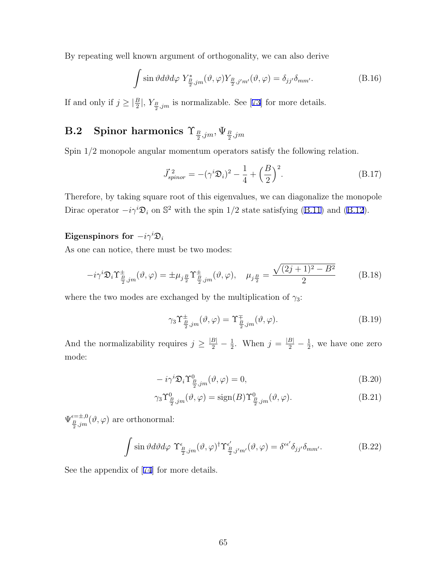By repeating well known argument of orthogonality, we can also derive

$$
\int \sin \vartheta d\vartheta d\varphi Y_{\frac{B}{2},jm}^{*}(\vartheta,\varphi) Y_{\frac{B}{2},j'm'}(\vartheta,\varphi) = \delta_{jj'}\delta_{mm'}.
$$
\n(B.16)

If and only if  $j \geq \left|\frac{B}{2}\right|$ ,  $Y_{\frac{B}{2},jm}$  is normalizable. See [73] for more details.

## $\textbf{B.2}\quad \textbf{Spinor~harmonics} \,\, \Upsilon_{\frac{B}{2},jm}, \Psi_{\frac{B}{2},jm}$

Spin 1/2 monopole angular momentum operators satisfy the following relation.

$$
\vec{J}_{spinor}^2 = -(\gamma^i \mathfrak{D}_i)^2 - \frac{1}{4} + \left(\frac{B}{2}\right)^2.
$$
 (B.17)

Therefore, by taking square root of this eigenvalues, we can diagonalize the monopole Dirac operator  $-i\gamma^i\mathfrak{D}_i$  on  $\mathbb{S}^2$  with the spin 1/2 state satisfying (B.11) and (B.12).

### **Eigenspinors for**  $-i\gamma^{i}\mathfrak{D}_{i}$

As one can notice, there must be two modes:

$$
-i\gamma^i \mathfrak{D}_i \Upsilon^{\pm}_{\frac{B}{2},jm}(\vartheta,\varphi) = \pm \mu_{j\frac{B}{2}} \Upsilon^{\pm}_{\frac{B}{2},jm}(\vartheta,\varphi), \quad \mu_{j\frac{B}{2}} = \frac{\sqrt{(2j+1)^2 - B^2}}{2}
$$
(B.18)

where the two modes are exchanged by the multiplication of  $\gamma_3$ :

$$
\gamma_3 \Upsilon^{\pm}_{\frac{B}{2},jm}(\vartheta,\varphi) = \Upsilon^{\mp}_{\frac{B}{2},jm}(\vartheta,\varphi). \tag{B.19}
$$

And the normalizability requires  $j \geq \frac{|B|}{2} - \frac{1}{2}$  $\frac{1}{2}$ . When  $j = \frac{|B|}{2} - \frac{1}{2}$  $\frac{1}{2}$ , we have one zero mode:

$$
-i\gamma^{i}\mathfrak{D}_{i}\Upsilon^0_{\frac{B}{2},jm}(\vartheta,\varphi)=0,
$$
\n(B.20)

$$
\gamma_3 \Upsilon^0_{\frac{B}{2},jm}(\vartheta,\varphi) = \text{sign}(B) \Upsilon^0_{\frac{B}{2},jm}(\vartheta,\varphi). \tag{B.21}
$$

 $\Psi_{\frac{B}{2},jm}^{\epsilon=\pm,0}(\vartheta,\varphi)$  are orthonormal:

$$
\int \sin \vartheta d\vartheta d\varphi \ \Upsilon^{\epsilon}_{\frac{B}{2},jm}(\vartheta,\varphi)^{\dagger} \Upsilon^{\epsilon'}_{\frac{B}{2},j'm'}(\vartheta,\varphi) = \delta^{\epsilon\epsilon'} \delta_{jj'} \delta_{mm'}.
$$
 (B.22)

See the appendix of [74] for more details.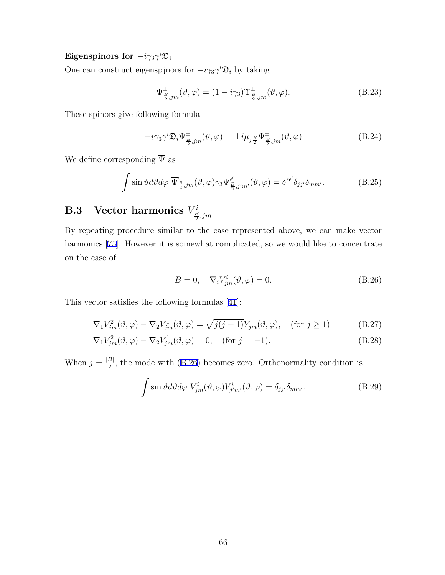### $\textbf{Eigenspinors for } -i\gamma_3\gamma^i\mathfrak{D}_i$

One can construct eigenspjnors for  $-i\gamma_3 \gamma^i \mathfrak{D}_i$  by taking

$$
\Psi^{\pm}_{\frac{B}{2},jm}(\vartheta,\varphi) = (1 - i\gamma_3) \Upsilon^{\pm}_{\frac{B}{2},jm}(\vartheta,\varphi). \tag{B.23}
$$

These spinors give following formula

$$
-i\gamma_3 \gamma^i \mathfrak{D}_i \Psi^{\pm}_{\frac{B}{2},jm}(\vartheta,\varphi) = \pm i\mu_{j\frac{B}{2}} \Psi^{\pm}_{\frac{B}{2},jm}(\vartheta,\varphi)
$$
(B.24)

We define corresponding  $\overline{\Psi}$  as

$$
\int \sin \vartheta d\vartheta d\varphi \, \overline{\Psi}^{\epsilon}_{\frac{B}{2},jm}(\vartheta,\varphi)\gamma_3 \Psi^{\epsilon'}_{\frac{B}{2},j'm'}(\vartheta,\varphi) = \delta^{\epsilon\epsilon'}\delta_{jj'}\delta_{mm'}.\tag{B.25}
$$

# $\textbf{B.3} \quad \textbf{Vector harmonics} \ V^i_{\frac{B}{2},jm}$

By repeating procedure similar to the case represented above, we can make vector harmonics [75]. However it is somewhat complicated, so we would like to concentrate on the case of

$$
B = 0, \quad \nabla_i V^i_{jm}(\vartheta, \varphi) = 0.
$$
 (B.26)

This vector satisfies the following formulas [41]:

$$
\nabla_1 V_{jm}^2(\vartheta, \varphi) - \nabla_2 V_{jm}^1(\vartheta, \varphi) = \sqrt{j(j+1)} Y_{jm}(\vartheta, \varphi), \quad \text{(for } j \ge 1)
$$
 (B.27)

$$
\nabla_1 V_{jm}^2(\vartheta, \varphi) - \nabla_2 V_{jm}^1(\vartheta, \varphi) = 0, \quad \text{(for } j = -1\text{)}.
$$
\n(B.28)

When  $j = \frac{|B|}{2}$  $\frac{B}{2}$ , the mode with (B.26) becomes zero. Orthonormality condition is

$$
\int \sin \vartheta d\vartheta d\varphi V^i_{jm}(\vartheta, \varphi) V^i_{j'm'}(\vartheta, \varphi) = \delta_{jj'} \delta_{mm'}.
$$
 (B.29)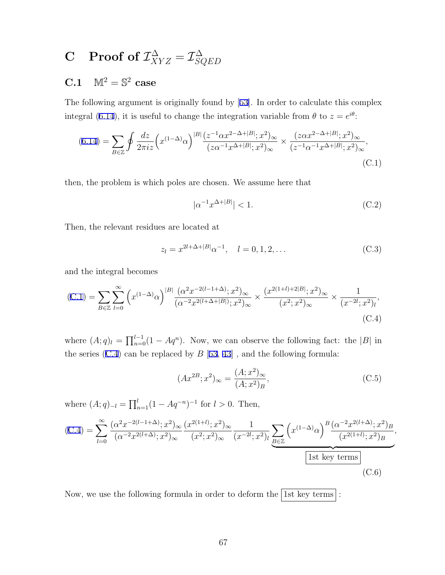### $\textbf{C} \quad \textbf{Proof of } \mathcal{I}_{XYZ}^\Delta = \mathcal{I}_{SG}^\Delta$ *SQED*

## **C.1**  $M^2 = S^2$  **case**

The following argument is originally found by [53]. In order to calculate this complex integral (6.14), it is useful to change the integration variable from  $\theta$  to  $z = e^{i\theta}$ :

$$
(6.14) = \sum_{B \in \mathbb{Z}} \oint \frac{dz}{2\pi i z} \left( x^{(1-\Delta)} \alpha \right)^{|B|} \frac{(z^{-1} \alpha x^{2-\Delta+|B|}; x^2)_{\infty}}{(z\alpha^{-1} x^{\Delta+|B|}; x^2)_{\infty}} \times \frac{(z\alpha x^{2-\Delta+|B|}; x^2)_{\infty}}{(z^{-1} \alpha^{-1} x^{\Delta+|B|}; x^2)_{\infty}},
$$
\n(C.1)

then, the problem is which poles are chosen. We assume here that

$$
|\alpha^{-1}x^{\Delta+|B|}| < 1. \tag{C.2}
$$

Then, the relevant residues are located at

$$
z_l = x^{2l + \Delta + |B|} \alpha^{-1}, \quad l = 0, 1, 2, \dots
$$
 (C.3)

and the integral becomes

(C.1) = 
$$
\sum_{B \in \mathbb{Z}} \sum_{l=0}^{\infty} \left( x^{(1-\Delta)} \alpha \right)^{|B|} \frac{(\alpha^2 x^{-2(l-1+\Delta)}; x^2)_{\infty}}{(\alpha^{-2} x^{2(l+\Delta+|B|)}; x^2)_{\infty}} \times \frac{(x^{2(1+l)+2|B|}; x^2)_{\infty}}{(x^2; x^2)_{\infty}} \times \frac{1}{(x^{-2l}; x^2)_l},
$$
\n(C.4)

where  $(A; q)_l = \prod_{n=0}^{l-1} (1 - Aq^n)$ . Now, we can observe the following fact: the  $|B|$  in the series  $(C.4)$  can be replaced by  $B$  [53, 43], and the following formula:

$$
(Ax^{2B};x^2)_{\infty} = \frac{(A;x^2)_{\infty}}{(A;x^2)_B},
$$
\n(C.5)

where  $(A; q)_{-l} = \prod_{n=1}^{l} (1 - Aq^{-n})^{-1}$  for  $l > 0$ . Then,

$$
(C.4) = \sum_{l=0}^{\infty} \frac{(\alpha^2 x^{-2(l-1+\Delta)}; x^2)_{\infty}}{(\alpha^{-2} x^{2(l+\Delta)}; x^2)_{\infty}} \frac{(x^{2(1+l)}; x^2)_{\infty}}{(x^2; x^2)_{\infty}} \frac{1}{(x^{-2l}; x^2)_l} \sum_{B \in \mathbb{Z}} \left( x^{(1-\Delta)} \alpha \right)^B \frac{(\alpha^{-2} x^{2(l+\Delta)}; x^2)_B}{(x^{2(1+l)}; x^2)_B},
$$
\n
$$
\frac{\text{1st key terms}}{\text{1st key terms}} \tag{C.6}
$$

Now, we use the following formula in order to deform the  $\lceil 1st \text{ key terms} \rceil$ :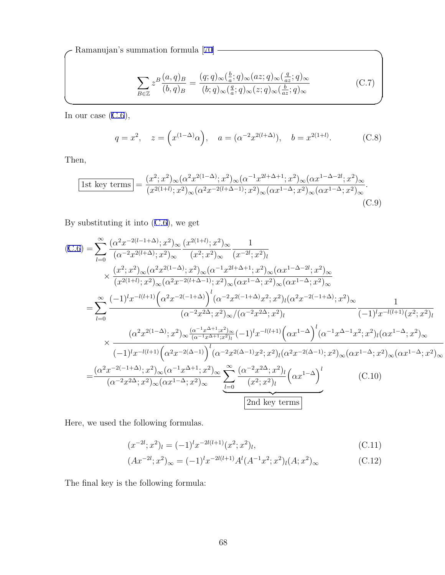**✓**Ramanujan's summation formula [70] **✏**

$$
\sum_{B \in \mathbb{Z}} z^B \frac{(a,q)_B}{(b,q)_B} = \frac{(q;q)_{\infty}(\frac{b}{a};q)_{\infty}(az;q)_{\infty}(\frac{q}{az};q)_{\infty}}{(b;q)_{\infty}(\frac{q}{a};q)_{\infty}(z;q)_{\infty}(\frac{b}{az};q)_{\infty}}
$$
(C.7)

In our case  $(C.6)$ ,

$$
q = x^2
$$
,  $z = (x^{(1-\Delta)}\alpha)$ ,  $a = (\alpha^{-2}x^{2(l+\Delta)}), b = x^{2(1+l)}$ . (C.8)

Then,

$$
\boxed{1\text{st key terms}} = \frac{(x^2; x^2)_{\infty} (\alpha^2 x^{2(1-\Delta)}; x^2)_{\infty} (\alpha^{-1} x^{2l+\Delta+1}; x^2)_{\infty} (\alpha x^{1-\Delta-2l}; x^2)_{\infty}}{(x^{2(1+l)}; x^2)_{\infty} (\alpha^2 x^{-2(l+\Delta-1)}; x^2)_{\infty} (\alpha x^{1-\Delta}; x^2)_{\infty} (\alpha x^{1-\Delta}; x^2)_{\infty}}.
$$
\n(C.9)

**✒ ✑**

By substituting it into (C.6), we get

$$
(C.6) = \sum_{l=0}^{\infty} \frac{(\alpha^2 x^{-2(l-1+\Delta)}; x^2)_{\infty}}{(\alpha^{-2} x^{2(l+\Delta)}; x^2)_{\infty}} \frac{(x^{2(1+l)}; x^2)_{\infty}}{(x^2; x^2)_{\infty}} \frac{1}{(x^{-2l}; x^2)_{l}}
$$
  
\n
$$
\times \frac{(x^2; x^2)_{\infty}(\alpha^2 x^{2(l-\Delta)}; x^2)_{\infty}(\alpha^{-1} x^{2l+\Delta+1}; x^2)_{\infty}(\alpha x^{1-\Delta-2l}; x^2)_{\infty}}{(x^{2(l+l)}; x^2)_{\infty}(\alpha^2 x^{-2(l+\Delta-1)}; x^2)_{\infty}(\alpha x^{1-\Delta}; x^2)_{\infty}(\alpha x^{1-\Delta}; x^2)_{\infty}}
$$
  
\n
$$
= \sum_{l=0}^{\infty} \frac{(-1)^l x^{-l(l+1)} (\alpha^2 x^{-2(l-1+\Delta)})^l (\alpha^{-2} x^{2(l-1+\Delta)} x^2; x^2)_l (\alpha^2 x^{-2(l-1+\Delta)}; x^2)_{\infty}}{(x^{-2} x^{2\Delta}; x^2)_{\infty}((\alpha^{-2} x^{2\Delta}; x^2)_l)} \frac{1}{(-1)^l x^{-l(l+1)}(x^2; x^2)_l}
$$
  
\n
$$
\times \frac{(\alpha^2 x^{2(l-\Delta)}; x^2)_{\infty} \frac{(\alpha^{-1} x^{\Delta+1}; x^2)_{\infty}}{(\alpha^{-1} x^{\Delta+1}; x^2)_l} (-1)^l x^{-l(l+1)} (\alpha x^{1-\Delta})^l (\alpha^{-1} x^{\Delta-1} x^2; x^2)_l (\alpha x^{1-\Delta}; x^2)_{\infty}}{(x^{1-\Delta}; x^2)_{\infty}
$$
  
\n
$$
= \frac{(\alpha^2 x^{-2(l-1+\Delta)}; x^2)_{\infty}(\alpha^{-1} x^{\Delta+1}; x^2)_{\infty}}{(\alpha^{-2} x^{2\Delta}; x^2)_{\infty}(\alpha x^{1-\Delta})^l} \frac{(\alpha^{-2} x^{2\Delta}; x^2)_l (\alpha x^{1-\Delta})^l}{(\alpha^{-2} x^{2\Delta}; x^2)_{\infty}(\alpha x^{1-\Delta}; x^2)_{\infty
$$

Here, we used the following formulas.

$$
(x^{-2l};x^2)_l = (-1)^l x^{-2l(l+1)} (x^2;x^2)_l,
$$
\n(C.11)

$$
(Ax^{-2l};x^2)_{\infty} = (-1)^l x^{-2l(l+1)} A^l (A^{-1}x^2; x^2)_l (A; x^2)_{\infty}
$$
 (C.12)

The final key is the following formula: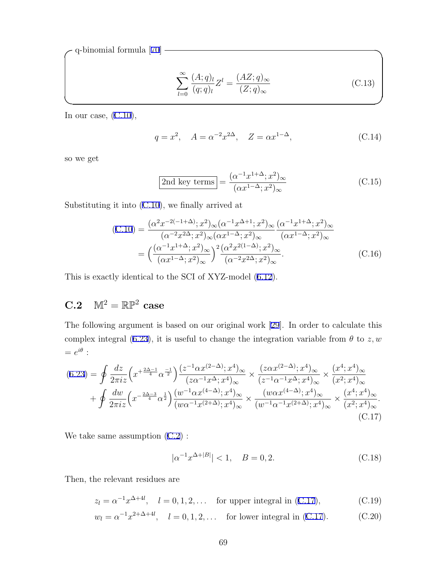**✓**q-binomial formula [70] **✏**

$$
\sum_{l=0}^{\infty} \frac{(A;q)_l}{(q;q)_l} Z^l = \frac{(AZ;q)_{\infty}}{(Z;q)_{\infty}} \tag{C.13}
$$

In our case,  $(C.10)$ ,

$$
q = x^2
$$
,  $A = \alpha^{-2} x^{2\Delta}$ ,  $Z = \alpha x^{1-\Delta}$ , (C.14)

so we get

$$
\boxed{\text{2nd key terms}} = \frac{(\alpha^{-1}x^{1+\Delta}; x^2)_{\infty}}{(\alpha x^{1-\Delta}; x^2)_{\infty}}
$$
(C.15)

Substituting it into (C.10), we finally arrived at

$$
(C.10) = \frac{(\alpha^2 x^{-2(-1+\Delta)}; x^2)_{\infty} (\alpha^{-1} x^{\Delta+1}; x^2)_{\infty}}{(\alpha^{-2} x^{2\Delta}; x^2)_{\infty} (\alpha x^{1-\Delta}; x^2)_{\infty}} \frac{(\alpha^{-1} x^{1+\Delta}; x^2)_{\infty}}{(\alpha x^{1-\Delta}; x^2)_{\infty}}
$$

$$
= \left(\frac{(\alpha^{-1} x^{1+\Delta}; x^2)_{\infty}}{(\alpha x^{1-\Delta}; x^2)_{\infty}}\right)^2 \frac{(\alpha^2 x^{2(1-\Delta)}; x^2)_{\infty}}{(\alpha^{-2} x^{2\Delta}; x^2)_{\infty}}.
$$
(C.16)

**✒ ✑**

This is exactly identical to the SCI of XYZ-model (6.12).

## $C.2 \quad M^2 = \mathbb{RP}^2 \text{ case}$

The following argument is based on our original work [29]. In order to calculate this complex integral (6.23), it is useful to change the integration variable from  $\theta$  to  $z, w$  $= e^{i\theta}$ :

$$
(6.23) = \oint \frac{dz}{2\pi i z} \left( x^{+\frac{2\Delta-1}{4}} \alpha^{\frac{-1}{2}} \right) \frac{(z^{-1} \alpha x^{(2-\Delta)}; x^{4})_{\infty}}{(z\alpha^{-1} x^{\Delta}; x^{4})_{\infty}} \times \frac{(z\alpha x^{(2-\Delta)}; x^{4})_{\infty}}{(z^{-1} \alpha^{-1} x^{\Delta}; x^{4})_{\infty}} \times \frac{(x^{4}; x^{4})_{\infty}}{(x^{2}; x^{4})_{\infty}} + \oint \frac{dw}{2\pi i z} \left( x^{-\frac{2\Delta-3}{4}} \alpha^{\frac{1}{2}} \right) \frac{(w^{-1} \alpha x^{(4-\Delta)}; x^{4})_{\infty}}{(w\alpha^{-1} x^{(2+\Delta)}; x^{4})_{\infty}} \times \frac{(w\alpha x^{(4-\Delta)}; x^{4})_{\infty}}{(w^{-1} \alpha^{-1} x^{(2+\Delta)}; x^{4})_{\infty}} \times \frac{(x^{4}; x^{4})_{\infty}}{(x^{2}; x^{4})_{\infty}} + (C.17)
$$

We take same assumption (C.2) :

$$
|\alpha^{-1}x^{\Delta+|B|}| < 1, \quad B = 0, 2. \tag{C.18}
$$

Then, the relevant residues are

$$
z_l = \alpha^{-1} x^{\Delta + 4l}
$$
,  $l = 0, 1, 2, ...$  for upper integral in (C.17), (C.19)

 $w_l = \alpha^{-1} x^{2 + \Delta + 4l}$ ,  $l = 0, 1, 2, \ldots$  for lower integral in (C.17). (C.20)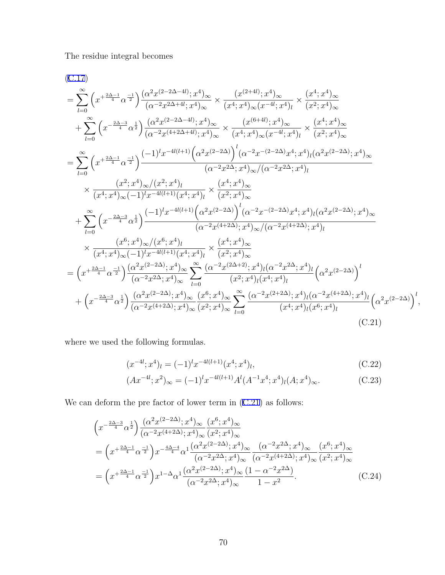The residue integral becomes

$$
(C.17)
$$
\n
$$
= \sum_{l=0}^{\infty} \left( x^{+\frac{2\Delta-1}{4}} \alpha^{-\frac{1}{2}} \right) \frac{(\alpha^2 x^{(2-2\Delta-4l)}; x^4)_{\infty}}{(\alpha^{-2} x^{2\Delta+4l}; x^4)_{\infty}} \times \frac{(x^{(2+4l)}; x^4)_{\infty}}{(x^4; x^4)_{\infty}(x^{-4l}; x^4)_0} \times \frac{(x^4; x^4)_{\infty}}{(x^2; x^4)_{\infty}} \n+ \sum_{l=0}^{\infty} \left( x^{-\frac{2\Delta-3}{4}} \alpha^{\frac{1}{2}} \right) \frac{(\alpha^2 x^{(2-2\Delta-4l)}; x^4)_{\infty}}{(\alpha^{-2} x^{(4+2\Delta+4l)}; x^4)_{\infty}} \times \frac{(x^{(6+4l)}; x^4)_{\infty}}{(x^4; x^4)_{\infty}(x^{-4l}; x^4)_l} \times \frac{(x^4; x^4)_{\infty}}{(x^2; x^4)_{\infty}} \n= \sum_{l=0}^{\infty} \left( x^{+\frac{2\Delta-1}{4}} \alpha^{-\frac{1}{2}} \right) \frac{(-1)^l x^{-4l(l+1)} \left( \alpha^2 x^{(2-2\Delta)} \right)^l (\alpha^{-2} x^{-(2-2\Delta)} x^4; x^4)_l (\alpha^2 x^{(2-2\Delta)}; x^4)_{\infty}}{( \alpha^{-2} x^{2\Delta}; x^4)_{\infty}/( \alpha^{-2} x^{2\Delta}; x^4)_l} \n\qquad \times \frac{(x^2; x^4)_{\infty}/(x^2; x^4)_l}{(x^4; x^4)_{\infty}(-1)^l x^{-4l(l+1)} (x^4; x^4)_l} \times \frac{(x^4; x^4)_{\infty}}{(x^2; x^4)_{\infty}} \n+ \sum_{l=0}^{\infty} \left( x^{-\frac{2\Delta-3}{4}} \alpha^{\frac{1}{2}} \right) \frac{(-1)^l x^{-4l(l+1)} \left( \alpha^2 x^{(2-2\Delta)} \right)^l (\alpha^{-2} x^{-(2-2\Delta)} x^4; x^4)_l (\alpha^2 x^{(2-2\Delta
$$

where we used the following formulas.

$$
(x^{-4l};x^4)_l = (-1)^l x^{-4l(l+1)} (x^4; x^4)_l,
$$
\n(C.22)

$$
(Ax^{-4l};x^2)_{\infty} = (-1)^l x^{-4l(l+1)} A^l (A^{-1} x^4; x^4)_l (A; x^4)_{\infty}.
$$
 (C.23)

We can deform the pre factor of lower term in  $(C.21)$  as follows:

$$
\left(x^{-\frac{2\Delta-3}{4}}\alpha^{\frac{1}{2}}\right)\frac{(\alpha^{2}x^{(2-2\Delta)};x^{4})_{\infty}}{(\alpha^{-2}x^{(4+2\Delta)};x^{4})_{\infty}}\frac{(x^{6};x^{4})_{\infty}}{(x^{2};x^{4})_{\infty}}
$$
\n
$$
=\left(x^{+\frac{2\Delta-1}{4}}\alpha^{\frac{-1}{2}}\right)x^{-\frac{4\Delta-4}{4}}\alpha^{1}\frac{(\alpha^{2}x^{(2-2\Delta)};x^{4})_{\infty}}{(\alpha^{-2}x^{2\Delta};x^{4})_{\infty}}\frac{(\alpha^{-2}x^{2\Delta};x^{4})_{\infty}}{(\alpha^{-2}x^{(4+2\Delta)};x^{4})_{\infty}}\frac{(x^{6};x^{4})_{\infty}}{(x^{2};x^{4})_{\infty}}
$$
\n
$$
=\left(x^{+\frac{2\Delta-1}{4}}\alpha^{\frac{-1}{2}}\right)x^{1-\Delta}\alpha^{1}\frac{(\alpha^{2}x^{(2-2\Delta)};x^{4})_{\infty}}{(\alpha^{-2}x^{2\Delta};x^{4})_{\infty}}\frac{(1-\alpha^{-2}x^{2\Delta})}{1-x^{2}}.\tag{C.24}
$$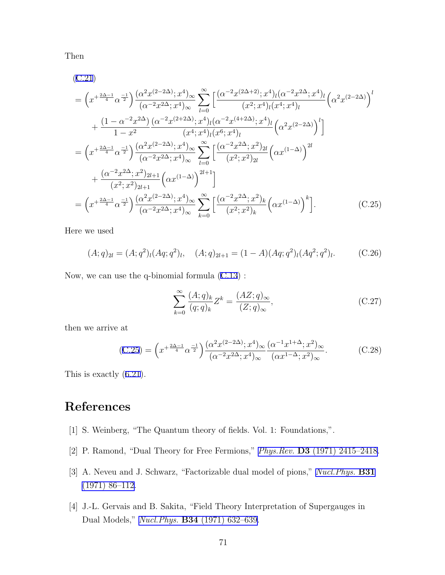Then

$$
(C.21)
$$
\n
$$
= \left(x^{+\frac{2\Delta-1}{4}}\alpha^{\frac{-1}{2}}\right)\frac{(\alpha^2 x^{(2-2\Delta)}; x^4)_{\infty}}{(\alpha^{-2}x^{2\Delta}; x^4)_{\infty}} \sum_{l=0}^{\infty} \left[\frac{(\alpha^{-2}x^{(2\Delta+2)}; x^4)_l (\alpha^{-2}x^{2\Delta}; x^4)_l}{(x^2; x^4)_l (x^4; x^4)_l}\right] (\alpha^2 x^{(2-2\Delta)})^l
$$
\n
$$
+ \frac{(1-\alpha^{-2}x^{2\Delta})}{1-x^2} \frac{(\alpha^{-2}x^{(2+2\Delta)}; x^4)_l (\alpha^{-2}x^{(4+2\Delta)}; x^4)_l}{(x^4; x^4)_l (x^6; x^4)_l} \left(\alpha^2 x^{(2-2\Delta)}\right)^l
$$
\n
$$
= \left(x^{+\frac{2\Delta-1}{4}}\alpha^{\frac{-1}{2}}\right) \frac{(\alpha^2x^{(2-2\Delta)}; x^4)_{\infty}}{(\alpha^{-2}x^{2\Delta}; x^4)_{\infty}} \sum_{l=0}^{\infty} \left[\frac{(\alpha^{-2}x^{2\Delta}; x^2)_{2l}}{(x^2; x^2)_{2l}} \left(\alpha x^{(1-\Delta)}\right)^{2l}
$$
\n
$$
+ \frac{(\alpha^{-2}x^{2\Delta}; x^2)_{2l+1}}{(x^2; x^2)_{2l+1}} \left(\alpha x^{(1-\Delta)}\right)^{2l+1}\right]
$$
\n
$$
= \left(x^{+\frac{2\Delta-1}{4}}\alpha^{\frac{-1}{2}}\right) \frac{(\alpha^2x^{(2-2\Delta)}; x^4)_{\infty}}{(\alpha^{-2}x^{2\Delta}; x^4)_{\infty}} \sum_{k=0}^{\infty} \left[\frac{(\alpha^{-2}x^{2\Delta}; x^2)_k}{(x^2; x^2)_k} \left(\alpha x^{(1-\Delta)}\right)^k\right]. \tag{C.25}
$$

Here we used

$$
(A;q)_{2l} = (A;q^2)_l (Aq;q^2)_l, \quad (A;q)_{2l+1} = (1-A)(Aq;q^2)_l (Aq^2;q^2)_l. \tag{C.26}
$$

Now, we can use the q-binomial formula (C.13) :

$$
\sum_{k=0}^{\infty} \frac{(A;q)_k}{(q;q)_k} Z^k = \frac{(AZ;q)_{\infty}}{(Z;q)_{\infty}},
$$
\n(C.27)

then we arrive at

$$
(C.25) = \left(x^{+\frac{2\Delta-1}{4}}\alpha^{\frac{-1}{2}}\right) \frac{(\alpha^2 x^{(2-2\Delta)}; x^4)_{\infty}}{(\alpha^{-2} x^{2\Delta}; x^4)_{\infty}} \frac{(\alpha^{-1} x^{1+\Delta}; x^2)_{\infty}}{(\alpha x^{1-\Delta}; x^2)_{\infty}}.
$$
 (C.28)

This is exactly (6.21).

## **References**

- [1] S. Weinberg, "The Quantum theory of fields. Vol. 1: Foundations,".
- [2] P. Ramond, "Dual Theory for Free Fermions," *Phys.Rev.* **D3** [\(1971\) 2415–2418](http://dx.doi.org/10.1103/PhysRevD.3.2415).
- [3] A. Neveu and J. Schwarz, "Factorizable dual model of pions," *[Nucl.Phys.](http://dx.doi.org/10.1016/0550-3213(71)90448-2)* **B31** [\(1971\) 86–112.](http://dx.doi.org/10.1016/0550-3213(71)90448-2)
- [4] J.-L. Gervais and B. Sakita, "Field Theory Interpretation of Supergauges in Dual Models," *Nucl.Phys.* **B34** [\(1971\) 632–639](http://dx.doi.org/10.1016/0550-3213(71)90351-8).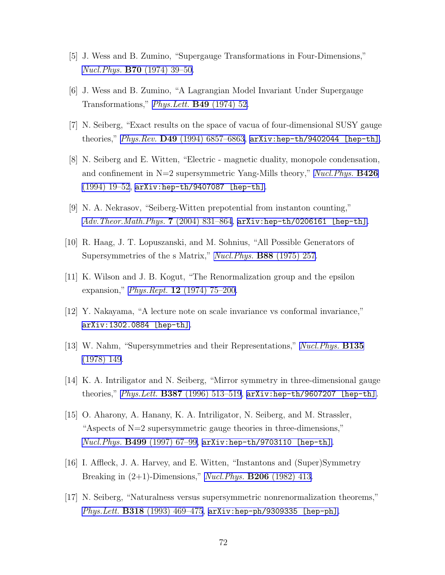- [5] J. Wess and B. Zumino, "Supergauge Transformations in Four-Dimensions," *Nucl.Phys.* **B70** [\(1974\) 39–50](http://dx.doi.org/10.1016/0550-3213(74)90355-1).
- [6] J. Wess and B. Zumino, "A Lagrangian Model Invariant Under Supergauge Transformations," *[Phys.Lett.](http://dx.doi.org/10.1016/0370-2693(74)90578-4)* **B49** (1974) 52.
- [7] N. Seiberg, "Exact results on the space of vacua of four-dimensional SUSY gauge theories," *Phys.Rev.* **D49** [\(1994\) 6857–6863,](http://dx.doi.org/10.1103/PhysRevD.49.6857) [arXiv:hep-th/9402044 \[hep-th\]](http://arxiv.org/abs/hep-th/9402044).
- [8] N. Seiberg and E. Witten, "Electric magnetic duality, monopole condensation, and confinement in N=2 supersymmetric Yang-Mills theory," *[Nucl.Phys.](http://dx.doi.org/10.1016/0550-3213(94)90124-4)* **B426** [\(1994\) 19–52,](http://dx.doi.org/10.1016/0550-3213(94)90124-4) [arXiv:hep-th/9407087 \[hep-th\]](http://arxiv.org/abs/hep-th/9407087).
- [9] N. A. Nekrasov, "Seiberg-Witten prepotential from instanton counting," *[Adv.Theor.Math.Phys.](http://dx.doi.org/10.4310/ATMP.2003.v7.n5.a4)* **7** (2004) 831–864, [arXiv:hep-th/0206161 \[hep-th\]](http://arxiv.org/abs/hep-th/0206161).
- [10] R. Haag, J. T. Lopuszanski, and M. Sohnius, "All Possible Generators of Supersymmetries of the s Matrix," *[Nucl.Phys.](http://dx.doi.org/10.1016/0550-3213(75)90279-5)* **B88** (1975) 257.
- [11] K. Wilson and J. B. Kogut, "The Renormalization group and the epsilon expansion," *Phys.Rept.* **12** [\(1974\) 75–200](http://dx.doi.org/10.1016/0370-1573(74)90023-4).
- [12] Y. Nakayama, "A lecture note on scale invariance vs conformal invariance," [arXiv:1302.0884 \[hep-th\]](http://arxiv.org/abs/1302.0884).
- [13] W. Nahm, "Supersymmetries and their Representations," *[Nucl.Phys.](http://dx.doi.org/10.1016/0550-3213(78)90218-3)* **B135** [\(1978\) 149](http://dx.doi.org/10.1016/0550-3213(78)90218-3).
- [14] K. A. Intriligator and N. Seiberg, "Mirror symmetry in three-dimensional gauge theories," *Phys.Lett.* **B387** [\(1996\) 513–519](http://dx.doi.org/10.1016/0370-2693(96)01088-X), [arXiv:hep-th/9607207 \[hep-th\]](http://arxiv.org/abs/hep-th/9607207).
- [15] O. Aharony, A. Hanany, K. A. Intriligator, N. Seiberg, and M. Strassler, "Aspects of  $N=2$  supersymmetric gauge theories in three-dimensions," *Nucl.Phys.* **B499** [\(1997\) 67–99](http://dx.doi.org/10.1016/S0550-3213(97)00323-4), [arXiv:hep-th/9703110 \[hep-th\]](http://arxiv.org/abs/hep-th/9703110).
- [16] I. Affleck, J. A. Harvey, and E. Witten, "Instantons and (Super)Symmetry Breaking in (2+1)-Dimensions," *[Nucl.Phys.](http://dx.doi.org/10.1016/0550-3213(82)90277-2)* **B206** (1982) 413.
- [17] N. Seiberg, "Naturalness versus supersymmetric nonrenormalization theorems," *Phys.Lett.* **B318** [\(1993\) 469–475](http://dx.doi.org/10.1016/0370-2693(93)91541-T), [arXiv:hep-ph/9309335 \[hep-ph\]](http://arxiv.org/abs/hep-ph/9309335).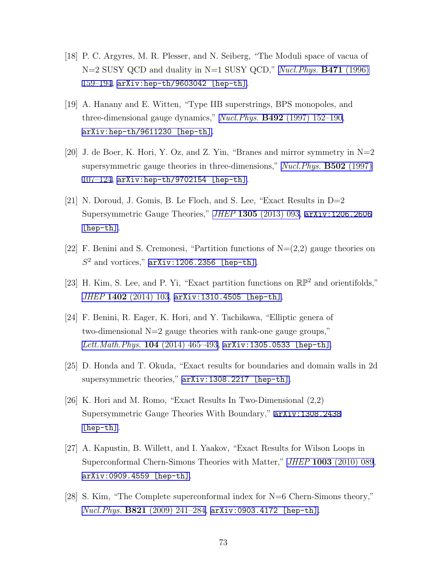- [18] P. C. Argyres, M. R. Plesser, and N. Seiberg, "The Moduli space of vacua of N=2 SUSY QCD and duality in N=1 SUSY QCD," *[Nucl.Phys.](http://dx.doi.org/10.1016/0550-3213(96)00210-6)* **B471** (1996) [159–194](http://dx.doi.org/10.1016/0550-3213(96)00210-6), [arXiv:hep-th/9603042 \[hep-th\]](http://arxiv.org/abs/hep-th/9603042).
- [19] A. Hanany and E. Witten, "Type IIB superstrings, BPS monopoles, and three-dimensional gauge dynamics," *Nucl.Phys.* **B492** [\(1997\) 152–190](http://dx.doi.org/10.1016/S0550-3213(97)00157-0), [arXiv:hep-th/9611230 \[hep-th\]](http://arxiv.org/abs/hep-th/9611230).
- [20] J. de Boer, K. Hori, Y. Oz, and Z. Yin, "Branes and mirror symmetry in  $N=2$ supersymmetric gauge theories in three-dimensions," *[Nucl.Phys.](http://dx.doi.org/10.1016/S0550-3213(97)00444-6)* **B502** (1997) [107–124](http://dx.doi.org/10.1016/S0550-3213(97)00444-6), [arXiv:hep-th/9702154 \[hep-th\]](http://arxiv.org/abs/hep-th/9702154).
- [21] N. Doroud, J. Gomis, B. Le Floch, and S. Lee, "Exact Results in D=2 Supersymmetric Gauge Theories," *JHEP* **1305** [\(2013\) 093](http://dx.doi.org/10.1007/JHEP05(2013)093), [arXiv:1206.2606](http://arxiv.org/abs/1206.2606) [\[hep-th\]](http://arxiv.org/abs/1206.2606).
- [22] F. Benini and S. Cremonesi, "Partition functions of  $N=(2,2)$  gauge theories on *S* <sup>2</sup> and vortices," [arXiv:1206.2356 \[hep-th\]](http://arxiv.org/abs/1206.2356).
- [23] H. Kim, S. Lee, and P. Yi, "Exact partition functions on RP<sup>2</sup> and orientifolds," *JHEP* **1402** [\(2014\) 103](http://dx.doi.org/10.1007/JHEP02(2014)103), [arXiv:1310.4505 \[hep-th\]](http://arxiv.org/abs/1310.4505).
- [24] F. Benini, R. Eager, K. Hori, and Y. Tachikawa, "Elliptic genera of two-dimensional N=2 gauge theories with rank-one gauge groups," *[Lett.Math.Phys.](http://dx.doi.org/10.1007/s11005-013-0673-y)* **104** (2014) 465–493, [arXiv:1305.0533 \[hep-th\]](http://arxiv.org/abs/1305.0533).
- [25] D. Honda and T. Okuda, "Exact results for boundaries and domain walls in 2d supersymmetric theories," [arXiv:1308.2217 \[hep-th\]](http://arxiv.org/abs/1308.2217).
- [26] K. Hori and M. Romo, "Exact Results In Two-Dimensional (2,2) Supersymmetric Gauge Theories With Boundary," [arXiv:1308.2438](http://arxiv.org/abs/1308.2438) [\[hep-th\]](http://arxiv.org/abs/1308.2438).
- [27] A. Kapustin, B. Willett, and I. Yaakov, "Exact Results for Wilson Loops in Superconformal Chern-Simons Theories with Matter," *JHEP* **1003** [\(2010\) 089](http://dx.doi.org/10.1007/JHEP03(2010)089), [arXiv:0909.4559 \[hep-th\]](http://arxiv.org/abs/0909.4559).
- [28] S. Kim, "The Complete superconformal index for N=6 Chern-Simons theory," *Nucl.Phys.* **B821** [\(2009\) 241–284,](http://dx.doi.org/10.1016/j.nuclphysb.2012.07.015, 10.1016/j.nuclphysb.2009.06.025) [arXiv:0903.4172 \[hep-th\]](http://arxiv.org/abs/0903.4172).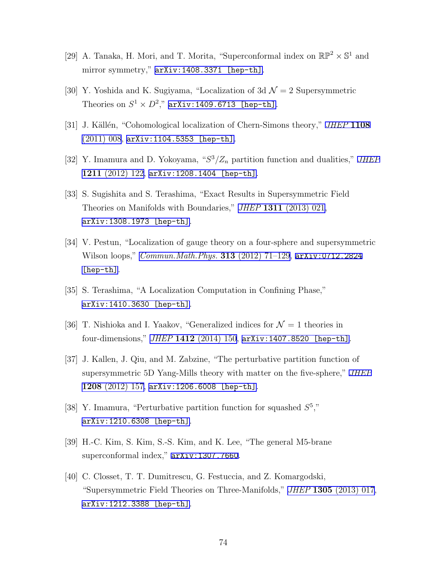- [29] A. Tanaka, H. Mori, and T. Morita, "Superconformal index on  $\mathbb{RP}^2 \times \mathbb{S}^1$  and mirror symmetry,"  $arXiv:1408.3371$  [hep-th].
- [30] Y. Yoshida and K. Sugiyama, "Localization of 3d  $\mathcal{N}=2$  Supersymmetric Theories on  $S^1 \times D^2$ ," [arXiv:1409.6713 \[hep-th\]](http://arxiv.org/abs/1409.6713).
- [31] J. K¨all´en, "Cohomological localization of Chern-Simons theory," *[JHEP](http://dx.doi.org/10.1007/JHEP08(2011)008)* **1108**  $(2011)$  008, [arXiv:1104.5353 \[hep-th\]](http://arxiv.org/abs/1104.5353).
- [32] Y. Imamura and D. Yokoyama, "*S* <sup>3</sup>*/Z<sup>n</sup>* partition function and dualities," *[JHEP](http://dx.doi.org/10.1007/JHEP11(2012)122)* **1211** [\(2012\) 122,](http://dx.doi.org/10.1007/JHEP11(2012)122) [arXiv:1208.1404 \[hep-th\]](http://arxiv.org/abs/1208.1404).
- [33] S. Sugishita and S. Terashima, "Exact Results in Supersymmetric Field Theories on Manifolds with Boundaries," *JHEP* **1311** [\(2013\) 021](http://dx.doi.org/10.1007/JHEP11(2013)021), [arXiv:1308.1973 \[hep-th\]](http://arxiv.org/abs/1308.1973).
- [34] V. Pestun, "Localization of gauge theory on a four-sphere and supersymmetric Wilson loops," *[Commun.Math.Phys.](http://dx.doi.org/10.1007/s00220-012-1485-0)* **313** (2012) 71–129, [arXiv:0712.2824](http://arxiv.org/abs/0712.2824) [\[hep-th\]](http://arxiv.org/abs/0712.2824).
- [35] S. Terashima, "A Localization Computation in Confining Phase," [arXiv:1410.3630 \[hep-th\]](http://arxiv.org/abs/1410.3630).
- [36] T. Nishioka and I. Yaakov, "Generalized indices for  $\mathcal{N}=1$  theories in four-dimensions," *JHEP* **1412** [\(2014\) 150,](http://dx.doi.org/10.1007/JHEP12(2014)150) [arXiv:1407.8520 \[hep-th\]](http://arxiv.org/abs/1407.8520).
- [37] J. Kallen, J. Qiu, and M. Zabzine, "The perturbative partition function of supersymmetric 5D Yang-Mills theory with matter on the five-sphere," *[JHEP](http://dx.doi.org/10.1007/JHEP08(2012)157)* **1208** [\(2012\) 157,](http://dx.doi.org/10.1007/JHEP08(2012)157) [arXiv:1206.6008 \[hep-th\]](http://arxiv.org/abs/1206.6008).
- [38] Y. Imamura, "Perturbative partition function for squashed  $S^5$ ," [arXiv:1210.6308 \[hep-th\]](http://arxiv.org/abs/1210.6308).
- [39] H.-C. Kim, S. Kim, S.-S. Kim, and K. Lee, "The general M5-brane superconformal index," [arXiv:1307.7660](http://arxiv.org/abs/1307.7660).
- [40] C. Closset, T. T. Dumitrescu, G. Festuccia, and Z. Komargodski, "Supersymmetric Field Theories on Three-Manifolds," *JHEP* **1305** [\(2013\) 017](http://dx.doi.org/10.1007/JHEP05(2013)017), [arXiv:1212.3388 \[hep-th\]](http://arxiv.org/abs/1212.3388).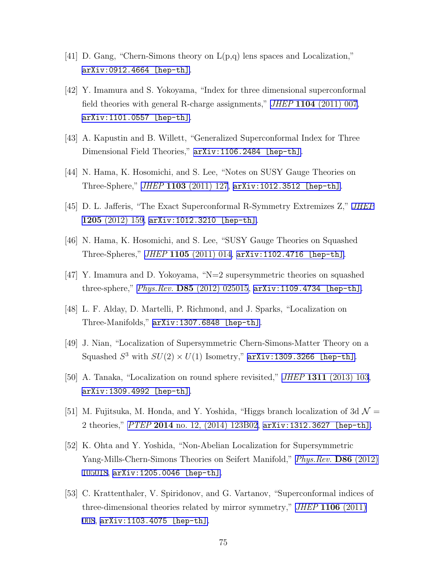- [41] D. Gang, "Chern-Simons theory on L(p,q) lens spaces and Localization," [arXiv:0912.4664 \[hep-th\]](http://arxiv.org/abs/0912.4664).
- [42] Y. Imamura and S. Yokoyama, "Index for three dimensional superconformal field theories with general R-charge assignments," *JHEP* **1104** [\(2011\) 007,](http://dx.doi.org/10.1007/JHEP04(2011)007) [arXiv:1101.0557 \[hep-th\]](http://arxiv.org/abs/1101.0557).
- [43] A. Kapustin and B. Willett, "Generalized Superconformal Index for Three Dimensional Field Theories," [arXiv:1106.2484 \[hep-th\]](http://arxiv.org/abs/1106.2484).
- [44] N. Hama, K. Hosomichi, and S. Lee, "Notes on SUSY Gauge Theories on Three-Sphere," *JHEP* **1103** [\(2011\) 127,](http://dx.doi.org/10.1007/JHEP03(2011)127) [arXiv:1012.3512 \[hep-th\]](http://arxiv.org/abs/1012.3512).
- [45] D. L. Jafferis, "The Exact Superconformal R-Symmetry Extremizes Z," *[JHEP](http://dx.doi.org/10.1007/JHEP05(2012)159)* **1205** [\(2012\) 159,](http://dx.doi.org/10.1007/JHEP05(2012)159) [arXiv:1012.3210 \[hep-th\]](http://arxiv.org/abs/1012.3210).
- [46] N. Hama, K. Hosomichi, and S. Lee, "SUSY Gauge Theories on Squashed Three-Spheres," *JHEP* **1105** [\(2011\) 014](http://dx.doi.org/10.1007/JHEP05(2011)014), [arXiv:1102.4716 \[hep-th\]](http://arxiv.org/abs/1102.4716).
- [47] Y. Imamura and D. Yokoyama, "N=2 supersymmetric theories on squashed three-sphere," *Phys.Rev.* **D85** [\(2012\) 025015,](http://dx.doi.org/10.1103/PhysRevD.85.025015) [arXiv:1109.4734 \[hep-th\]](http://arxiv.org/abs/1109.4734).
- [48] L. F. Alday, D. Martelli, P. Richmond, and J. Sparks, "Localization on Three-Manifolds," [arXiv:1307.6848 \[hep-th\]](http://arxiv.org/abs/1307.6848).
- [49] J. Nian, "Localization of Supersymmetric Chern-Simons-Matter Theory on a Squashed  $S^3$  with  $SU(2) \times U(1)$  Isometry,"  $\texttt{arXiv:1309.3266}$  [hep-th].
- [50] A. Tanaka, "Localization on round sphere revisited," *JHEP* **1311** [\(2013\) 103](http://dx.doi.org/10.1007/JHEP11(2013)103), [arXiv:1309.4992 \[hep-th\]](http://arxiv.org/abs/1309.4992).
- [51] M. Fujitsuka, M. Honda, and Y. Yoshida, "Higgs branch localization of 3d  $\mathcal{N} =$ 2 theories," *PTEP* **2014** [no. 12, \(2014\) 123B02,](http://dx.doi.org/10.1093/ptep/ptu158) [arXiv:1312.3627 \[hep-th\]](http://arxiv.org/abs/1312.3627).
- [52] K. Ohta and Y. Yoshida, "Non-Abelian Localization for Supersymmetric Yang-Mills-Chern-Simons Theories on Seifert Manifold," *[Phys.Rev.](http://dx.doi.org/10.1103/PhysRevD.86.105018)* **D86** (2012) [105018](http://dx.doi.org/10.1103/PhysRevD.86.105018), [arXiv:1205.0046 \[hep-th\]](http://arxiv.org/abs/1205.0046).
- [53] C. Krattenthaler, V. Spiridonov, and G. Vartanov, "Superconformal indices of three-dimensional theories related by mirror symmetry," *JHEP* **1106** [\(2011\)](http://dx.doi.org/10.1007/JHEP06(2011)008) [008,](http://dx.doi.org/10.1007/JHEP06(2011)008) [arXiv:1103.4075 \[hep-th\]](http://arxiv.org/abs/1103.4075).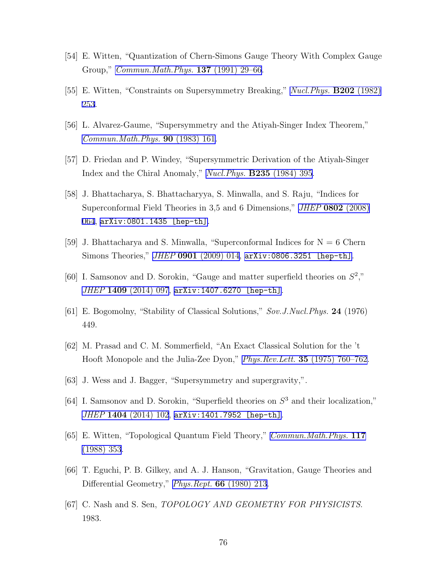- [54] E. Witten, "Quantization of Chern-Simons Gauge Theory With Complex Gauge Group," *[Commun.Math.Phys.](http://dx.doi.org/10.1007/BF02099116)* **137** (1991) 29–66.
- [55] E. Witten, "Constraints on Supersymmetry Breaking," *[Nucl.Phys.](http://dx.doi.org/10.1016/0550-3213(82)90071-2)* **B202** (1982) [253.](http://dx.doi.org/10.1016/0550-3213(82)90071-2)
- [56] L. Alvarez-Gaume, "Supersymmetry and the Atiyah-Singer Index Theorem," *[Commun.Math.Phys.](http://dx.doi.org/10.1007/BF01205500)* **90** (1983) 161.
- [57] D. Friedan and P. Windey, "Supersymmetric Derivation of the Atiyah-Singer Index and the Chiral Anomaly," *[Nucl.Phys.](http://dx.doi.org/10.1016/0550-3213(84)90506-6)* **B235** (1984) 395.
- [58] J. Bhattacharya, S. Bhattacharyya, S. Minwalla, and S. Raju, "Indices for Superconformal Field Theories in 3,5 and 6 Dimensions," *JHEP* **0802** [\(2008\)](http://dx.doi.org/10.1088/1126-6708/2008/02/064) [064,](http://dx.doi.org/10.1088/1126-6708/2008/02/064) [arXiv:0801.1435 \[hep-th\]](http://arxiv.org/abs/0801.1435).
- [59] J. Bhattacharya and S. Minwalla, "Superconformal Indices for  $N = 6$  Chern Simons Theories," *JHEP* **0901** [\(2009\) 014](http://dx.doi.org/10.1088/1126-6708/2009/01/014), [arXiv:0806.3251 \[hep-th\]](http://arxiv.org/abs/0806.3251).
- [60] I. Samsonov and D. Sorokin, "Gauge and matter superfield theories on *S* 2 ," *JHEP* **1409** [\(2014\) 097](http://dx.doi.org/10.1007/JHEP09(2014)097), [arXiv:1407.6270 \[hep-th\]](http://arxiv.org/abs/1407.6270).
- [61] E. Bogomolny, "Stability of Classical Solutions," *Sov.J.Nucl.Phys.* **24** (1976) 449.
- [62] M. Prasad and C. M. Sommerfield, "An Exact Classical Solution for the 't Hooft Monopole and the Julia-Zee Dyon," *Phys.Rev.Lett.* **35** [\(1975\) 760–762.](http://dx.doi.org/10.1103/PhysRevLett.35.760)
- [63] J. Wess and J. Bagger, "Supersymmetry and supergravity,".
- [64] I. Samsonov and D. Sorokin, "Superfield theories on *S* <sup>3</sup> and their localization," *JHEP* **1404** [\(2014\) 102](http://dx.doi.org/10.1007/JHEP04(2014)102), [arXiv:1401.7952 \[hep-th\]](http://arxiv.org/abs/1401.7952).
- [65] E. Witten, "Topological Quantum Field Theory," *[Commun.Math.Phys.](http://dx.doi.org/10.1007/BF01223371)* **117** [\(1988\) 353](http://dx.doi.org/10.1007/BF01223371).
- [66] T. Eguchi, P. B. Gilkey, and A. J. Hanson, "Gravitation, Gauge Theories and Differential Geometry," *[Phys.Rept.](http://dx.doi.org/10.1016/0370-1573(80)90130-1)* **66** (1980) 213.
- [67] C. Nash and S. Sen, *TOPOLOGY AND GEOMETRY FOR PHYSICISTS*. 1983.